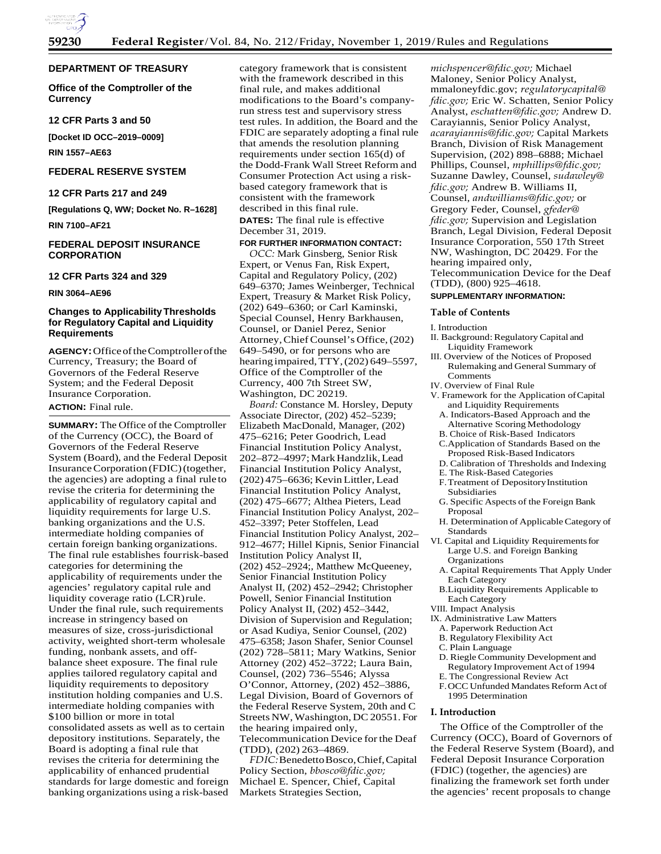

## **DEPARTMENT OF TREASURY**

**Office of the Comptroller of the Currency**

## **12 CFR Parts 3 and 50**

**[Docket ID OCC–2019–0009]** 

**RIN 1557–AE63**

## **FEDERAL RESERVE SYSTEM**

#### **12 CFR Parts 217 and 249**

**[Regulations Q, WW; Docket No. R–1628] RIN 7100–AF21**

## **FEDERAL DEPOSIT INSURANCE CORPORATION**

#### **12 CFR Parts 324 and 329**

**RIN 3064–AE96**

## **Changes to ApplicabilityThresholds for Regulatory Capital and Liquidity Requirements**

**AGENCY:**OfficeoftheComptrollerofthe Currency, Treasury; the Board of Governors of the Federal Reserve System; and the Federal Deposit Insurance Corporation.

## **ACTION:** Final rule.

**SUMMARY:** The Office of the Comptroller of the Currency (OCC), the Board of Governors of the Federal Reserve System (Board), and the Federal Deposit InsuranceCorporation (FDIC)(together, the agencies) are adopting a final rule to revise the criteria for determining the applicability of regulatory capital and liquidity requirements for large U.S. banking organizations and the U.S. intermediate holding companies of certain foreign banking organizations. The final rule establishes fourrisk-based categories for determining the applicability of requirements under the agencies' regulatory capital rule and liquidity coverage ratio (LCR)rule. Under the final rule, such requirements increase in stringency based on measures of size, cross-jurisdictional activity, weighted short-term wholesale funding, nonbank assets, and offbalance sheet exposure. The final rule applies tailored regulatory capital and liquidity requirements to depository institution holding companies and U.S. intermediate holding companies with \$100 billion or more in total consolidated assets as well as to certain depository institutions. Separately, the Board is adopting a final rule that revises the criteria for determining the applicability of enhanced prudential standards for large domestic and foreign banking organizations using a risk-based

category framework that is consistent with the framework described in this final rule, and makes additional modifications to the Board's companyrun stress test and supervisory stress test rules. In addition, the Board and the FDIC are separately adopting a final rule that amends the resolution planning requirements under section 165(d) of the Dodd-Frank Wall Street Reform and Consumer Protection Act using a riskbased category framework that is consistent with the framework described in this final rule. **DATES:** The final rule is effective

December 31, 2019.

## **FOR FURTHER INFORMATION CONTACT:**

*OCC:* Mark Ginsberg, Senior Risk Expert, or Venus Fan, Risk Expert, Capital and Regulatory Policy, (202) 649–6370; James Weinberger, Technical Expert, Treasury & Market Risk Policy, (202) 649–6360; or Carl Kaminski, Special Counsel, Henry Barkhausen, Counsel, or Daniel Perez, Senior Attorney, Chief Counsel's Office, (202) 649–5490, or for persons who are hearing impaired, TTY, (202) 649–5597, Office of the Comptroller of the Currency, 400 7th Street SW, Washington, DC 20219.

*Board:* Constance M. Horsley, Deputy Associate Director, (202) 452–5239; Elizabeth MacDonald, Manager, (202) 475–6216; Peter Goodrich, Lead Financial Institution Policy Analyst, 202–872–4997;MarkHandzlik,Lead Financial Institution Policy Analyst, (202) 475–6636; Kevin Littler,Lead Financial Institution Policy Analyst, (202) 475–6677; Althea Pieters, Lead Financial Institution Policy Analyst, 202– 452–3397; Peter Stoffelen, Lead Financial Institution Policy Analyst, 202– 912–4677; Hillel Kipnis, Senior Financial Institution Policy Analyst II, (202) 452–2924;, Matthew McQueeney, Senior Financial Institution Policy Analyst II, (202) 452–2942; Christopher Powell, Senior Financial Institution Policy Analyst II, (202) 452–3442, Division of Supervision and Regulation; or Asad Kudiya, Senior Counsel, (202) 475–6358; Jason Shafer, Senior Counsel (202) 728–5811; Mary Watkins, Senior Attorney (202) 452–3722; Laura Bain, Counsel, (202) 736–5546; Alyssa O'Connor, Attorney, (202) 452–3886, Legal Division, Board of Governors of the Federal Reserve System, 20th and C Streets NW, Washington, DC 20551. For the hearing impaired only, Telecommunication Device for the Deaf (TDD), (202) 263–4869.

*FDIC:*BenedettoBosco,Chief,Capital Policy Section, *[bbosco@fdic.gov;](mailto:bbosco@fdic.gov)* Michael E. Spencer, Chief, Capital Markets Strategies Section,

*[michspencer@fdic.gov;](mailto:michspencer@fdic.gov)* Michael Maloney, Senior Policy Analyst, mmaloneyfdic.gov; *[regulatorycapital@](mailto:regulatorycapital@fdic.gov) [fdic.gov;](mailto:regulatorycapital@fdic.gov)* Eric W. Schatten, Senior Policy Analyst, *[eschatten@fdic.gov;](mailto:eschatten@fdic.gov)* Andrew D. Carayiannis, Senior Policy Analyst, *[acarayiannis@fdic.gov;](mailto:acarayiannis@fdic.gov)* Capital Markets Branch, Division of Risk Management Supervision, (202) 898–6888; Michael Phillips, Counsel, *[mphillips@fdic.gov;](mailto:mphillips@fdic.gov)* Suzanne Dawley, Counsel, *[sudawley@](mailto:sudawley@fdic.gov) [fdic.gov;](mailto:sudawley@fdic.gov)* Andrew B. Williams II, Counsel, *[andwilliams@fdic.gov;](mailto:andwilliams@fdic.gov)* or Gregory Feder, Counsel, *[gfeder@](mailto:gfeder@fdic.gov) [fdic.gov;](mailto:gfeder@fdic.gov)* Supervision and Legislation Branch, Legal Division, Federal Deposit Insurance Corporation, 550 17th Street NW, Washington, DC 20429. For the hearing impaired only, Telecommunication Device for the Deaf (TDD), (800) 925–4618.

## **SUPPLEMENTARY INFORMATION:**

## **Table of Contents**

I. Introduction

- II. Background: Regulatory Capital and Liquidity Framework
- III. Overview of the Notices of Proposed Rulemaking and General Summary of Comments
- IV. Overview of Final Rule
- V. Framework for the Application ofCapital and Liquidity Requirements
	- A. Indicators-Based Approach and the Alternative Scoring Methodology
	- B. Choice of Risk-Based Indicators
	- C.Application of Standards Based on the Proposed Risk-Based Indicators
	- D. Calibration of Thresholds and Indexing
- E. The Risk-Based Categories
- F.Treatment of DepositoryInstitution Subsidiaries
- G. Specific Aspects of the Foreign Bank Proposal
- H. Determination of ApplicableCategory of Standards
- VI. Capital and Liquidity Requirementsfor Large U.S. and Foreign Banking Organizations
- A. Capital Requirements That Apply Under Each Category
- B.Liquidity Requirements Applicable to Each Category
- VIII. Impact Analysis
- IX. Administrative Law Matters
- A. Paperwork Reduction Act
- B. Regulatory Flexibility Act
- C. Plain Language
- D. Riegle Community Development and Regulatory Improvement Act of 1994
- E. The Congressional Review Act
- F. OCC Unfunded Mandates Reform Act of 1995 Determination

## **I. Introduction**

The Office of the Comptroller of the Currency (OCC), Board of Governors of the Federal Reserve System (Board), and Federal Deposit Insurance Corporation (FDIC) (together, the agencies) are finalizing the framework set forth under the agencies' recent proposals to change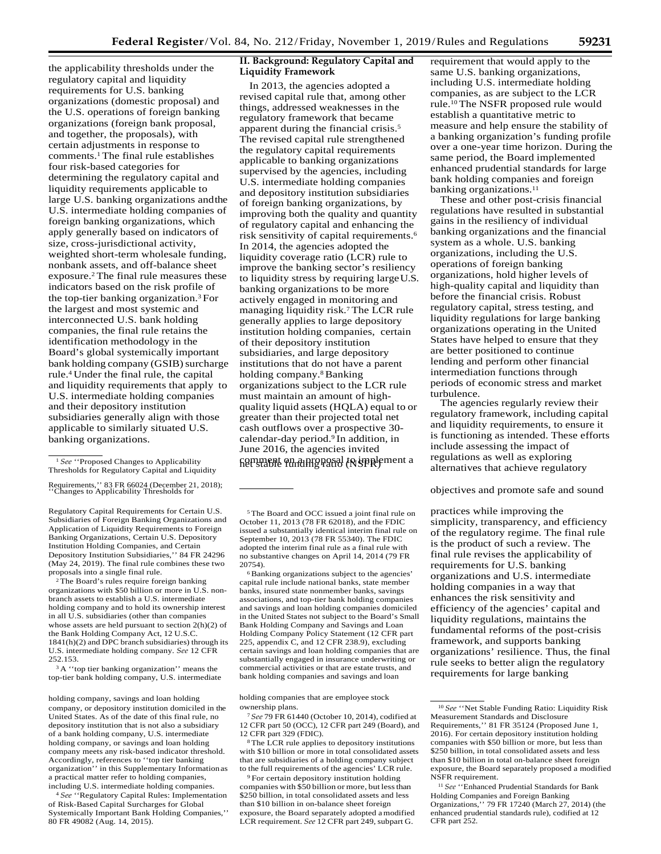the applicability thresholds under the regulatory capital and liquidity requirements for U.S. banking organizations (domestic proposal) and the U.S. operations of foreign banking organizations (foreign bank proposal, and together, the proposals), with certain adjustments in response to comments.1 The final rule establishes four risk-based categories for determining the regulatory capital and liquidity requirements applicable to large U.S. banking organizations andthe U.S. intermediate holding companies of foreign banking organizations, which apply generally based on indicators of size, cross-jurisdictional activity, weighted short-term wholesale funding, nonbank assets, and off-balance sheet exposure.2 The final rule measures these indicators based on the risk profile of the top-tier banking organization.3 For the largest and most systemic and interconnected U.S. bank holding companies, the final rule retains the identification methodology in the Board's global systemically important bank holding company (GSIB) surcharge rule.4 Under the final rule, the capital and liquidity requirements that apply to U.S. intermediate holding companies and their depository institution subsidiaries generally align with those applicable to similarly situated U.S. banking organizations.

Regulatory Capital Requirements for Certain U.S. Subsidiaries of Foreign Banking Organizations and Application of Liquidity Requirements to Foreign Banking Organizations, Certain U.S. Depository Institution Holding Companies, and Certain Depository Institution Subsidiaries,'' 84 FR 24296 (May 24, 2019). The final rule combines these two proposals into a single final rule.

2 The Board's rules require foreign banking organizations with \$50 billion or more in U.S. nonbranch assets to establish a U.S. intermediate holding company and to hold its ownership interest in all U.S. subsidiaries (other than companies whose assets are held pursuant to section 2(h)(2) of the Bank Holding Company Act, 12 U.S.C. 1841(h)(2) and DPC branch subsidiaries) through its U.S. intermediate holding company. *See* 12 CFR 252.153.

<sup>3</sup> A "top tier banking organization" means the top-tier bank holding company, U.S. intermediate

holding company, savings and loan holding holding companies that are employee stock company, or depository institution domiciled in the United States. As of the date of this final rule, no depository institution that is not also a subsidiary of a bank holding company, U.S. intermediate holding company, or savings and loan holding company meets any risk-based indicator threshold. Accordingly, references to ''top tier banking organization'' in this Supplementary Informationas a practical matter refer to holding companies, including U.S. intermediate holding companies.

<sup>4</sup>*See* ''Regulatory Capital Rules: Implementation of Risk-Based Capital Surcharges for Global Systemically Important Bank Holding Companies,'' 80 FR 49082 (Aug. 14, 2015).

## **II. Background: Regulatory Capital and Liquidity Framework**

In 2013, the agencies adopted a revised capital rule that, among other things, addressed weaknesses in the regulatory framework that became apparent during the financial crisis.5 The revised capital rule strengthened the regulatory capital requirements applicable to banking organizations supervised by the agencies, including U.S. intermediate holding companies and depository institution subsidiaries of foreign banking organizations, by improving both the quality and quantity of regulatory capital and enhancing the risk sensitivity of capital requirements.6 In 2014, the agencies adopted the liquidity coverage ratio (LCR) rule to improve the banking sector's resiliency to liquidity stress by requiring largeU.S. banking organizations to be more actively engaged in monitoring and managing liquidity risk.7 The LCR rule generally applies to large depository institution holding companies, certain of their depository institution subsidiaries, and large depository institutions that do not have a parent holding company.8 Banking organizations subject to the LCR rule must maintain an amount of highquality liquid assets (HQLA) equal to or greater than their projected total net cash outflows over a prospective 30 calendar-day period.<sup>9</sup> In addition, in June 2016, the agencies invited fier stable on a proposal to supplement a

5 The Board and OCC issued a joint final rule on October 11, 2013 (78 FR 62018), and the FDIC issued a substantially identical interim final rule on September 10, 2013 (78 FR 55340). The FDIC adopted the interim final rule as a final rule with no substantive changes on April 14, 2014 (79 FR 20754).

6 Banking organizations subject to the agencies' capital rule include national banks, state member banks, insured state nonmember banks, savings associations, and top-tier bank holding companies and savings and loan holding companies domiciled in the United States not subject to the Board's Small Bank Holding Company and Savings and Loan Holding Company Policy Statement (12 CFR part 225, appendix C, and 12 CFR 238.9), excluding certain savings and loan holding companies that are substantially engaged in insurance underwriting or commercial activities or that are estate trusts, and bank holding companies and savings and loan

ownership plans.

<sup>7</sup>*See* 79 FR 61440 (October 10, 2014), codified at 12 CFR part 50 (OCC), 12 CFR part 249 (Board), and 12 CFR part 329 (FDIC).

8 The LCR rule applies to depository institutions with \$10 billion or more in total consolidated assets that are subsidiaries of a holding company subject to the full requirements of the agencies' LCR rule.

9 For certain depository institution holding companies with \$50 billion or more, but lessthan \$250 billion, in total consolidated assets and less than \$10 billion in on-balance sheet foreign exposure, the Board separately adopted amodified LCR requirement. *See* 12 CFR part 249, subpart G.

requirement that would apply to the same U.S. banking organizations, including U.S. intermediate holding companies, as are subject to the LCR rule.10 The NSFR proposed rule would establish a quantitative metric to measure and help ensure the stability of a banking organization's funding profile over a one-year time horizon. During the same period, the Board implemented enhanced prudential standards for large bank holding companies and foreign banking organizations.<sup>11</sup>

These and other post-crisis financial regulations have resulted in substantial gains in the resiliency of individual banking organizations and the financial system as a whole. U.S. banking organizations, including the U.S. operations of foreign banking organizations, hold higher levels of high-quality capital and liquidity than before the financial crisis. Robust regulatory capital, stress testing, and liquidity regulations for large banking organizations operating in the United States have helped to ensure that they are better positioned to continue lending and perform other financial intermediation functions through periods of economic stress and market turbulence.

The agencies regularly review their regulatory framework, including capital and liquidity requirements, to ensure it is functioning as intended. These efforts include assessing the impact of regulations as well as exploring alternatives that achieve regulatory

practices while improving the simplicity, transparency, and efficiency of the regulatory regime. The final rule is the product of such a review. The final rule revises the applicability of requirements for U.S. banking organizations and U.S. intermediate holding companies in a way that enhances the risk sensitivity and efficiency of the agencies' capital and liquidity regulations, maintains the fundamental reforms of the post-crisis framework, and supports banking organizations' resilience. Thus, the final rule seeks to better align the regulatory requirements for large banking

<sup>1</sup>*See* ''Proposed Changes to Applicability Thresholds for Regulatory Capital and Liquidity

Requirements,'' 83 FR 66024 (December 21, 2018);<br>
"Changes to Applicability Thresholds for **objectives** and promote safe and sound

<sup>10</sup>*See* ''Net Stable Funding Ratio: Liquidity Risk Measurement Standards and Disclosure Requirements,'' 81 FR 35124 (Proposed June 1, 2016). For certain depository institution holding companies with \$50 billion or more, but less than \$250 billion, in total consolidated assets and less than \$10 billion in total on-balance sheet foreign exposure, the Board separately proposed a modified NSFR requirement.

<sup>11</sup>*See* ''Enhanced Prudential Standards for Bank Holding Companies and Foreign Banking Organizations,'' 79 FR 17240 (March 27, 2014) (the enhanced prudential standards rule), codified at 12 CFR part 252.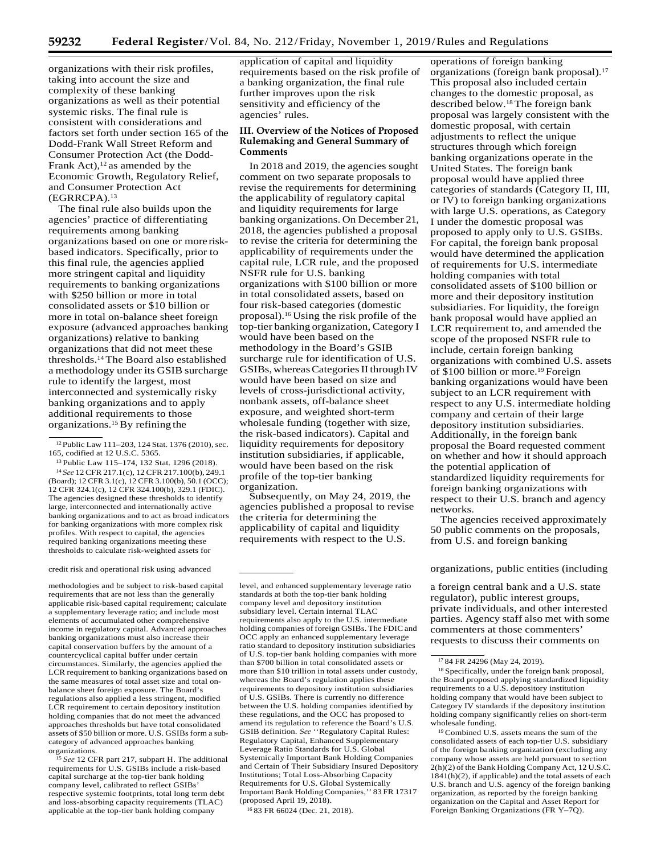organizations with their risk profiles, taking into account the size and complexity of these banking organizations as well as their potential systemic risks. The final rule is consistent with considerations and factors set forth under section 165 of the Dodd-Frank Wall Street Reform and Consumer Protection Act (the Dodd-Frank Act), $12$  as amended by the Economic Growth, Regulatory Relief, and Consumer Protection Act (EGRRCPA).13

The final rule also builds upon the agencies' practice of differentiating requirements among banking organizations based on one or more riskbased indicators. Specifically, prior to this final rule, the agencies applied more stringent capital and liquidity requirements to banking organizations with \$250 billion or more in total consolidated assets or \$10 billion or more in total on-balance sheet foreign exposure (advanced approaches banking organizations) relative to banking organizations that did not meet these thresholds.14 The Board also established a methodology under its GSIB surcharge rule to identify the largest, most interconnected and systemically risky banking organizations and to apply additional requirements to those organizations.15 By refining the

13 Public Law 115–174, 132 Stat. 1296 (2018). <sup>14</sup>*See* 12 CFR 217.1(c), 12 CFR 217.100(b), 249.1 (Board); 12 CFR 3.1(c), 12 CFR 3.100(b), 50.1 (OCC); 12 CFR 324.1(c), 12 CFR 324.100(b), 329.1 (FDIC). The agencies designed these thresholds to identify large, interconnected and internationally active banking organizations and to act as broad indicators for banking organizations with more complex risk profiles. With respect to capital, the agencies required banking organizations meeting these thresholds to calculate risk-weighted assets for

methodologies and be subject to risk-based capital requirements that are not less than the generally applicable risk-based capital requirement; calculate a supplementary leverage ratio; and include most elements of accumulated other comprehensive income in regulatory capital. Advanced approaches banking organizations must also increase their capital conservation buffers by the amount of a countercyclical capital buffer under certain circumstances. Similarly, the agencies applied the LCR requirement to banking organizations based on the same measures of total asset size and total onbalance sheet foreign exposure. The Board's regulations also applied a less stringent, modified LCR requirement to certain depository institution holding companies that do not meet the advanced approaches thresholds but have total consolidated assets of \$50 billion or more. U.S. GSIBs form a subcategory of advanced approaches banking organizations.

<sup>15</sup> See 12 CFR part 217, subpart H. The additional requirements for U.S. GSIBs include a risk-based capital surcharge at the top-tier bank holding company level, calibrated to reflect GSIBs' respective systemic footprints, total long term debt and loss-absorbing capacity requirements (TLAC) applicable at the top-tier bank holding company

application of capital and liquidity requirements based on the risk profile of a banking organization, the final rule further improves upon the risk sensitivity and efficiency of the agencies' rules.

## **III. Overview of the Notices of Proposed Rulemaking and General Summary of Comments**

In 2018 and 2019, the agencies sought comment on two separate proposals to revise the requirements for determining the applicability of regulatory capital and liquidity requirements for large banking organizations. On December 21, 2018, the agencies published a proposal to revise the criteria for determining the applicability of requirements under the capital rule, LCR rule, and the proposed NSFR rule for U.S. banking organizations with \$100 billion or more in total consolidated assets, based on four risk-based categories (domestic proposal).16 Using the risk profile of the top-tier banking organization, Category I would have been based on the methodology in the Board's GSIB surcharge rule for identification of U.S. GSIBs, whereas Categories II through IV would have been based on size and levels of cross-jurisdictional activity, nonbank assets, off-balance sheet exposure, and weighted short-term wholesale funding (together with size, the risk-based indicators). Capital and liquidity requirements for depository institution subsidiaries, if applicable, would have been based on the risk profile of the top-tier banking organization.

Subsequently, on May 24, 2019, the agencies published a proposal to revise the criteria for determining the applicability of capital and liquidity requirements with respect to the U.S.

16 83 FR 66024 (Dec. 21, 2018).

operations of foreign banking organizations (foreign bank proposal).17 This proposal also included certain changes to the domestic proposal, as described below.18 The foreign bank proposal was largely consistent with the domestic proposal, with certain adjustments to reflect the unique structures through which foreign banking organizations operate in the United States. The foreign bank proposal would have applied three categories of standards (Category II, III, or IV) to foreign banking organizations with large U.S. operations, as Category I under the domestic proposal was proposed to apply only to U.S. GSIBs. For capital, the foreign bank proposal would have determined the application of requirements for U.S. intermediate holding companies with total consolidated assets of \$100 billion or more and their depository institution subsidiaries. For liquidity, the foreign bank proposal would have applied an LCR requirement to, and amended the scope of the proposed NSFR rule to include, certain foreign banking organizations with combined U.S. assets of \$100 billion or more.<sup>19</sup> Foreign banking organizations would have been subject to an LCR requirement with respect to any U.S. intermediate holding company and certain of their large depository institution subsidiaries. Additionally, in the foreign bank proposal the Board requested comment on whether and how it should approach the potential application of standardized liquidity requirements for foreign banking organizations with respect to their U.S. branch and agency networks.

The agencies received approximately 50 public comments on the proposals, from U.S. and foreign banking

#### credit risk and operational risk using advanced organizations, public entities (including

a foreign central bank and a U.S. state regulator), public interest groups, private individuals, and other interested parties. Agency staff also met with some commenters at those commenters' requests to discuss their comments on

19 Combined U.S. assets means the sum of the consolidated assets of each top-tier U.S. subsidiary of the foreign banking organization (excluding any company whose assets are held pursuant to section 2(h)(2) of the Bank Holding Company Act, 12 U.S.C. 1841(h)(2), if applicable) and the total assets of each U.S. branch and U.S. agency of the foreign banking organization, as reported by the foreign banking organization on the Capital and Asset Report for Foreign Banking Organizations (FR Y–7Q).

<sup>&</sup>lt;sup>12</sup>Public Law 111-203, 124 Stat. 1376 (2010), sec. 165, codified at 12 U.S.C. 5365.

level, and enhanced supplementary leverage ratio standards at both the top-tier bank holding company level and depository institution subsidiary level. Certain internal TLAC requirements also apply to the U.S. intermediate holding companies of foreign GSIBs. The FDIC and OCC apply an enhanced supplementary leverage ratio standard to depository institution subsidiaries of U.S. top-tier bank holding companies with more than \$700 billion in total consolidated assets or more than \$10 trillion in total assets under custody, whereas the Board's regulation applies these requirements to depository institution subsidiaries of U.S. GSIBs. There is currently no difference between the U.S. holding companies identified by these regulations, and the OCC has proposed to amend its regulation to reference the Board's U.S. GSIB definition. *See* ''Regulatory Capital Rules: Regulatory Capital, Enhanced Supplementary Leverage Ratio Standards for U.S. Global Systemically Important Bank Holding Companies and Certain of Their Subsidiary Insured Depository Institutions; Total Loss-Absorbing Capacity Requirements for U.S. Global Systemically Important Bank Holding Companies,'' 83 FR 17317 (proposed April 19, 2018).

<sup>17 84</sup> FR 24296 (May 24, 2019).

<sup>18</sup> Specifically, under the foreign bank proposal, the Board proposed applying standardized liquidity requirements to a U.S. depository institution holding company that would have been subject to Category IV standards if the depository institution holding company significantly relies on short-term wholesale funding.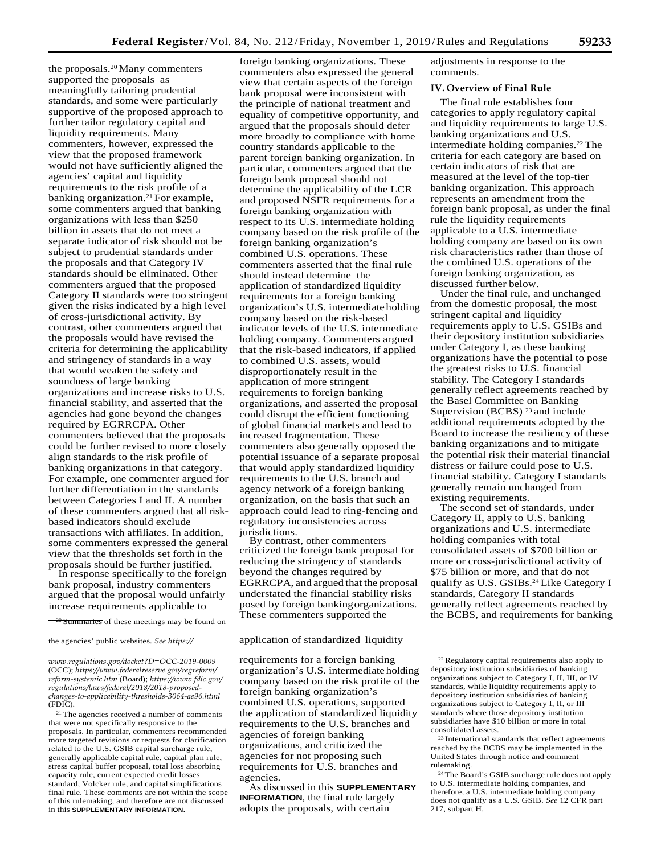the proposals.20 Many commenters supported the proposals as meaningfully tailoring prudential standards, and some were particularly supportive of the proposed approach to further tailor regulatory capital and liquidity requirements. Many commenters, however, expressed the view that the proposed framework would not have sufficiently aligned the agencies' capital and liquidity requirements to the risk profile of a banking organization.<sup>21</sup> For example, some commenters argued that banking organizations with less than \$250 billion in assets that do not meet a separate indicator of risk should not be subject to prudential standards under the proposals and that Category IV standards should be eliminated. Other commenters argued that the proposed Category II standards were too stringent given the risks indicated by a high level of cross-jurisdictional activity. By contrast, other commenters argued that the proposals would have revised the criteria for determining the applicability and stringency of standards in a way that would weaken the safety and soundness of large banking organizations and increase risks to U.S. financial stability, and asserted that the agencies had gone beyond the changes required by EGRRCPA. Other commenters believed that the proposals could be further revised to more closely align standards to the risk profile of banking organizations in that category. For example, one commenter argued for further differentiation in the standards between Categories I and II. A number of these commenters argued that allriskbased indicators should exclude transactions with affiliates. In addition, some commenters expressed the general view that the thresholds set forth in the proposals should be further justified.

In response specifically to the foreign bank proposal, industry commenters argued that the proposal would unfairly increase requirements applicable to

 $\frac{-20}{20}$  Summaries of these meetings may be found on

*[www.regulations.gov/docket?D=OCC-2019-0009](https://www.regulations.gov/docket?D=OCC-2019-0009)* (OCC); *[https://www.federalreserve.gov/regreform/](https://www.federalreserve.gov/regreform/reform-systemic.htm) [reform-systemic.htm](https://www.federalreserve.gov/regreform/reform-systemic.htm)* (Board); *[https://www.fdic.gov/](https://www.fdic.gov/regulations/laws/federal/2018/2018-proposed-changes-to-applicability-thresholds-3064-ae96.html) [regulations/laws/federal/2018/2018-proposed](https://www.fdic.gov/regulations/laws/federal/2018/2018-proposed-changes-to-applicability-thresholds-3064-ae96.html)[changes-to-applicability-thresholds-3064-ae96.html](https://www.fdic.gov/regulations/laws/federal/2018/2018-proposed-changes-to-applicability-thresholds-3064-ae96.html)* (FDIC).

21 The agencies received a number of comments that were not specifically responsive to the proposals. In particular, commenters recommended more targeted revisions or requests for clarification related to the U.S. GSIB capital surcharge rule, generally applicable capital rule, capital plan rule, stress capital buffer proposal, total loss absorbing capacity rule, current expected credit losses standard, Volcker rule, and capital simplifications final rule. These comments are not within the scope of this rulemaking, and therefore are not discussed in this **SUPPLEMENTARY INFORMATION**.

foreign banking organizations. These commenters also expressed the general view that certain aspects of the foreign bank proposal were inconsistent with the principle of national treatment and equality of competitive opportunity, and argued that the proposals should defer more broadly to compliance with home country standards applicable to the parent foreign banking organization. In particular, commenters argued that the foreign bank proposal should not determine the applicability of the LCR and proposed NSFR requirements for a foreign banking organization with respect to its U.S. intermediate holding company based on the risk profile of the foreign banking organization's combined U.S. operations. These commenters asserted that the final rule should instead determine the application of standardized liquidity requirements for a foreign banking organization's U.S. intermediate holding company based on the risk-based indicator levels of the U.S. intermediate holding company. Commenters argued that the risk-based indicators, if applied to combined U.S. assets, would disproportionately result in the application of more stringent requirements to foreign banking organizations, and asserted the proposal could disrupt the efficient functioning of global financial markets and lead to increased fragmentation. These commenters also generally opposed the potential issuance of a separate proposal that would apply standardized liquidity requirements to the U.S. branch and agency network of a foreign banking organization, on the basis that such an approach could lead to ring-fencing and regulatory inconsistencies across jurisdictions.

By contrast, other commenters criticized the foreign bank proposal for reducing the stringency of standards beyond the changes required by EGRRCPA, and argued that the proposal understated the financial stability risks posed by foreign bankingorganizations. These commenters supported the

#### the agencies' public websites. *See [https://](https://www.regulations.gov/docket?D=OCC-2019-0009)* application of standardized liquidity

requirements for a foreign banking organization's U.S. intermediate holding company based on the risk profile of the foreign banking organization's combined U.S. operations, supported the application of standardized liquidity requirements to the U.S. branches and agencies of foreign banking organizations, and criticized the agencies for not proposing such requirements for U.S. branches and agencies.

As discussed in this **SUPPLEMENTARY INFORMATION**, the final rule largely adopts the proposals, with certain

adjustments in response to the comments.

## **IV. Overview of Final Rule**

The final rule establishes four categories to apply regulatory capital and liquidity requirements to large U.S. banking organizations and U.S. intermediate holding companies.22 The criteria for each category are based on certain indicators of risk that are measured at the level of the top-tier banking organization. This approach represents an amendment from the foreign bank proposal, as under the final rule the liquidity requirements applicable to a U.S. intermediate holding company are based on its own risk characteristics rather than those of the combined U.S. operations of the foreign banking organization, as discussed further below.

Under the final rule, and unchanged from the domestic proposal, the most stringent capital and liquidity requirements apply to U.S. GSIBs and their depository institution subsidiaries under Category I, as these banking organizations have the potential to pose the greatest risks to U.S. financial stability. The Category I standards generally reflect agreements reached by the Basel Committee on Banking Supervision (BCBS) 23 and include additional requirements adopted by the Board to increase the resiliency of these banking organizations and to mitigate the potential risk their material financial distress or failure could pose to U.S. financial stability. Category I standards generally remain unchanged from existing requirements.

The second set of standards, under Category II, apply to U.S. banking organizations and U.S. intermediate holding companies with total consolidated assets of \$700 billion or more or cross-jurisdictional activity of \$75 billion or more, and that do not qualify as U.S. GSIBs.24 Like Category I standards, Category II standards generally reflect agreements reached by the BCBS, and requirements for banking

<sup>22</sup> Regulatory capital requirements also apply to depository institution subsidiaries of banking organizations subject to Category I, II, III, or IV standards, while liquidity requirements apply to depository institution subsidiaries of banking organizations subject to Category I, II, or III standards where those depository institution subsidiaries have \$10 billion or more in total consolidated assets.

<sup>23</sup> International standards that reflect agreements reached by the BCBS may be implemented in the United States through notice and comment rulemaking.

<sup>24</sup>The Board's GSIB surcharge rule does not apply to U.S. intermediate holding companies, and therefore, a U.S. intermediate holding company does not qualify as a U.S. GSIB. *See* 12 CFR part 217, subpart H.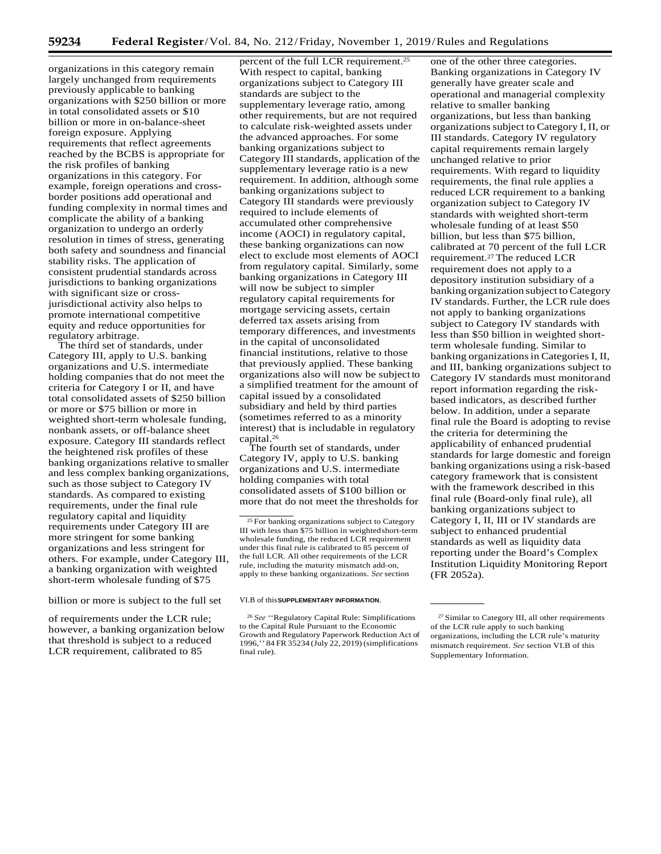organizations in this category remain largely unchanged from requirements previously applicable to banking organizations with \$250 billion or more in total consolidated assets or \$10 billion or more in on-balance-sheet foreign exposure. Applying requirements that reflect agreements reached by the BCBS is appropriate for the risk profiles of banking organizations in this category. For example, foreign operations and crossborder positions add operational and funding complexity in normal times and complicate the ability of a banking organization to undergo an orderly resolution in times of stress, generating both safety and soundness and financial stability risks. The application of consistent prudential standards across jurisdictions to banking organizations with significant size or crossjurisdictional activity also helps to promote international competitive equity and reduce opportunities for regulatory arbitrage.

The third set of standards, under Category III, apply to U.S. banking organizations and U.S. intermediate holding companies that do not meet the criteria for Category I or II, and have total consolidated assets of \$250 billion or more or \$75 billion or more in weighted short-term wholesale funding, nonbank assets, or off-balance sheet exposure. Category III standards reflect the heightened risk profiles of these banking organizations relative to smaller and less complex banking organizations, such as those subject to Category IV standards. As compared to existing requirements, under the final rule regulatory capital and liquidity requirements under Category III are more stringent for some banking organizations and less stringent for others. For example, under Category III, a banking organization with weighted short-term wholesale funding of \$75

billion or more is subject to the full set VI.B of this**SUPPLEMENTARY INFORMATION**.

of requirements under the LCR rule; however, a banking organization below that threshold is subject to a reduced LCR requirement, calibrated to 85

percent of the full LCR requirement.25 With respect to capital, banking organizations subject to Category III standards are subject to the supplementary leverage ratio, among other requirements, but are not required to calculate risk-weighted assets under the advanced approaches. For some banking organizations subject to Category III standards, application of the supplementary leverage ratio is a new requirement. In addition, although some banking organizations subject to Category III standards were previously required to include elements of accumulated other comprehensive income (AOCI) in regulatory capital, these banking organizations can now elect to exclude most elements of AOCI from regulatory capital. Similarly, some banking organizations in Category III will now be subject to simpler regulatory capital requirements for mortgage servicing assets, certain deferred tax assets arising from temporary differences, and investments in the capital of unconsolidated financial institutions, relative to those that previously applied. These banking organizations also will now be subjectto a simplified treatment for the amount of capital issued by a consolidated subsidiary and held by third parties (sometimes referred to as a minority interest) that is includable in regulatory capital.26

The fourth set of standards, under Category IV, apply to U.S. banking organizations and U.S. intermediate holding companies with total consolidated assets of \$100 billion or more that do not meet the thresholds for

one of the other three categories. Banking organizations in Category IV generally have greater scale and operational and managerial complexity relative to smaller banking organizations, but less than banking organizationssubject to Category I, II, or III standards. Category IV regulatory capital requirements remain largely unchanged relative to prior requirements. With regard to liquidity requirements, the final rule applies a reduced LCR requirement to a banking organization subject to Category IV standards with weighted short-term wholesale funding of at least \$50 billion, but less than \$75 billion, calibrated at 70 percent of the full LCR requirement.27 The reduced LCR requirement does not apply to a depository institution subsidiary of a banking organization subject toCategory IV standards. Further, the LCR rule does not apply to banking organizations subject to Category IV standards with less than \$50 billion in weighted shortterm wholesale funding. Similar to banking organizations in Categories I, II, and III, banking organizations subject to Category IV standards must monitorand report information regarding the riskbased indicators, as described further below. In addition, under a separate final rule the Board is adopting to revise the criteria for determining the applicability of enhanced prudential standards for large domestic and foreign banking organizations using a risk-based category framework that is consistent with the framework described in this final rule (Board-only final rule), all banking organizations subject to Category I, II, III or IV standards are subject to enhanced prudential standards as well as liquidity data reporting under the Board's Complex Institution Liquidity Monitoring Report (FR 2052a).

<sup>&</sup>lt;sup>25</sup> For banking organizations subject to Category III with less than \$75 billion in weightedshort-term wholesale funding, the reduced LCR requirement under this final rule is calibrated to 85 percent of the full LCR. All other requirements of the LCR rule, including the maturity mismatch add-on, apply to these banking organizations. *See* section

<sup>26</sup>*See* ''Regulatory Capital Rule: Simplifications to the Capital Rule Pursuant to the Economic Growth and Regulatory Paperwork Reduction Act of 1996,'' 84 FR 35234 (July 22, 2019)(simplifications final rule).

<sup>27</sup> Similar to Category III, all other requirements of the LCR rule apply to such banking organizations, including the LCR rule's maturity mismatch requirement. *See* section VI.B of this Supplementary Information.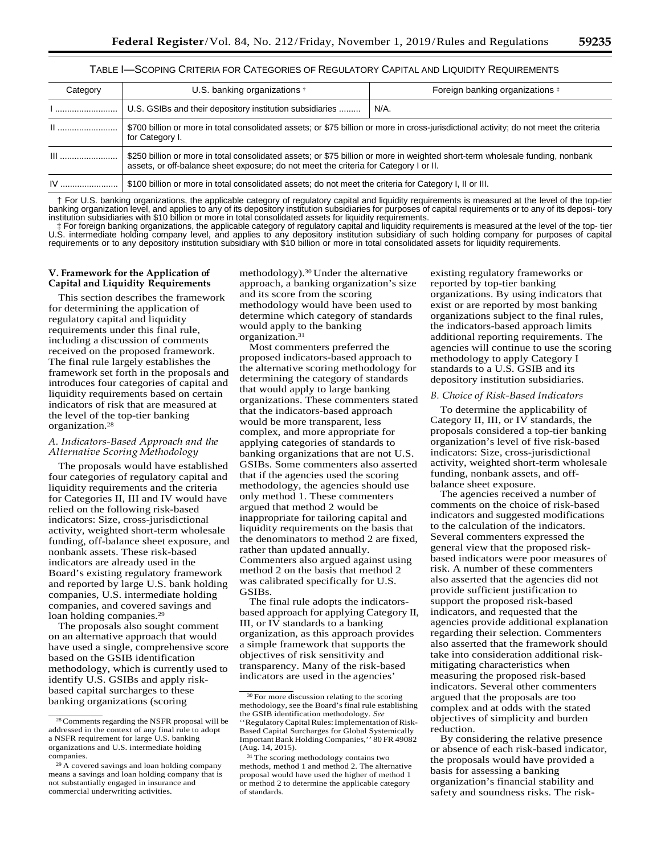## TABLE I—SCOPING CRITERIA FOR CATEGORIES OF REGULATORY CAPITAL AND LIQUIDITY REQUIREMENTS

| Category | U.S. banking organizations <sup>+</sup>                                                                                                                                                                                | Foreign banking organizations # |
|----------|------------------------------------------------------------------------------------------------------------------------------------------------------------------------------------------------------------------------|---------------------------------|
|          | U.S. GSIBs and their depository institution subsidiaries                                                                                                                                                               | N/A.                            |
|          | \$700 billion or more in total consolidated assets; or \$75 billion or more in cross-jurisdictional activity; do not meet the criteria<br>for Category I.                                                              |                                 |
| $III$    | \$250 billion or more in total consolidated assets; or \$75 billion or more in weighted short-term wholesale funding, nonbank<br>assets, or off-balance sheet exposure; do not meet the criteria for Category I or II. |                                 |
| IV       | \$100 billion or more in total consolidated assets; do not meet the criteria for Category I, II or III.                                                                                                                |                                 |

† For U.S. banking organizations, the applicable category of regulatory capital and liquidity requirements is measured at the level of the top-tier banking organization level, and applies to any of its depository institution subsidiaries for purposes of capital requirements or to any of its deposi- tory institution subsidiaries with \$10 billion or more in total consolidated assets for liquidity requirements.

‡ For foreign banking organizations, the applicable category of regulatory capital and liquidity requirements is measured at the level of the top- tier U.S. intermediate holding company level, and applies to any depository institution subsidiary of such holding company for purposes of capital<br>requirements or to any depository institution subsidiary with \$10 billion or mor

## **V. Framework for the Application of Capital and Liquidity Requirements**

This section describes the framework for determining the application of regulatory capital and liquidity requirements under this final rule, including a discussion of comments received on the proposed framework. The final rule largely establishes the framework set forth in the proposals and introduces four categories of capital and liquidity requirements based on certain indicators of risk that are measured at the level of the top-tier banking organization.28

## *A. Indicators-Based Approach and the Alternative Scoring Methodology*

The proposals would have established four categories of regulatory capital and liquidity requirements and the criteria for Categories II, III and IV would have relied on the following risk-based indicators: Size, cross-jurisdictional activity, weighted short-term wholesale funding, off-balance sheet exposure, and nonbank assets. These risk-based indicators are already used in the Board's existing regulatory framework and reported by large U.S. bank holding companies, U.S. intermediate holding companies, and covered savings and loan holding companies.<sup>29</sup>

The proposals also sought comment on an alternative approach that would have used a single, comprehensive score based on the GSIB identification methodology, which is currently used to identify U.S. GSIBs and apply riskbased capital surcharges to these banking organizations (scoring

methodology).30 Under the alternative approach, a banking organization's size and its score from the scoring methodology would have been used to determine which category of standards would apply to the banking organization.31

Most commenters preferred the proposed indicators-based approach to the alternative scoring methodology for determining the category of standards that would apply to large banking organizations. These commenters stated that the indicators-based approach would be more transparent, less complex, and more appropriate for applying categories of standards to banking organizations that are not U.S. GSIBs. Some commenters also asserted that if the agencies used the scoring methodology, the agencies should use only method 1. These commenters argued that method 2 would be inappropriate for tailoring capital and liquidity requirements on the basis that the denominators to method 2 are fixed, rather than updated annually. Commenters also argued against using method 2 on the basis that method 2 was calibrated specifically for U.S. GSIBs.

The final rule adopts the indicatorsbased approach for applying Category II, III, or IV standards to a banking organization, as this approach provides a simple framework that supports the objectives of risk sensitivity and transparency. Many of the risk-based indicators are used in the agencies'

existing regulatory frameworks or reported by top-tier banking organizations. By using indicators that exist or are reported by most banking organizations subject to the final rules, the indicators-based approach limits additional reporting requirements. The agencies will continue to use the scoring methodology to apply Category I standards to a U.S. GSIB and its depository institution subsidiaries.

## *B. Choice of Risk-Based Indicators*

To determine the applicability of Category II, III, or IV standards, the proposals considered a top-tier banking organization's level of five risk-based indicators: Size, cross-jurisdictional activity, weighted short-term wholesale funding, nonbank assets, and offbalance sheet exposure.

The agencies received a number of comments on the choice of risk-based indicators and suggested modifications to the calculation of the indicators. Several commenters expressed the general view that the proposed riskbased indicators were poor measures of risk. A number of these commenters also asserted that the agencies did not provide sufficient justification to support the proposed risk-based indicators, and requested that the agencies provide additional explanation regarding their selection. Commenters also asserted that the framework should take into consideration additional riskmitigating characteristics when measuring the proposed risk-based indicators. Several other commenters argued that the proposals are too complex and at odds with the stated objectives of simplicity and burden reduction.

By considering the relative presence or absence of each risk-based indicator, the proposals would have provided a basis for assessing a banking organization's financial stability and safety and soundness risks. The risk-

<sup>28</sup>Comments regarding the NSFR proposal will be addressed in the context of any final rule to adopt a NSFR requirement for large U.S. banking organizations and U.S. intermediate holding companies.

<sup>29</sup> A covered savings and loan holding company means a savings and loan holding company that is not substantially engaged in insurance and commercial underwriting activities.

<sup>&</sup>lt;sup>30</sup> For more discussion relating to the scoring methodology, see the Board's final rule establishing the GSIB identification methodology. *See*  ''RegulatoryCapitalRules:Implementation ofRisk-Based Capital Surcharges for Global Systemically Important Bank Holding Companies,'' 80 FR 49082 (Aug. 14, 2015).

<sup>&</sup>lt;sup>31</sup> The scoring methodology contains two methods, method 1 and method 2. The alternative proposal would have used the higher of method 1 or method 2 to determine the applicable category of standards.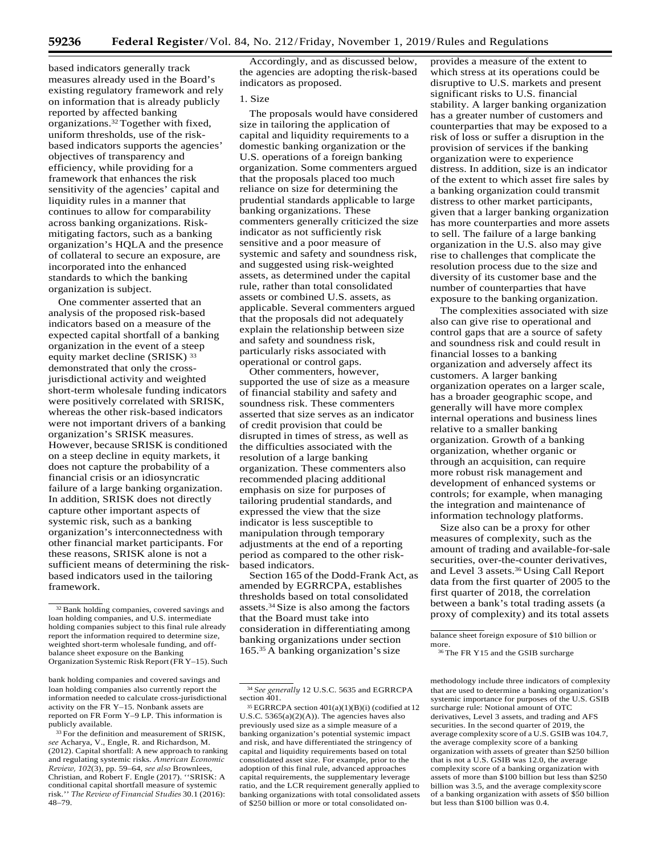based indicators generally track measures already used in the Board's existing regulatory framework and rely on information that is already publicly reported by affected banking organizations.32 Together with fixed, uniform thresholds, use of the riskbased indicators supports the agencies' objectives of transparency and efficiency, while providing for a framework that enhances the risk sensitivity of the agencies' capital and liquidity rules in a manner that continues to allow for comparability across banking organizations. Riskmitigating factors, such as a banking organization's HQLA and the presence of collateral to secure an exposure, are incorporated into the enhanced standards to which the banking organization is subject.

One commenter asserted that an analysis of the proposed risk-based indicators based on a measure of the expected capital shortfall of a banking organization in the event of a steep equity market decline (SRISK)<sup>33</sup> demonstrated that only the crossjurisdictional activity and weighted short-term wholesale funding indicators were positively correlated with SRISK, whereas the other risk-based indicators were not important drivers of a banking organization's SRISK measures. However, because SRISK is conditioned on a steep decline in equity markets, it does not capture the probability of a financial crisis or an idiosyncratic failure of a large banking organization. In addition, SRISK does not directly capture other important aspects of systemic risk, such as a banking organization's interconnectedness with other financial market participants. For these reasons, SRISK alone is not a sufficient means of determining the riskbased indicators used in the tailoring framework.

Accordingly, and as discussed below, the agencies are adopting therisk-based indicators as proposed.

## 1. Size

The proposals would have considered size in tailoring the application of capital and liquidity requirements to a domestic banking organization or the U.S. operations of a foreign banking organization. Some commenters argued that the proposals placed too much reliance on size for determining the prudential standards applicable to large banking organizations. These commenters generally criticized the size indicator as not sufficiently risk sensitive and a poor measure of systemic and safety and soundness risk, and suggested using risk-weighted assets, as determined under the capital rule, rather than total consolidated assets or combined U.S. assets, as applicable. Several commenters argued that the proposals did not adequately explain the relationship between size and safety and soundness risk, particularly risks associated with operational or control gaps.

Other commenters, however, supported the use of size as a measure of financial stability and safety and soundness risk. These commenters asserted that size serves as an indicator of credit provision that could be disrupted in times of stress, as well as the difficulties associated with the resolution of a large banking organization. These commenters also recommended placing additional emphasis on size for purposes of tailoring prudential standards, and expressed the view that the size indicator is less susceptible to manipulation through temporary adjustments at the end of a reporting period as compared to the other riskbased indicators.

Section 165 of the Dodd-Frank Act, as amended by EGRRCPA, establishes thresholds based on total consolidated assets.34 Size is also among the factors that the Board must take into consideration in differentiating among banking organizations under section 165.<sup>35</sup> A banking organization's size

provides a measure of the extent to which stress at its operations could be disruptive to U.S. markets and present significant risks to U.S. financial stability. A larger banking organization has a greater number of customers and counterparties that may be exposed to a risk of loss or suffer a disruption in the provision of services if the banking organization were to experience distress. In addition, size is an indicator of the extent to which asset fire sales by a banking organization could transmit distress to other market participants, given that a larger banking organization has more counterparties and more assets to sell. The failure of a large banking organization in the U.S. also may give rise to challenges that complicate the resolution process due to the size and diversity of its customer base and the number of counterparties that have exposure to the banking organization.

The complexities associated with size also can give rise to operational and control gaps that are a source of safety and soundness risk and could result in financial losses to a banking organization and adversely affect its customers. A larger banking organization operates on a larger scale, has a broader geographic scope, and generally will have more complex internal operations and business lines relative to a smaller banking organization. Growth of a banking organization, whether organic or through an acquisition, can require more robust risk management and development of enhanced systems or controls; for example, when managing the integration and maintenance of information technology platforms.

Size also can be a proxy for other measures of complexity, such as the amount of trading and available-for-sale securities, over-the-counter derivatives, and Level 3 assets.36 Using Call Report data from the first quarter of 2005 to the first quarter of 2018, the correlation between a bank's total trading assets (a proxy of complexity) and its total assets

that are used to determine a banking organization's systemic importance for purposes of the U.S. GSIB surcharge rule: Notional amount of OTC derivatives, Level 3 assets, and trading and AFS securities. In the second quarter of 2019, the average complexity score of a U.S. GSIB was 104.7, the average complexity score of a banking organization with assets of greater than \$250 billion that is not a U.S. GSIB was 12.0, the average complexity score of a banking organization with assets of more than \$100 billion but less than \$250 billion was 3.5, and the average complexityscore of a banking organization with assets of \$50 billion but less than \$100 billion was 0.4.

<sup>32</sup> Bank holding companies, covered savings and loan holding companies, and U.S. intermediate holding companies subject to this final rule already report the information required to determine size, weighted short-term wholesale funding, and offbalance sheet exposure on the Banking Organization Systemic Risk Report(FR Y–15). Such

bank holding companies and covered savings and methodology include three indicators of complexity loan holding companies also currently report the information needed to calculate cross-jurisdictional activity on the FR Y–15. Nonbank assets are reported on FR Form Y–9 LP. This information is publicly available.

<sup>&</sup>lt;sup>33</sup> For the definition and measurement of SRISK, *see* Acharya, V., Engle, R. and Richardson, M. (2012). Capital shortfall: A new approach to ranking and regulating systemic risks. *American Economic Review, 102*(3), pp. 59–64, *see also* Brownlees, Christian, and Robert F. Engle (2017). ''SRISK: A conditional capital shortfall measure of systemic risk.'' *The Review of Financial Studies* 30.1 (2016): 48–79.

<sup>34</sup>*See generally* 12 U.S.C. 5635 and EGRRCPA section 401.

<sup>35</sup> EGRRCPA section 401(a)(1)(B)(i) (codified at 12 U.S.C. 5365(a)(2)(A)). The agencies haves also previously used size as a simple measure of a banking organization's potential systemic impact and risk, and have differentiated the stringency of capital and liquidity requirements based on total consolidated asset size. For example, prior to the adoption of this final rule, advanced approaches capital requirements, the supplementary leverage ratio, and the LCR requirement generally applied to banking organizations with total consolidated assets of \$250 billion or more or total consolidated on-

balance sheet foreign exposure of \$10 billion or more.

<sup>36</sup> The FR Y15 and the GSIB surcharge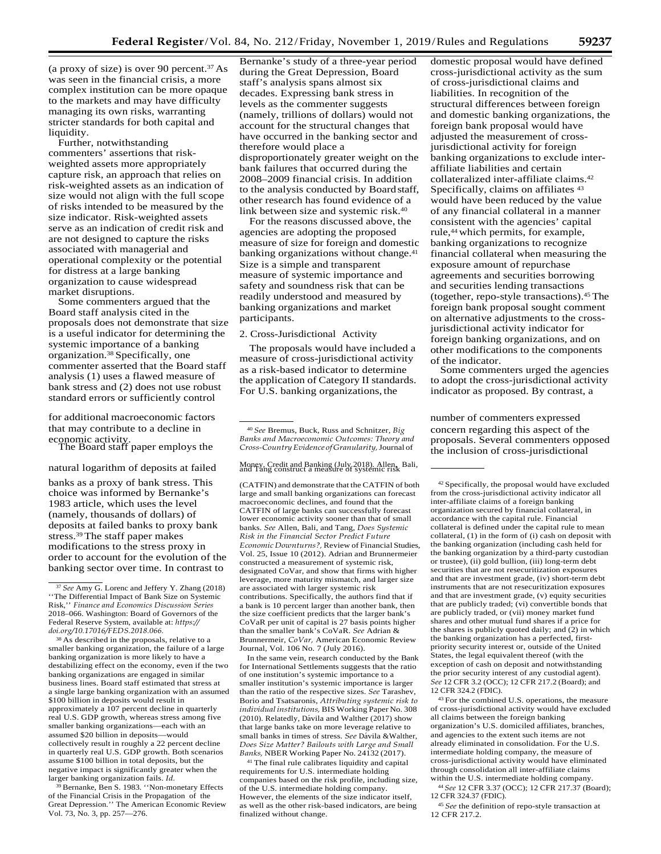(a proxy of size) is over 90 percent. $37$  As was seen in the financial crisis, a more complex institution can be more opaque to the markets and may have difficulty managing its own risks, warranting stricter standards for both capital and liquidity.

Further, notwithstanding commenters' assertions that riskweighted assets more appropriately capture risk, an approach that relies on risk-weighted assets as an indication of size would not align with the full scope of risks intended to be measured by the size indicator. Risk-weighted assets serve as an indication of credit risk and are not designed to capture the risks associated with managerial and operational complexity or the potential for distress at a large banking organization to cause widespread market disruptions.

Some commenters argued that the Board staff analysis cited in the proposals does not demonstrate that size is a useful indicator for determining the systemic importance of a banking organization.38 Specifically, one commenter asserted that the Board staff analysis (1) uses a flawed measure of bank stress and (2) does not use robust standard errors or sufficiently control

for additional macroeconomic factors **number of commenters expressed** that may contribute to a decline in economic activity. The Board staff paper employs the

banks as a proxy of bank stress. This choice was informed by Bernanke's 1983 article, which uses the level (namely, thousands of dollars) of deposits at failed banks to proxy bank stress.39 The staff paper makes modifications to the stress proxy in order to account for the evolution of the banking sector over time. In contrast to

38 As described in the proposals, relative to a smaller banking organization, the failure of a large banking organization is more likely to have a destabilizing effect on the economy, even if the two banking organizations are engaged in similar business lines. Board staff estimated that stress at a single large banking organization with an assumed \$100 billion in deposits would result in approximately a 107 percent decline in quarterly real U.S. GDP growth, whereas stress among five smaller banking organizations—each with an assumed \$20 billion in deposits—would collectively result in roughly a 22 percent decline in quarterly real U.S. GDP growth. Both scenarios assume \$100 billion in total deposits, but the negative impact is significantly greater when the larger banking organization fails. *Id.*

39 Bernanke, Ben S. 1983. ''Non-monetary Effects of the Financial Crisis in the Propagation of the Great Depression.'' The American Economic Review Vol. 73, No. 3, pp. 257—276.

Bernanke's study of a three-year period during the Great Depression, Board staff's analysis spans almost six decades. Expressing bank stress in levels as the commenter suggests (namely, trillions of dollars) would not account for the structural changes that have occurred in the banking sector and therefore would place a disproportionately greater weight on the bank failures that occurred during the 2008–2009 financial crisis. In addition to the analysis conducted by Boardstaff, other research has found evidence of a link between size and systemic risk.40

For the reasons discussed above, the agencies are adopting the proposed measure of size for foreign and domestic banking organizations without change.<sup>41</sup> Size is a simple and transparent measure of systemic importance and safety and soundness risk that can be readily understood and measured by banking organizations and market participants.

## 2. Cross-Jurisdictional Activity

The proposals would have included a measure of cross-jurisdictional activity as a risk-based indicator to determine the application of Category II standards. For U.S. banking organizations, the

<sup>40</sup>*See* Bremus, Buck, Russ and Schnitzer, *Big Banks and Macroeconomic Outcomes: Theory and Cross-CountryEvidence of Granularity,*Journal of

## natural logarithm of deposits at failed Money, Credit and Banking (July 2018). Allen, Bali, and Tang construct a measure of systemic risk

(CATFIN) and demonstrate that the CATFIN of both large and small banking organizations can forecast macroeconomic declines, and found that the CATFIN of large banks can successfully forecast lower economic activity sooner than that of small banks. *See* Allen, Bali, and Tang, *Does Systemic Risk in the Financial Sector Predict Future Economic Downturns?,* Review of Financial Studies, Vol. 25, Issue 10 (2012). Adrian and Brunnermeier constructed a measurement of systemic risk, designated CoVar, and show that firms with higher leverage, more maturity mismatch, and larger size are associated with larger systemic risk contributions. Specifically, the authors find that if a bank is 10 percent larger than another bank, then the size coefficient predicts that the larger bank's CoVaR per unit of capital is 27 basis points higher than the smaller bank's CoVaR. *See* Adrian & Brunnermeir, *CoVar,* American Economic Review Journal, Vol. 106 No. 7 (July 2016).

In the same vein, research conducted by the Bank for International Settlements suggests that the ratio of one institution's systemic importance to a smaller institution's systemic importance is larger than the ratio of the respective sizes. *See* Tarashev, Borio and Tsatsaronis, *Attributing systemic risk to individual institutions,* BIS Working Paper No. 308 (2010). Relatedly, Dávila and Walther (2017) show that large banks take on more leverage relative to small banks in times of stress. See Dávila &Walther, *Does Size Matter? Bailouts with Large and Small Banks,* NBER Working Paper No. 24132 (2017).

41 The final rule calibrates liquidity and capital requirements for U.S. intermediate holding companies based on the risk profile, including size, of the U.S. intermediate holding company. However, the elements of the size indicator itself, as well as the other risk-based indicators, are being finalized without change.

domestic proposal would have defined cross-jurisdictional activity as the sum of cross-jurisdictional claims and liabilities. In recognition of the structural differences between foreign and domestic banking organizations, the foreign bank proposal would have adjusted the measurement of crossjurisdictional activity for foreign banking organizations to exclude interaffiliate liabilities and certain collateralized inter-affiliate claims.42 Specifically, claims on affiliates  $43$ would have been reduced by the value of any financial collateral in a manner consistent with the agencies' capital rule,44 which permits, for example, banking organizations to recognize financial collateral when measuring the exposure amount of repurchase agreements and securities borrowing and securities lending transactions (together, repo-style transactions).45 The foreign bank proposal sought comment on alternative adjustments to the crossjurisdictional activity indicator for foreign banking organizations, and on other modifications to the components of the indicator.

Some commenters urged the agencies to adopt the cross-jurisdictional activity indicator as proposed. By contrast, a

concern regarding this aspect of the proposals. Several commenters opposed the inclusion of cross-jurisdictional

43 For the combined U.S. operations, the measure of cross-jurisdictional activity would have excluded all claims between the foreign banking organization's U.S. domiciled affiliates, branches, and agencies to the extent such items are not already eliminated in consolidation. For the U.S. intermediate holding company, the measure of cross-jurisdictional activity would have eliminated through consolidation all inter-affiliate claims within the U.S. intermediate holding company.

<sup>44</sup>*See* 12 CFR 3.37 (OCC); 12 CFR 217.37 (Board); 12 CFR 324.37 (FDIC).

<sup>45</sup>*See* the definition of repo-style transaction at 12 CFR 217.2.

<sup>&</sup>lt;sup>37</sup> See Amy G. Lorenc and Jeffery Y. Zhang (2018) ''The Differential Impact of Bank Size on Systemic Risk,'' *Finance and Economics Discussion Series*  2018–066. Washington: Board of Governors of the Federal Reserve System, available at: *[https://](https://doi.org/10.17016/FEDS.2018.066) [doi.org/10.17016/FEDS.2018.066.](https://doi.org/10.17016/FEDS.2018.066)*

<sup>42</sup> Specifically, the proposal would have excluded from the cross-jurisdictional activity indicator all inter-affiliate claims of a foreign banking organization secured by financial collateral, in accordance with the capital rule. Financial collateral is defined under the capital rule to mean collateral, (1) in the form of (i) cash on deposit with the banking organization (including cash held for the banking organization by a third-party custodian or trustee), (ii) gold bullion, (iii) long-term debt securities that are not resecuritization exposures and that are investment grade, (iv) short-term debt instruments that are not resecuritization exposures and that are investment grade, (v) equity securities that are publicly traded; (vi) convertible bonds that are publicly traded, or (vii) money market fund shares and other mutual fund shares if a price for the shares is publicly quoted daily; and (2) in which the banking organization has a perfected, firstpriority security interest or, outside of the United States, the legal equivalent thereof (with the exception of cash on deposit and notwithstanding the prior security interest of any custodial agent). *See* 12 CFR 3.2 (OCC); 12 CFR 217.2 (Board); and 12 CFR 324.2 (FDIC).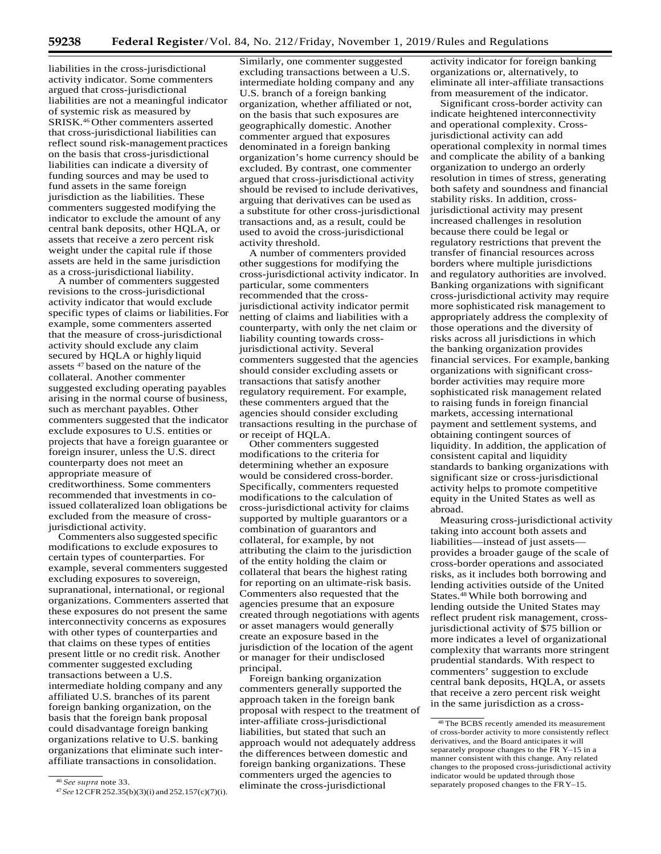liabilities in the cross-jurisdictional activity indicator. Some commenters argued that cross-jurisdictional liabilities are not a meaningful indicator of systemic risk as measured by SRISK.46 Other commenters asserted that cross-jurisdictional liabilities can reflect sound risk-management practices on the basis that cross-jurisdictional liabilities can indicate a diversity of funding sources and may be used to fund assets in the same foreign jurisdiction as the liabilities. These commenters suggested modifying the indicator to exclude the amount of any central bank deposits, other HQLA, or assets that receive a zero percent risk weight under the capital rule if those assets are held in the same jurisdiction as a cross-jurisdictional liability.

A number of commenters suggested revisions to the cross-jurisdictional activity indicator that would exclude specific types of claims or liabilities.For example, some commenters asserted that the measure of cross-jurisdictional activity should exclude any claim secured by HQLA or highly liquid assets 47 based on the nature of the collateral. Another commenter suggested excluding operating payables arising in the normal course of business, such as merchant payables. Other commenters suggested that the indicator exclude exposures to U.S. entities or projects that have a foreign guarantee or foreign insurer, unless the U.S. direct counterparty does not meet an appropriate measure of creditworthiness. Some commenters recommended that investments in coissued collateralized loan obligations be excluded from the measure of crossjurisdictional activity.

Commenters also suggested specific modifications to exclude exposures to certain types of counterparties. For example, several commenters suggested excluding exposures to sovereign, supranational, international, or regional organizations. Commenters asserted that these exposures do not present the same interconnectivity concerns as exposures with other types of counterparties and that claims on these types of entities present little or no credit risk. Another commenter suggested excluding transactions between a U.S. intermediate holding company and any affiliated U.S. branches of its parent foreign banking organization, on the basis that the foreign bank proposal could disadvantage foreign banking organizations relative to U.S. banking organizations that eliminate such interaffiliate transactions in consolidation.

Similarly, one commenter suggested excluding transactions between a U.S. intermediate holding company and any U.S. branch of a foreign banking organization, whether affiliated or not, on the basis that such exposures are geographically domestic. Another commenter argued that exposures denominated in a foreign banking organization's home currency should be excluded. By contrast, one commenter argued that cross-jurisdictional activity should be revised to include derivatives, arguing that derivatives can be used as a substitute for other cross-jurisdictional transactions and, as a result, could be used to avoid the cross-jurisdictional activity threshold.

A number of commenters provided other suggestions for modifying the cross-jurisdictional activity indicator. In particular, some commenters recommended that the crossjurisdictional activity indicator permit netting of claims and liabilities with a counterparty, with only the net claim or liability counting towards crossjurisdictional activity. Several commenters suggested that the agencies should consider excluding assets or transactions that satisfy another regulatory requirement. For example, these commenters argued that the agencies should consider excluding transactions resulting in the purchase of or receipt of HQLA.

Other commenters suggested modifications to the criteria for determining whether an exposure would be considered cross-border. Specifically, commenters requested modifications to the calculation of cross-jurisdictional activity for claims supported by multiple guarantors or a combination of guarantors and collateral, for example, by not attributing the claim to the jurisdiction of the entity holding the claim or collateral that bears the highest rating for reporting on an ultimate-risk basis. Commenters also requested that the agencies presume that an exposure created through negotiations with agents or asset managers would generally create an exposure based in the jurisdiction of the location of the agent or manager for their undisclosed principal.

Foreign banking organization commenters generally supported the approach taken in the foreign bank proposal with respect to the treatment of inter-affiliate cross-jurisdictional liabilities, but stated that such an approach would not adequately address the differences between domestic and foreign banking organizations. These commenters urged the agencies to eliminate the cross-jurisdictional

activity indicator for foreign banking organizations or, alternatively, to eliminate all inter-affiliate transactions from measurement of the indicator.

Significant cross-border activity can indicate heightened interconnectivity and operational complexity. Crossjurisdictional activity can add operational complexity in normal times and complicate the ability of a banking organization to undergo an orderly resolution in times of stress, generating both safety and soundness and financial stability risks. In addition, crossjurisdictional activity may present increased challenges in resolution because there could be legal or regulatory restrictions that prevent the transfer of financial resources across borders where multiple jurisdictions and regulatory authorities are involved. Banking organizations with significant cross-jurisdictional activity may require more sophisticated risk management to appropriately address the complexity of those operations and the diversity of risks across all jurisdictions in which the banking organization provides financial services. For example, banking organizations with significant crossborder activities may require more sophisticated risk management related to raising funds in foreign financial markets, accessing international payment and settlement systems, and obtaining contingent sources of liquidity. In addition, the application of consistent capital and liquidity standards to banking organizations with significant size or cross-jurisdictional activity helps to promote competitive equity in the United States as well as abroad.

Measuring cross-jurisdictional activity taking into account both assets and liabilities—instead of just assets provides a broader gauge of the scale of cross-border operations and associated risks, as it includes both borrowing and lending activities outside of the United States.48 While both borrowing and lending outside the United States may reflect prudent risk management, crossjurisdictional activity of \$75 billion or more indicates a level of organizational complexity that warrants more stringent prudential standards. With respect to commenters' suggestion to exclude central bank deposits, HQLA, or assets that receive a zero percent risk weight in the same jurisdiction as a cross-

<sup>46</sup>*See supra* note 33.

<sup>47</sup>*See* 12CFR252.35(b)(3)(i) and 252.157(c)(7)(i).

<sup>48</sup> The BCBS recently amended its measurement of cross-border activity to more consistently reflect derivatives, and the Board anticipates it will separately propose changes to the FR Y–15 in a manner consistent with this change. Any related changes to the proposed cross-jurisdictional activity indicator would be updated through those separately proposed changes to the FRY–15.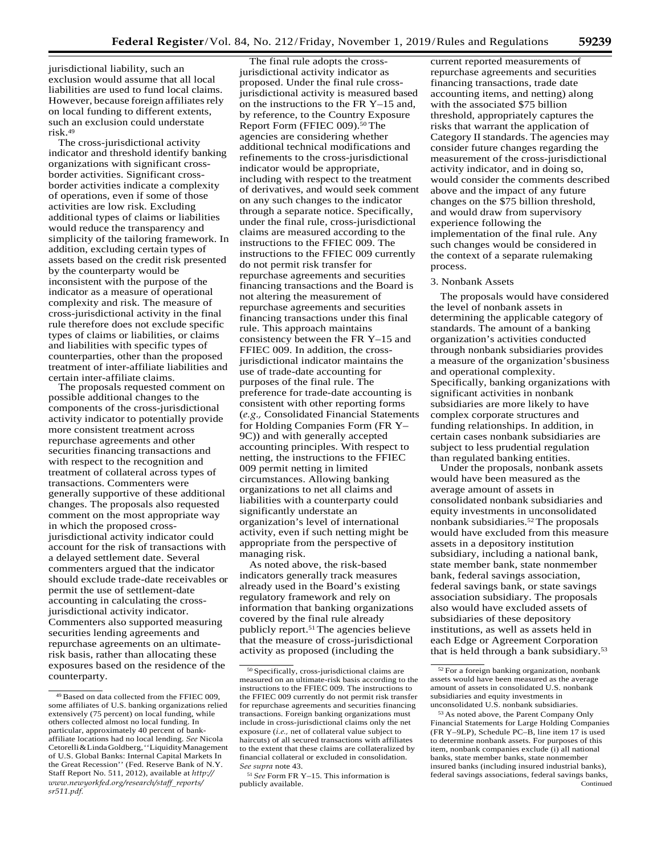jurisdictional liability, such an exclusion would assume that all local liabilities are used to fund local claims. However, because foreign affiliates rely on local funding to different extents, such an exclusion could understate risk.49

The cross-jurisdictional activity indicator and threshold identify banking organizations with significant crossborder activities. Significant crossborder activities indicate a complexity of operations, even if some of those activities are low risk. Excluding additional types of claims or liabilities would reduce the transparency and simplicity of the tailoring framework. In addition, excluding certain types of assets based on the credit risk presented by the counterparty would be inconsistent with the purpose of the indicator as a measure of operational complexity and risk. The measure of cross-jurisdictional activity in the final rule therefore does not exclude specific types of claims or liabilities, or claims and liabilities with specific types of counterparties, other than the proposed treatment of inter-affiliate liabilities and certain inter-affiliate claims.

The proposals requested comment on possible additional changes to the components of the cross-jurisdictional activity indicator to potentially provide more consistent treatment across repurchase agreements and other securities financing transactions and with respect to the recognition and treatment of collateral across types of transactions. Commenters were generally supportive of these additional changes. The proposals also requested comment on the most appropriate way in which the proposed crossjurisdictional activity indicator could account for the risk of transactions with a delayed settlement date. Several commenters argued that the indicator should exclude trade-date receivables or permit the use of settlement-date accounting in calculating the crossjurisdictional activity indicator. Commenters also supported measuring securities lending agreements and repurchase agreements on an ultimaterisk basis, rather than allocating these exposures based on the residence of the counterparty.

The final rule adopts the crossjurisdictional activity indicator as proposed. Under the final rule crossjurisdictional activity is measured based on the instructions to the FR Y–15 and, by reference, to the Country Exposure Report Form (FFIEC 009).<sup>50</sup> The agencies are considering whether additional technical modifications and refinements to the cross-jurisdictional indicator would be appropriate, including with respect to the treatment of derivatives, and would seek comment on any such changes to the indicator through a separate notice. Specifically, under the final rule, cross-jurisdictional claims are measured according to the instructions to the FFIEC 009. The instructions to the FFIEC 009 currently do not permit risk transfer for repurchase agreements and securities financing transactions and the Board is not altering the measurement of repurchase agreements and securities financing transactions under this final rule. This approach maintains consistency between the FR Y–15 and FFIEC 009. In addition, the crossjurisdictional indicator maintains the use of trade-date accounting for purposes of the final rule. The preference for trade-date accounting is consistent with other reporting forms (*e.g.,* Consolidated Financial Statements for Holding Companies Form (FR Y– 9C)) and with generally accepted accounting principles. With respect to netting, the instructions to the FFIEC 009 permit netting in limited circumstances. Allowing banking organizations to net all claims and liabilities with a counterparty could significantly understate an organization's level of international activity, even if such netting might be appropriate from the perspective of managing risk.

As noted above, the risk-based indicators generally track measures already used in the Board's existing regulatory framework and rely on information that banking organizations covered by the final rule already publicly report.51 The agencies believe that the measure of cross-jurisdictional activity as proposed (including the

current reported measurements of repurchase agreements and securities financing transactions, trade date accounting items, and netting) along with the associated \$75 billion threshold, appropriately captures the risks that warrant the application of Category II standards. The agencies may consider future changes regarding the measurement of the cross-jurisdictional activity indicator, and in doing so, would consider the comments described above and the impact of any future changes on the \$75 billion threshold, and would draw from supervisory experience following the implementation of the final rule. Any such changes would be considered in the context of a separate rulemaking process.

#### 3. Nonbank Assets

The proposals would have considered the level of nonbank assets in determining the applicable category of standards. The amount of a banking organization's activities conducted through nonbank subsidiaries provides a measure of the organization'sbusiness and operational complexity. Specifically, banking organizations with significant activities in nonbank subsidiaries are more likely to have complex corporate structures and funding relationships. In addition, in certain cases nonbank subsidiaries are subject to less prudential regulation than regulated banking entities.

Under the proposals, nonbank assets would have been measured as the average amount of assets in consolidated nonbank subsidiaries and equity investments in unconsolidated nonbank subsidiaries.52 The proposals would have excluded from this measure assets in a depository institution subsidiary, including a national bank, state member bank, state nonmember bank, federal savings association, federal savings bank, or state savings association subsidiary. The proposals also would have excluded assets of subsidiaries of these depository institutions, as well as assets held in each Edge or Agreement Corporation that is held through a bank subsidiary.<sup>53</sup>

<sup>49</sup> Based on data collected from the FFIEC 009, some affiliates of U.S. banking organizations relied extensively (75 percent) on local funding, while others collected almost no local funding. In particular, approximately 40 percent of bankaffiliate locations had no local lending. *See* Nicola Cetorelli&LindaGoldberg,''LiquidityManagement of U.S. Global Banks: Internal Capital Markets In the Great Recession'' (Fed. Reserve Bank of N.Y. Staff Report No. 511, 2012), available at *[http://](http://www.newyorkfed.org/research/staff_reports/sr511.pdf) [www.newyorkfed.org/research/staff](http://www.newyorkfed.org/research/staff_reports/sr511.pdf)*\_*reports/ [sr511.pdf.](http://www.newyorkfed.org/research/staff_reports/sr511.pdf)*

<sup>50</sup> Specifically, cross-jurisdictional claims are measured on an ultimate-risk basis according to the instructions to the FFIEC 009. The instructions to the FFIEC 009 currently do not permit risk transfer for repurchase agreements and securities financing transactions. Foreign banking organizations must include in cross-jurisdictional claims only the net exposure (*i.e.,* net of collateral value subject to haircuts) of all secured transactions with affiliates to the extent that these claims are collateralized by financial collateral or excluded in consolidation. *See supra* note 43.

<sup>51</sup> *See* Form FR Y–15. This information is publicly available.

<sup>52</sup> For a foreign banking organization, nonbank assets would have been measured as the average amount of assets in consolidated U.S. nonbank subsidiaries and equity investments in unconsolidated U.S. nonbank subsidiaries.

<sup>53</sup> As noted above, the Parent Company Only Financial Statements for Large Holding Companies (FR Y–9LP), Schedule PC–B, line item 17 is used to determine nonbank assets. For purposes of this item, nonbank companies exclude (i) all national banks, state member banks, state nonmember insured banks (including insured industrial banks), federal savings associations, federal savings banks, Continued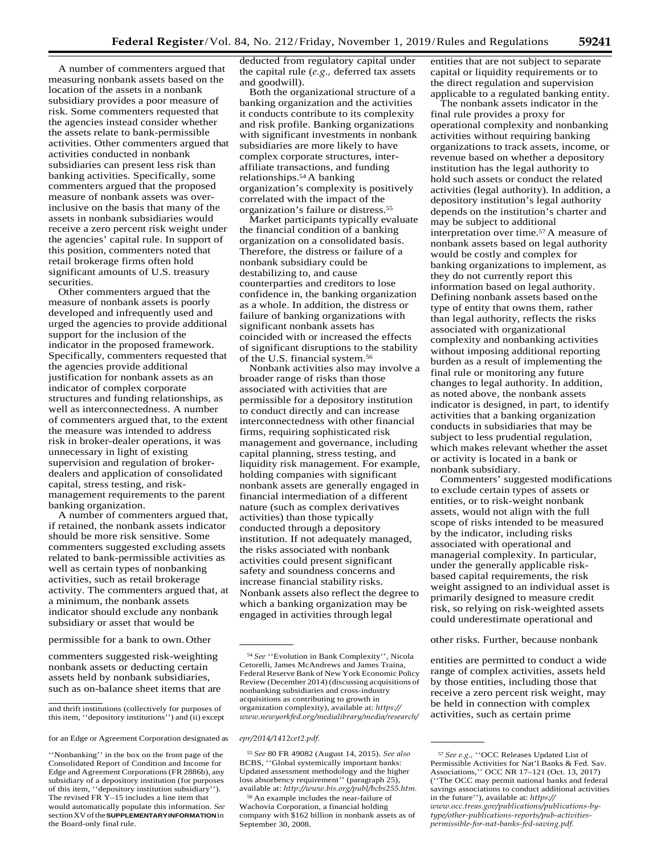A number of commenters argued that measuring nonbank assets based on the location of the assets in a nonbank subsidiary provides a poor measure of risk. Some commenters requested that the agencies instead consider whether the assets relate to bank-permissible activities. Other commenters argued that activities conducted in nonbank subsidiaries can present less risk than banking activities. Specifically, some commenters argued that the proposed measure of nonbank assets was overinclusive on the basis that many of the assets in nonbank subsidiaries would receive a zero percent risk weight under the agencies' capital rule. In support of this position, commenters noted that retail brokerage firms often hold significant amounts of U.S. treasury securities.

Other commenters argued that the measure of nonbank assets is poorly developed and infrequently used and urged the agencies to provide additional support for the inclusion of the indicator in the proposed framework. Specifically, commenters requested that the agencies provide additional justification for nonbank assets as an indicator of complex corporate structures and funding relationships, as well as interconnectedness. A number of commenters argued that, to the extent the measure was intended to address risk in broker-dealer operations, it was unnecessary in light of existing supervision and regulation of brokerdealers and application of consolidated capital, stress testing, and riskmanagement requirements to the parent banking organization.

A number of commenters argued that, if retained, the nonbank assets indicator should be more risk sensitive. Some commenters suggested excluding assets related to bank-permissible activities as well as certain types of nonbanking activities, such as retail brokerage activity. The commenters argued that, at a minimum, the nonbank assets indicator should exclude any nonbank subsidiary or asset that would be

commenters suggested risk-weighting nonbank assets or deducting certain assets held by nonbank subsidiaries, such as on-balance sheet items that are deducted from regulatory capital under the capital rule (*e.g.,* deferred tax assets and goodwill).

Both the organizational structure of a banking organization and the activities it conducts contribute to its complexity and risk profile. Banking organizations with significant investments in nonbank subsidiaries are more likely to have complex corporate structures, interaffiliate transactions, and funding relationships.54 A banking organization's complexity is positively correlated with the impact of the organization's failure or distress.55

Market participants typically evaluate the financial condition of a banking organization on a consolidated basis. Therefore, the distress or failure of a nonbank subsidiary could be destabilizing to, and cause counterparties and creditors to lose confidence in, the banking organization as a whole. In addition, the distress or failure of banking organizations with significant nonbank assets has coincided with or increased the effects of significant disruptions to the stability of the U.S. financial system.56

Nonbank activities also may involve a broader range of risks than those associated with activities that are permissible for a depository institution to conduct directly and can increase interconnectedness with other financial firms, requiring sophisticated risk management and governance, including capital planning, stress testing, and liquidity risk management. For example, holding companies with significant nonbank assets are generally engaged in financial intermediation of a different nature (such as complex derivatives activities) than those typically conducted through a depository institution. If not adequately managed, the risks associated with nonbank activities could present significant safety and soundness concerns and increase financial stability risks. Nonbank assets also reflect the degree to which a banking organization may be engaged in activities through legal

<sup>55</sup>*See* 80 FR 49082 (August 14, 2015). *See also*  BCBS, ''Global systemically important banks: Updated assessment methodology and the higher loss absorbency requirement'' (paragraph 25), available at: *[http://www.bis.org/publ/bcbs255.htm.](http://www.bis.org/publ/bcbs255.htm)*

56 An example includes the near-failure of Wachovia Corporation, a financial holding company with \$162 billion in nonbank assets as of September 30, 2008.

entities that are not subject to separate capital or liquidity requirements or to the direct regulation and supervision applicable to a regulated banking entity.

The nonbank assets indicator in the final rule provides a proxy for operational complexity and nonbanking activities without requiring banking organizations to track assets, income, or revenue based on whether a depository institution has the legal authority to hold such assets or conduct the related activities (legal authority). In addition, a depository institution's legal authority depends on the institution's charter and may be subject to additional interpretation over time.57 A measure of nonbank assets based on legal authority would be costly and complex for banking organizations to implement, as they do not currently report this information based on legal authority. Defining nonbank assets based onthe type of entity that owns them, rather than legal authority, reflects the risks associated with organizational complexity and nonbanking activities without imposing additional reporting burden as a result of implementing the final rule or monitoring any future changes to legal authority. In addition, as noted above, the nonbank assets indicator is designed, in part, to identify activities that a banking organization conducts in subsidiaries that may be subject to less prudential regulation, which makes relevant whether the asset or activity is located in a bank or nonbank subsidiary.

Commenters' suggested modifications to exclude certain types of assets or entities, or to risk-weight nonbank assets, would not align with the full scope of risks intended to be measured by the indicator, including risks associated with operational and managerial complexity. In particular, under the generally applicable riskbased capital requirements, the risk weight assigned to an individual asset is primarily designed to measure credit risk, so relying on risk-weighted assets could underestimate operational and

permissible for a bank to own. Other **other contained a contained a contained by the contained by the contained part of the contained by the contained part of the contained by the contained by the contained by the containe** 

entities are permitted to conduct a wide range of complex activities, assets held by those entities, including those that receive a zero percent risk weight, may be held in connection with complex activities, such as certain prime

and thrift institutions (collectively for purposes of this item, ''depository institutions'') and (ii) except

for an Edge or Agreement Corporation designated as *[epr/2014/1412cet2.pdf.](https://www.newyorkfed.org/medialibrary/media/research/epr/2014/1412cet2.pdf)*

<sup>&#</sup>x27;'Nonbanking'' in the box on the front page of the Consolidated Report of Condition and Income for Edge and Agreement Corporations(FR 2886b), any subsidiary of a depository institution (for purposes of this item, ''depository institution subsidiary''). The revised FR Y–15 includes a line item that would automatically populate this information. *See*  sectionXVofthe**SUPPLEMENTARYINFORMATION**in the Board-only final rule.

<sup>54</sup>*See* ''Evolution in Bank Complexity'', Nicola Cetorelli, James McAndrews and James Traina, Federal Reserve Bank of New York Economic Policy Review (December 2014) (discussing acquisitions of nonbanking subsidiaries and cross-industry acquisitions as contributing to growth in organization complexity), available at: *[https://](https://www.newyorkfed.org/medialibrary/media/research/epr/2014/1412cet2.pdf) [www.newyorkfed.org/medialibrary/media/research/](https://www.newyorkfed.org/medialibrary/media/research/epr/2014/1412cet2.pdf)*

<sup>57</sup>*See e.g.,* ''OCC Releases Updated List of Permissible Activities for Nat'l Banks & Fed. Sav. Associations,'' OCC NR 17–121 (Oct. 13, 2017) (''The OCC may permit national banks and federal savings associations to conduct additional activities in the future''), available at: *[https://](https://www.occ.treas.gov/publications/publications-by-type/other-publications-reports/pub-activities-permissible-for-nat-banks-fed-saving.pdf) [www.occ.treas.gov/publications/publications-by](https://www.occ.treas.gov/publications/publications-by-type/other-publications-reports/pub-activities-permissible-for-nat-banks-fed-saving.pdf)[type/other-publications-reports/pub-activities](https://www.occ.treas.gov/publications/publications-by-type/other-publications-reports/pub-activities-permissible-for-nat-banks-fed-saving.pdf)[permissible-for-nat-banks-fed-saving.pdf.](https://www.occ.treas.gov/publications/publications-by-type/other-publications-reports/pub-activities-permissible-for-nat-banks-fed-saving.pdf)*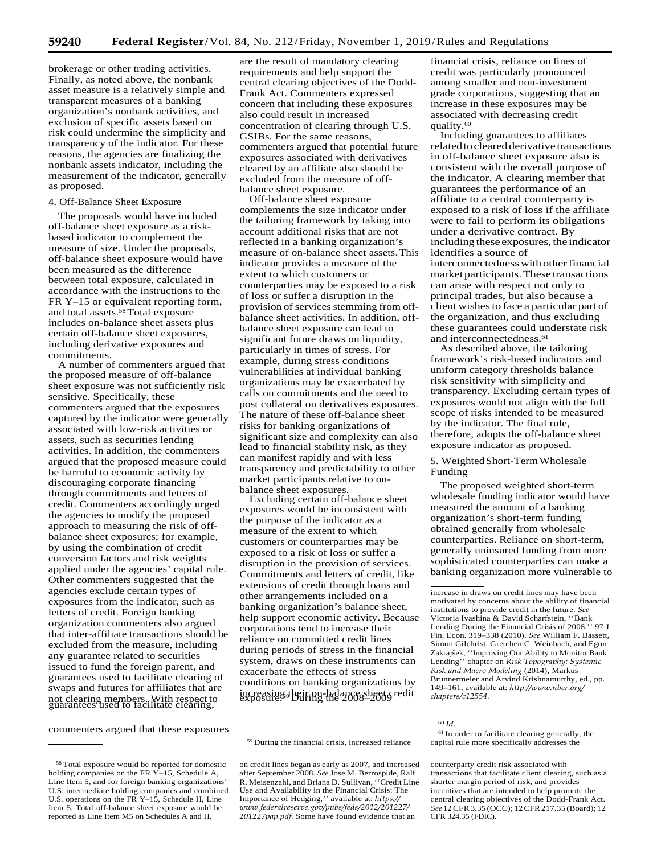brokerage or other trading activities. Finally, as noted above, the nonbank asset measure is a relatively simple and transparent measures of a banking organization's nonbank activities, and exclusion of specific assets based on risk could undermine the simplicity and transparency of the indicator. For these reasons, the agencies are finalizing the nonbank assets indicator, including the measurement of the indicator, generally as proposed.

#### 4. Off-Balance Sheet Exposure

The proposals would have included off-balance sheet exposure as a riskbased indicator to complement the measure of size. Under the proposals, off-balance sheet exposure would have been measured as the difference between total exposure, calculated in accordance with the instructions to the FR Y–15 or equivalent reporting form, and total assets.58 Total exposure includes on-balance sheet assets plus certain off-balance sheet exposures, including derivative exposures and commitments. A number of commenters argued that

the proposed measure of off-balance sheet exposure was not sufficiently risk sensitive. Specifically, these commenters argued that the exposures captured by the indicator were generally associated with low-risk activities or assets, such as securities lending activities. In addition, the commenters argued that the proposed measure could be harmful to economic activity by discouraging corporate financing through commitments and letters of credit. Commenters accordingly urged the agencies to modify the proposed approach to measuring the risk of offbalance sheet exposures; for example, by using the combination of credit conversion factors and risk weights applied under the agencies' capital rule. Other commenters suggested that the agencies exclude certain types of exposures from the indicator, such as letters of credit. Foreign banking organization commenters also argued that inter-affiliate transactions should be excluded from the measure, including any guarantee related to securities issued to fund the foreign parent, and guarantees used to facilitate clearing of swaps and futures for affiliates that are not clearing members. With respect to guarantees used to facilitate clearing,

commenters argued that these exposures

are the result of mandatory clearing requirements and help support the central clearing objectives of the Dodd-Frank Act. Commenters expressed concern that including these exposures also could result in increased concentration of clearing through U.S. GSIBs. For the same reasons, commenters argued that potential future exposures associated with derivatives cleared by an affiliate also should be excluded from the measure of offbalance sheet exposure.

Off-balance sheet exposure complements the size indicator under the tailoring framework by taking into account additional risks that are not reflected in a banking organization's measure of on-balance sheet assets.This indicator provides a measure of the extent to which customers or counterparties may be exposed to a risk of loss or suffer a disruption in the provision of services stemming from offbalance sheet activities. In addition, offbalance sheet exposure can lead to significant future draws on liquidity, particularly in times of stress. For example, during stress conditions vulnerabilities at individual banking organizations may be exacerbated by calls on commitments and the need to post collateral on derivatives exposures. The nature of these off-balance sheet risks for banking organizations of significant size and complexity can also lead to financial stability risk, as they can manifest rapidly and with less transparency and predictability to other market participants relative to onbalance sheet exposures.

Excluding certain off-balance sheet exposures would be inconsistent with the purpose of the indicator as a measure of the extent to which customers or counterparties may be exposed to a risk of loss or suffer a disruption in the provision of services. Commitments and letters of credit, like extensions of credit through loans and other arrangements included on a banking organization's balance sheet, help support economic activity. Because corporations tend to increase their reliance on committed credit lines during periods of stress in the financial system, draws on these instruments can exacerbate the effects of stress conditions on banking organizations by increasing their on-balance sheet credit<br>exposure.<sup>4</sup>During the 2008–2009

financial crisis, reliance on lines of credit was particularly pronounced among smaller and non-investment grade corporations, suggesting that an increase in these exposures may be associated with decreasing credit quality.60

Including guarantees to affiliates relatedtoclearedderivative transactions in off-balance sheet exposure also is consistent with the overall purpose of the indicator. A clearing member that guarantees the performance of an affiliate to a central counterparty is exposed to a risk of loss if the affiliate were to fail to perform its obligations under a derivative contract. By including these exposures, the indicator identifies a source of interconnectedness with other financial market participants. These transactions can arise with respect not only to principal trades, but also because a client wishes to face a particular part of the organization, and thus excluding these guarantees could understate risk and interconnectedness.<sup>61</sup>

As described above, the tailoring framework's risk-based indicators and uniform category thresholds balance risk sensitivity with simplicity and transparency. Excluding certain types of exposures would not align with the full scope of risks intended to be measured by the indicator. The final rule, therefore, adopts the off-balance sheet exposure indicator as proposed.

5. WeightedShort-TermWholesale Funding

The proposed weighted short-term wholesale funding indicator would have measured the amount of a banking organization's short-term funding obtained generally from wholesale counterparties. Reliance on short-term, generally uninsured funding from more sophisticated counterparties can make a banking organization more vulnerable to

61 In order to facilitate clearing generally, the capital rule more specifically addresses the

<sup>60</sup>*Id.*

counterparty credit risk associated with transactions that facilitate client clearing, such as a shorter margin period of risk, and provides incentives that are intended to help promote the central clearing objectives of the Dodd-Frank Act. *See* 12CFR3.35 (OCC); 12CFR217.35 (Board); 12 CFR 324.35 (FDIC).

<sup>58</sup> Total exposure would be reported for domestic holding companies on the FR Y-15, Schedule A, Line Item 5, and for foreign banking organizations' U.S. intermediate holding companies and combined U.S. operations on the FR Y–15, Schedule H, Line Item 5. Total off-balance sheet exposure would be reported as Line Item M5 on Schedules A and H.

<sup>59</sup> During the financial crisis, increased reliance

on credit lines began as early as 2007, and increased after September 2008. *See* Jose M. Berrospide, Ralf R. Meisenzahl, and Briana D. Sullivan, ''Credit Line Use and Availability in the Financial Crisis: The Importance of Hedging,'' available at: *[https://](https://www.federalreserve.gov/pubs/feds/2012/201227/201227pap.pdf) [www.federalreserve.gov/pubs/feds/2012/201227/](https://www.federalreserve.gov/pubs/feds/2012/201227/201227pap.pdf) [201227pap.pdf.](https://www.federalreserve.gov/pubs/feds/2012/201227/201227pap.pdf)* Some have found evidence that an

increase in draws on credit lines may have been motivated by concerns about the ability of financial institutions to provide credit in the future. *See*  Victoria Ivashina & David Scharfstein, ''Bank Lending During the Financial Crisis of 2008,'' 97 J. Fin. Econ. 319–338 (2010). *See* William F. Bassett, Simon Gilchrist, Gretchen C. Weinbach, and Egon Zakrajšek, "Improving Our Ability to Monitor Bank Lending'' chapter on *Risk Topography: Systemic Risk and Macro Modeling* (2014), Markus Brunnermeier and Arvind Krishnamurthy, ed., pp. 149–161, available at: *[http://www.nber.org/](http://www.nber.org/chapters/c12554) [chapters/c12554.](http://www.nber.org/chapters/c12554)*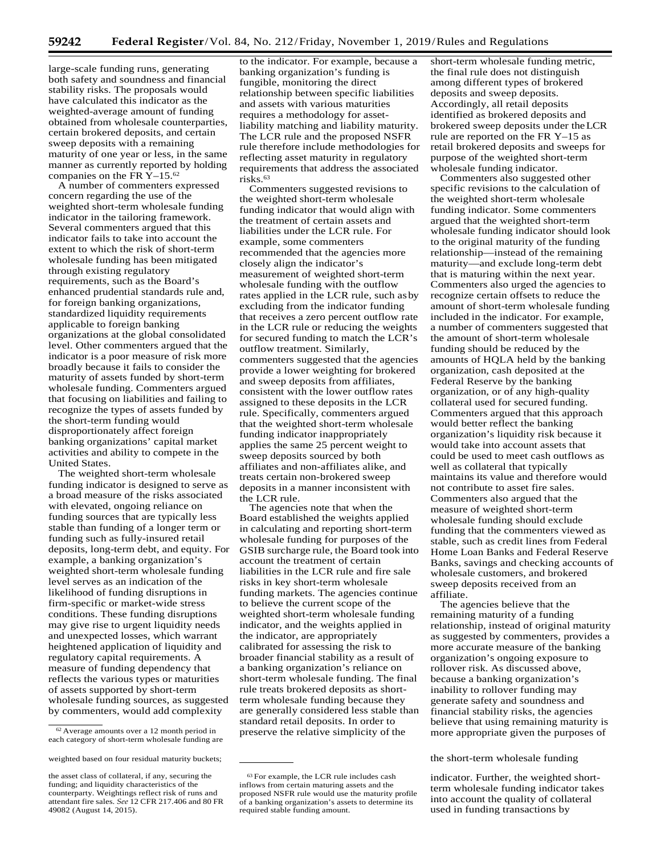large-scale funding runs, generating both safety and soundness and financial stability risks. The proposals would have calculated this indicator as the weighted-average amount of funding obtained from wholesale counterparties, certain brokered deposits, and certain sweep deposits with a remaining maturity of one year or less, in the same manner as currently reported by holding companies on the FR Y–15.62

A number of commenters expressed concern regarding the use of the weighted short-term wholesale funding indicator in the tailoring framework. Several commenters argued that this indicator fails to take into account the extent to which the risk of short-term wholesale funding has been mitigated through existing regulatory requirements, such as the Board's enhanced prudential standards rule and, for foreign banking organizations, standardized liquidity requirements applicable to foreign banking organizations at the global consolidated level. Other commenters argued that the indicator is a poor measure of risk more broadly because it fails to consider the maturity of assets funded by short-term wholesale funding. Commenters argued that focusing on liabilities and failing to recognize the types of assets funded by the short-term funding would disproportionately affect foreign banking organizations' capital market activities and ability to compete in the United States.

The weighted short-term wholesale funding indicator is designed to serve as a broad measure of the risks associated with elevated, ongoing reliance on funding sources that are typically less stable than funding of a longer term or funding such as fully-insured retail deposits, long-term debt, and equity. For example, a banking organization's weighted short-term wholesale funding level serves as an indication of the likelihood of funding disruptions in firm-specific or market-wide stress conditions. These funding disruptions may give rise to urgent liquidity needs and unexpected losses, which warrant heightened application of liquidity and regulatory capital requirements. A measure of funding dependency that reflects the various types or maturities of assets supported by short-term wholesale funding sources, as suggested by commenters, would add complexity

to the indicator. For example, because a banking organization's funding is fungible, monitoring the direct relationship between specific liabilities and assets with various maturities requires a methodology for assetliability matching and liability maturity. The LCR rule and the proposed NSFR rule therefore include methodologies for reflecting asset maturity in regulatory requirements that address the associated risks.<sup>63</sup>

Commenters suggested revisions to the weighted short-term wholesale funding indicator that would align with the treatment of certain assets and liabilities under the LCR rule. For example, some commenters recommended that the agencies more closely align the indicator's measurement of weighted short-term wholesale funding with the outflow rates applied in the LCR rule, such asby excluding from the indicator funding that receives a zero percent outflow rate in the LCR rule or reducing the weights for secured funding to match the LCR's outflow treatment. Similarly, commenters suggested that the agencies provide a lower weighting for brokered and sweep deposits from affiliates, consistent with the lower outflow rates assigned to these deposits in the LCR rule. Specifically, commenters argued that the weighted short-term wholesale funding indicator inappropriately applies the same 25 percent weight to sweep deposits sourced by both affiliates and non-affiliates alike, and treats certain non-brokered sweep deposits in a manner inconsistent with the LCR rule.

The agencies note that when the Board established the weights applied in calculating and reporting short-term wholesale funding for purposes of the GSIB surcharge rule, the Board took into account the treatment of certain liabilities in the LCR rule and fire sale risks in key short-term wholesale funding markets. The agencies continue to believe the current scope of the weighted short-term wholesale funding indicator, and the weights applied in the indicator, are appropriately calibrated for assessing the risk to broader financial stability as a result of a banking organization's reliance on short-term wholesale funding. The final rule treats brokered deposits as shortterm wholesale funding because they are generally considered less stable than standard retail deposits. In order to preserve the relative simplicity of the

short-term wholesale funding metric, the final rule does not distinguish among different types of brokered deposits and sweep deposits. Accordingly, all retail deposits identified as brokered deposits and brokered sweep deposits under theLCR rule are reported on the FR Y–15 as retail brokered deposits and sweeps for purpose of the weighted short-term wholesale funding indicator.

Commenters also suggested other specific revisions to the calculation of the weighted short-term wholesale funding indicator. Some commenters argued that the weighted short-term wholesale funding indicator should look to the original maturity of the funding relationship—instead of the remaining maturity—and exclude long-term debt that is maturing within the next year. Commenters also urged the agencies to recognize certain offsets to reduce the amount of short-term wholesale funding included in the indicator. For example, a number of commenters suggested that the amount of short-term wholesale funding should be reduced by the amounts of HQLA held by the banking organization, cash deposited at the Federal Reserve by the banking organization, or of any high-quality collateral used for secured funding. Commenters argued that this approach would better reflect the banking organization's liquidity risk because it would take into account assets that could be used to meet cash outflows as well as collateral that typically maintains its value and therefore would not contribute to asset fire sales. Commenters also argued that the measure of weighted short-term wholesale funding should exclude funding that the commenters viewed as stable, such as credit lines from Federal Home Loan Banks and Federal Reserve Banks, savings and checking accounts of wholesale customers, and brokered sweep deposits received from an affiliate.

The agencies believe that the remaining maturity of a funding relationship, instead of original maturity as suggested by commenters, provides a more accurate measure of the banking organization's ongoing exposure to rollover risk. As discussed above, because a banking organization's inability to rollover funding may generate safety and soundness and financial stability risks, the agencies believe that using remaining maturity is more appropriate given the purposes of

indicator. Further, the weighted shortterm wholesale funding indicator takes into account the quality of collateral used in funding transactions by

<sup>62</sup> Average amounts over a 12 month period in each category of short-term wholesale funding are

weighted based on four residual maturity buckets; the short-term wholesale funding

the asset class of collateral, if any, securing the funding; and liquidity characteristics of the counterparty. Weightings reflect risk of runs and attendant fire sales. *See* 12 CFR 217.406 and 80 FR 49082 (August 14, 2015).

<sup>63</sup> For example, the LCR rule includes cash inflows from certain maturing assets and the proposed NSFR rule would use the maturity profile of a banking organization's assets to determine its required stable funding amount.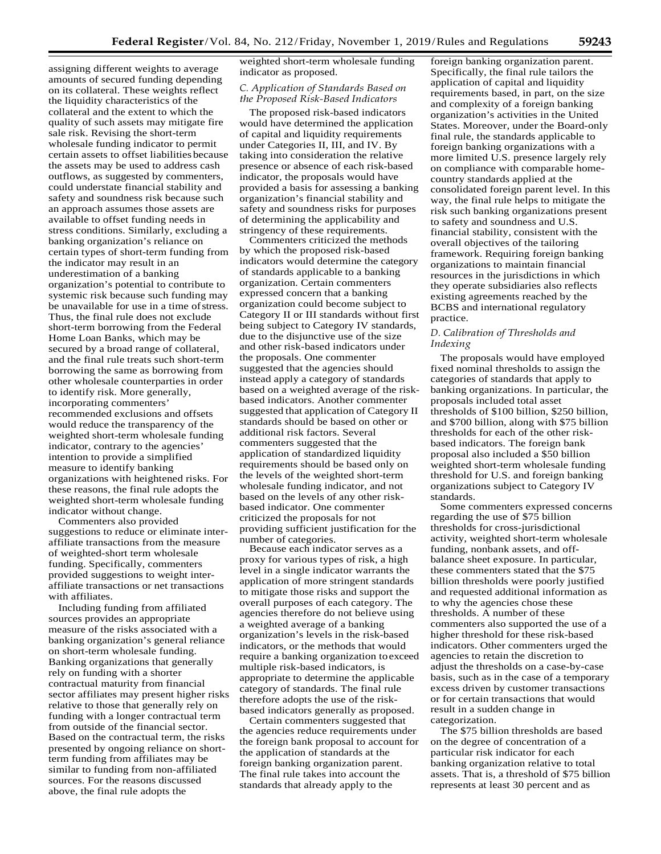assigning different weights to average amounts of secured funding depending on its collateral. These weights reflect the liquidity characteristics of the collateral and the extent to which the quality of such assets may mitigate fire sale risk. Revising the short-term wholesale funding indicator to permit certain assets to offset liabilities because the assets may be used to address cash outflows, as suggested by commenters, could understate financial stability and safety and soundness risk because such an approach assumes those assets are available to offset funding needs in stress conditions. Similarly, excluding a banking organization's reliance on certain types of short-term funding from the indicator may result in an underestimation of a banking organization's potential to contribute to systemic risk because such funding may be unavailable for use in a time ofstress. Thus, the final rule does not exclude short-term borrowing from the Federal Home Loan Banks, which may be secured by a broad range of collateral, and the final rule treats such short-term borrowing the same as borrowing from other wholesale counterparties in order to identify risk. More generally, incorporating commenters' recommended exclusions and offsets would reduce the transparency of the weighted short-term wholesale funding indicator, contrary to the agencies' intention to provide a simplified measure to identify banking organizations with heightened risks. For these reasons, the final rule adopts the weighted short-term wholesale funding indicator without change.

Commenters also provided suggestions to reduce or eliminate interaffiliate transactions from the measure of weighted-short term wholesale funding. Specifically, commenters provided suggestions to weight interaffiliate transactions or net transactions with affiliates.

Including funding from affiliated sources provides an appropriate measure of the risks associated with a banking organization's general reliance on short-term wholesale funding. Banking organizations that generally rely on funding with a shorter contractual maturity from financial sector affiliates may present higher risks relative to those that generally rely on funding with a longer contractual term from outside of the financial sector. Based on the contractual term, the risks presented by ongoing reliance on shortterm funding from affiliates may be similar to funding from non-affiliated sources. For the reasons discussed above, the final rule adopts the

weighted short-term wholesale funding indicator as proposed.

## *C. Application of Standards Based on the Proposed Risk-Based Indicators*

The proposed risk-based indicators would have determined the application of capital and liquidity requirements under Categories II, III, and IV. By taking into consideration the relative presence or absence of each risk-based indicator, the proposals would have provided a basis for assessing a banking organization's financial stability and safety and soundness risks for purposes of determining the applicability and stringency of these requirements.

Commenters criticized the methods by which the proposed risk-based indicators would determine the category of standards applicable to a banking organization. Certain commenters expressed concern that a banking organization could become subject to Category II or III standards without first being subject to Category IV standards, due to the disjunctive use of the size and other risk-based indicators under the proposals. One commenter suggested that the agencies should instead apply a category of standards based on a weighted average of the riskbased indicators. Another commenter suggested that application of Category II standards should be based on other or additional risk factors. Several commenters suggested that the application of standardized liquidity requirements should be based only on the levels of the weighted short-term wholesale funding indicator, and not based on the levels of any other riskbased indicator. One commenter criticized the proposals for not providing sufficient justification for the number of categories.

Because each indicator serves as a proxy for various types of risk, a high level in a single indicator warrants the application of more stringent standards to mitigate those risks and support the overall purposes of each category. The agencies therefore do not believe using a weighted average of a banking organization's levels in the risk-based indicators, or the methods that would require a banking organization toexceed multiple risk-based indicators, is appropriate to determine the applicable category of standards. The final rule therefore adopts the use of the riskbased indicators generally as proposed.

Certain commenters suggested that the agencies reduce requirements under the foreign bank proposal to account for the application of standards at the foreign banking organization parent. The final rule takes into account the standards that already apply to the

foreign banking organization parent. Specifically, the final rule tailors the application of capital and liquidity requirements based, in part, on the size and complexity of a foreign banking organization's activities in the United States. Moreover, under the Board-only final rule, the standards applicable to foreign banking organizations with a more limited U.S. presence largely rely on compliance with comparable homecountry standards applied at the consolidated foreign parent level. In this way, the final rule helps to mitigate the risk such banking organizations present to safety and soundness and U.S. financial stability, consistent with the overall objectives of the tailoring framework. Requiring foreign banking organizations to maintain financial resources in the jurisdictions in which they operate subsidiaries also reflects existing agreements reached by the BCBS and international regulatory practice.

## *D. Calibration of Thresholds and Indexing*

The proposals would have employed fixed nominal thresholds to assign the categories of standards that apply to banking organizations. In particular, the proposals included total asset thresholds of \$100 billion, \$250 billion, and \$700 billion, along with \$75 billion thresholds for each of the other riskbased indicators. The foreign bank proposal also included a \$50 billion weighted short-term wholesale funding threshold for U.S. and foreign banking organizations subject to Category IV standards.

Some commenters expressed concerns regarding the use of \$75 billion thresholds for cross-jurisdictional activity, weighted short-term wholesale funding, nonbank assets, and offbalance sheet exposure. In particular, these commenters stated that the \$75 billion thresholds were poorly justified and requested additional information as to why the agencies chose these thresholds. A number of these commenters also supported the use of a higher threshold for these risk-based indicators. Other commenters urged the agencies to retain the discretion to adjust the thresholds on a case-by-case basis, such as in the case of a temporary excess driven by customer transactions or for certain transactions that would result in a sudden change in categorization.

The \$75 billion thresholds are based on the degree of concentration of a particular risk indicator for each banking organization relative to total assets. That is, a threshold of \$75 billion represents at least 30 percent and as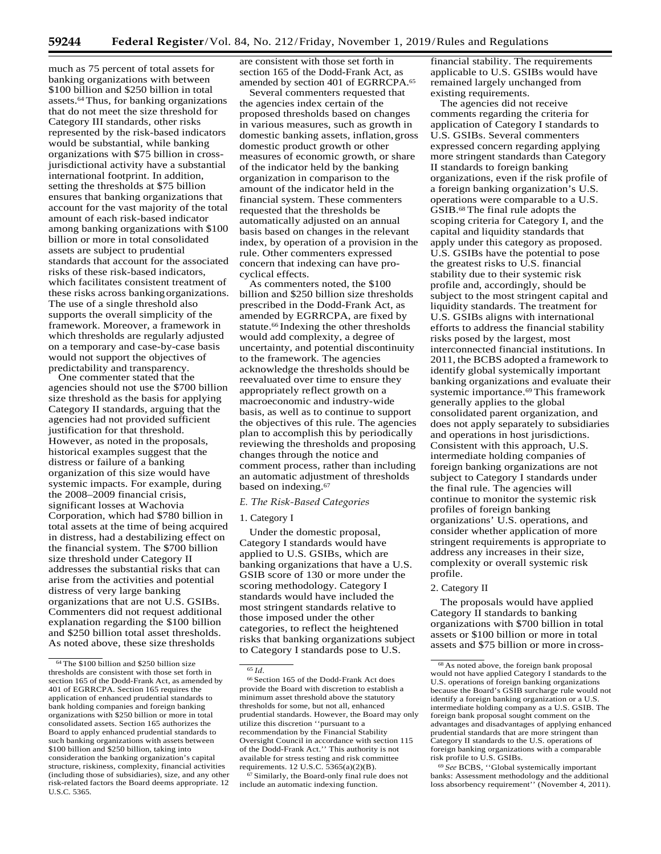much as 75 percent of total assets for banking organizations with between \$100 billion and \$250 billion in total assets.64 Thus, for banking organizations that do not meet the size threshold for Category III standards, other risks represented by the risk-based indicators would be substantial, while banking organizations with \$75 billion in crossjurisdictional activity have a substantial international footprint. In addition, setting the thresholds at \$75 billion ensures that banking organizations that account for the vast majority of the total amount of each risk-based indicator among banking organizations with \$100 billion or more in total consolidated assets are subject to prudential standards that account for the associated risks of these risk-based indicators, which facilitates consistent treatment of these risks across bankingorganizations. The use of a single threshold also supports the overall simplicity of the framework. Moreover, a framework in which thresholds are regularly adjusted on a temporary and case-by-case basis would not support the objectives of predictability and transparency.

One commenter stated that the agencies should not use the \$700 billion size threshold as the basis for applying Category II standards, arguing that the agencies had not provided sufficient justification for that threshold. However, as noted in the proposals, historical examples suggest that the distress or failure of a banking organization of this size would have systemic impacts. For example, during the 2008–2009 financial crisis, significant losses at Wachovia Corporation, which had \$780 billion in total assets at the time of being acquired in distress, had a destabilizing effect on the financial system. The \$700 billion size threshold under Category II addresses the substantial risks that can arise from the activities and potential distress of very large banking organizations that are not U.S. GSIBs. Commenters did not request additional explanation regarding the \$100 billion and \$250 billion total asset thresholds. As noted above, these size thresholds

are consistent with those set forth in section 165 of the Dodd-Frank Act, as amended by section 401 of EGRRCPA.65

Several commenters requested that the agencies index certain of the proposed thresholds based on changes in various measures, such as growth in domestic banking assets, inflation,gross domestic product growth or other measures of economic growth, or share of the indicator held by the banking organization in comparison to the amount of the indicator held in the financial system. These commenters requested that the thresholds be automatically adjusted on an annual basis based on changes in the relevant index, by operation of a provision in the rule. Other commenters expressed concern that indexing can have procyclical effects.

As commenters noted, the \$100 billion and \$250 billion size thresholds prescribed in the Dodd-Frank Act, as amended by EGRRCPA, are fixed by statute.<sup>66</sup> Indexing the other thresholds would add complexity, a degree of uncertainty, and potential discontinuity to the framework. The agencies acknowledge the thresholds should be reevaluated over time to ensure they appropriately reflect growth on a macroeconomic and industry-wide basis, as well as to continue to support the objectives of this rule. The agencies plan to accomplish this by periodically reviewing the thresholds and proposing changes through the notice and comment process, rather than including an automatic adjustment of thresholds based on indexing.67

#### *E. The Risk-Based Categories*

#### 1. Category I

Under the domestic proposal, Category I standards would have applied to U.S. GSIBs, which are banking organizations that have a U.S. GSIB score of 130 or more under the scoring methodology. Category I standards would have included the most stringent standards relative to those imposed under the other categories, to reflect the heightened risks that banking organizations subject to Category I standards pose to U.S.

67 Similarly, the Board-only final rule does not include an automatic indexing function.

financial stability. The requirements applicable to U.S. GSIBs would have remained largely unchanged from existing requirements.

The agencies did not receive comments regarding the criteria for application of Category I standards to U.S. GSIBs. Several commenters expressed concern regarding applying more stringent standards than Category II standards to foreign banking organizations, even if the risk profile of a foreign banking organization's U.S. operations were comparable to a U.S. GSIB.68 The final rule adopts the scoping criteria for Category I, and the capital and liquidity standards that apply under this category as proposed. U.S. GSIBs have the potential to pose the greatest risks to U.S. financial stability due to their systemic risk profile and, accordingly, should be subject to the most stringent capital and liquidity standards. The treatment for U.S. GSIBs aligns with international efforts to address the financial stability risks posed by the largest, most interconnected financial institutions. In 2011, the BCBS adopted a framework to identify global systemically important banking organizations and evaluate their systemic importance.69 This framework generally applies to the global consolidated parent organization, and does not apply separately to subsidiaries and operations in host jurisdictions. Consistent with this approach, U.S. intermediate holding companies of foreign banking organizations are not subject to Category I standards under the final rule. The agencies will continue to monitor the systemic risk profiles of foreign banking organizations' U.S. operations, and consider whether application of more stringent requirements is appropriate to address any increases in their size, complexity or overall systemic risk profile.

#### 2. Category II

The proposals would have applied Category II standards to banking organizations with \$700 billion in total assets or \$100 billion or more in total assets and \$75 billion or more in cross-

<sup>69</sup>*See* BCBS, ''Global systemically important banks: Assessment methodology and the additional loss absorbency requirement'' (November 4, 2011).

<sup>&</sup>lt;sup>64</sup> The \$100 billion and \$250 billion size thresholds are consistent with those set forth in section 165 of the Dodd-Frank Act, as amended by 401 of EGRRCPA. Section 165 requires the application of enhanced prudential standards to bank holding companies and foreign banking organizations with \$250 billion or more in total consolidated assets. Section 165 authorizes the Board to apply enhanced prudential standards to such banking organizations with assets between \$100 billion and \$250 billion, taking into consideration the banking organization's capital structure, riskiness, complexity, financial activities (including those of subsidiaries), size, and any other risk-related factors the Board deems appropriate. 12 U.S.C. 5365.

<sup>65</sup>*Id.*

<sup>66</sup> Section 165 of the Dodd-Frank Act does provide the Board with discretion to establish a minimum asset threshold above the statutory thresholds for some, but not all, enhanced prudential standards. However, the Board may only utilize this discretion ''pursuant to a recommendation by the Financial Stability Oversight Council in accordance with section 115 of the Dodd-Frank Act.'' This authority is not available for stress testing and risk committee requirements. 12 U.S.C. 5365(a)(2)(B).

<sup>&</sup>lt;sup>68</sup> As noted above, the foreign bank proposal would not have applied Category I standards to the U.S. operations of foreign banking organizations because the Board's GSIB surcharge rule would not identify a foreign banking organization or a U.S. intermediate holding company as a U.S. GSIB. The foreign bank proposal sought comment on the advantages and disadvantages of applying enhanced prudential standards that are more stringent than Category II standards to the U.S. operations of foreign banking organizations with a comparable risk profile to U.S. GSIBs.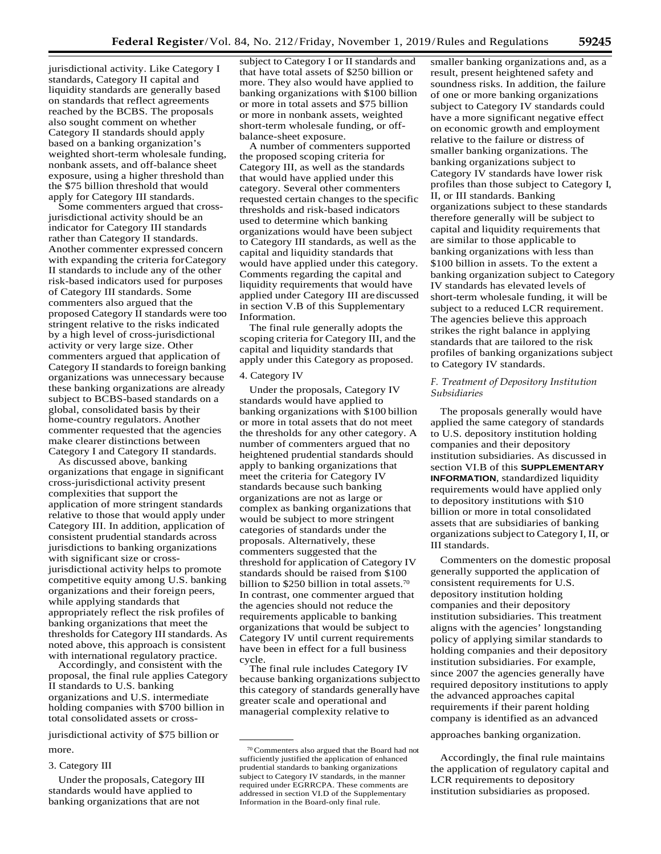jurisdictional activity. Like Category I standards, Category II capital and liquidity standards are generally based on standards that reflect agreements reached by the BCBS. The proposals also sought comment on whether Category II standards should apply based on a banking organization's weighted short-term wholesale funding, nonbank assets, and off-balance sheet exposure, using a higher threshold than the \$75 billion threshold that would apply for Category III standards.

Some commenters argued that crossjurisdictional activity should be an indicator for Category III standards rather than Category II standards. Another commenter expressed concern with expanding the criteria forCategory II standards to include any of the other risk-based indicators used for purposes of Category III standards. Some commenters also argued that the proposed Category II standards were too stringent relative to the risks indicated by a high level of cross-jurisdictional activity or very large size. Other commenters argued that application of Category II standards to foreign banking organizations was unnecessary because these banking organizations are already subject to BCBS-based standards on a global, consolidated basis by their home-country regulators. Another commenter requested that the agencies make clearer distinctions between Category I and Category II standards.

As discussed above, banking organizations that engage in significant cross-jurisdictional activity present complexities that support the application of more stringent standards relative to those that would apply under Category III. In addition, application of consistent prudential standards across jurisdictions to banking organizations with significant size or crossjurisdictional activity helps to promote competitive equity among U.S. banking organizations and their foreign peers, while applying standards that appropriately reflect the risk profiles of banking organizations that meet the thresholds for Category III standards. As noted above, this approach is consistent with international regulatory practice.

Accordingly, and consistent with the proposal, the final rule applies Category II standards to U.S. banking organizations and U.S. intermediate holding companies with \$700 billion in total consolidated assets or cross-

jurisdictional activity of \$75 billion or **a constant of the constant of the constant of the constant of the constant of the constant of the constant of the constant of the constant of the constant of the constant of the c** more.

## 3. Category III

Under the proposals, Category III standards would have applied to banking organizations that are not

subject to Category I or II standards and that have total assets of \$250 billion or more. They also would have applied to banking organizations with \$100 billion or more in total assets and \$75 billion or more in nonbank assets, weighted short-term wholesale funding, or offbalance-sheet exposure.

A number of commenters supported the proposed scoping criteria for Category III, as well as the standards that would have applied under this category. Several other commenters requested certain changes to the specific thresholds and risk-based indicators used to determine which banking organizations would have been subject to Category III standards, as well as the capital and liquidity standards that would have applied under this category. Comments regarding the capital and liquidity requirements that would have applied under Category III are discussed in section V.B of this Supplementary Information.

The final rule generally adopts the scoping criteria for Category III, and the capital and liquidity standards that apply under this Category as proposed.

## 4. Category IV

Under the proposals, Category IV standards would have applied to banking organizations with \$100 billion or more in total assets that do not meet the thresholds for any other category. A number of commenters argued that no heightened prudential standards should apply to banking organizations that meet the criteria for Category IV standards because such banking organizations are not as large or complex as banking organizations that would be subject to more stringent categories of standards under the proposals. Alternatively, these commenters suggested that the threshold for application of Category IV standards should be raised from \$100 billion to \$250 billion in total assets.<sup>70</sup> In contrast, one commenter argued that the agencies should not reduce the requirements applicable to banking organizations that would be subject to Category IV until current requirements have been in effect for a full business cycle.

The final rule includes Category IV because banking organizations subjectto this category of standards generallyhave greater scale and operational and managerial complexity relative to

smaller banking organizations and, as a result, present heightened safety and soundness risks. In addition, the failure of one or more banking organizations subject to Category IV standards could have a more significant negative effect on economic growth and employment relative to the failure or distress of smaller banking organizations. The banking organizations subject to Category IV standards have lower risk profiles than those subject to Category I, II, or III standards. Banking organizations subject to these standards therefore generally will be subject to capital and liquidity requirements that are similar to those applicable to banking organizations with less than \$100 billion in assets. To the extent a banking organization subject to Category IV standards has elevated levels of short-term wholesale funding, it will be subject to a reduced LCR requirement. The agencies believe this approach strikes the right balance in applying standards that are tailored to the risk profiles of banking organizations subject to Category IV standards.

## *F. Treatment of Depository Institution Subsidiaries*

The proposals generally would have applied the same category of standards to U.S. depository institution holding companies and their depository institution subsidiaries. As discussed in section VI.B of this **SUPPLEMENTARY INFORMATION**, standardized liquidity requirements would have applied only to depository institutions with \$10 billion or more in total consolidated assets that are subsidiaries of banking organizationssubject to Category I, II, or III standards.

Commenters on the domestic proposal generally supported the application of consistent requirements for U.S. depository institution holding companies and their depository institution subsidiaries. This treatment aligns with the agencies' longstanding policy of applying similar standards to holding companies and their depository institution subsidiaries. For example, since 2007 the agencies generally have required depository institutions to apply the advanced approaches capital requirements if their parent holding company is identified as an advanced

Accordingly, the final rule maintains the application of regulatory capital and LCR requirements to depository institution subsidiaries as proposed.

<sup>70</sup> Commenters also argued that the Board had not sufficiently justified the application of enhanced prudential standards to banking organizations subject to Category IV standards, in the manner required under EGRRCPA. These comments are addressed in section VI.D of the Supplementary Information in the Board-only final rule.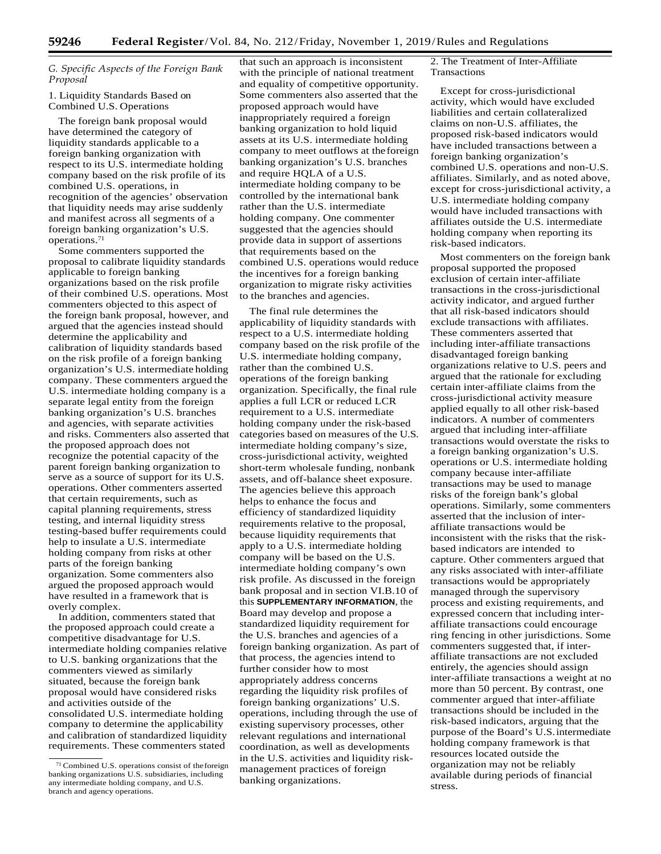## *G. Specific Aspects of the Foreign Bank Proposal*

## 1. Liquidity Standards Based on Combined U.S. Operations

The foreign bank proposal would have determined the category of liquidity standards applicable to a foreign banking organization with respect to its U.S. intermediate holding company based on the risk profile of its combined U.S. operations, in recognition of the agencies' observation that liquidity needs may arise suddenly and manifest across all segments of a foreign banking organization's U.S. operations.71

Some commenters supported the proposal to calibrate liquidity standards applicable to foreign banking organizations based on the risk profile of their combined U.S. operations. Most commenters objected to this aspect of the foreign bank proposal, however, and argued that the agencies instead should determine the applicability and calibration of liquidity standards based on the risk profile of a foreign banking organization's U.S. intermediate holding company. These commenters argued the U.S. intermediate holding company is a separate legal entity from the foreign banking organization's U.S. branches and agencies, with separate activities and risks. Commenters also asserted that the proposed approach does not recognize the potential capacity of the parent foreign banking organization to serve as a source of support for its U.S. operations. Other commenters asserted that certain requirements, such as capital planning requirements, stress testing, and internal liquidity stress testing-based buffer requirements could help to insulate a U.S. intermediate holding company from risks at other parts of the foreign banking organization. Some commenters also argued the proposed approach would have resulted in a framework that is overly complex.

In addition, commenters stated that the proposed approach could create a competitive disadvantage for U.S. intermediate holding companies relative to U.S. banking organizations that the commenters viewed as similarly situated, because the foreign bank proposal would have considered risks and activities outside of the consolidated U.S. intermediate holding company to determine the applicability and calibration of standardized liquidity requirements. These commenters stated

that such an approach is inconsistent with the principle of national treatment and equality of competitive opportunity. Some commenters also asserted that the proposed approach would have inappropriately required a foreign banking organization to hold liquid assets at its U.S. intermediate holding company to meet outflows at theforeign banking organization's U.S. branches and require HQLA of a U.S. intermediate holding company to be controlled by the international bank rather than the U.S. intermediate holding company. One commenter suggested that the agencies should provide data in support of assertions that requirements based on the combined U.S. operations would reduce the incentives for a foreign banking organization to migrate risky activities to the branches and agencies.

The final rule determines the applicability of liquidity standards with respect to a U.S. intermediate holding company based on the risk profile of the U.S. intermediate holding company, rather than the combined U.S. operations of the foreign banking organization. Specifically, the final rule applies a full LCR or reduced LCR requirement to a U.S. intermediate holding company under the risk-based categories based on measures of the U.S. intermediate holding company's size, cross-jurisdictional activity, weighted short-term wholesale funding, nonbank assets, and off-balance sheet exposure. The agencies believe this approach helps to enhance the focus and efficiency of standardized liquidity requirements relative to the proposal, because liquidity requirements that apply to a U.S. intermediate holding company will be based on the U.S. intermediate holding company's own risk profile. As discussed in the foreign bank proposal and in section VI.B.10 of this **SUPPLEMENTARY INFORMATION**, the Board may develop and propose a standardized liquidity requirement for the U.S. branches and agencies of a foreign banking organization. As part of that process, the agencies intend to further consider how to most appropriately address concerns regarding the liquidity risk profiles of foreign banking organizations' U.S. operations, including through the use of existing supervisory processes, other relevant regulations and international coordination, as well as developments in the U.S. activities and liquidity riskmanagement practices of foreign banking organizations.

2. The Treatment of Inter-Affiliate Transactions

Except for cross-jurisdictional activity, which would have excluded liabilities and certain collateralized claims on non-U.S. affiliates, the proposed risk-based indicators would have included transactions between a foreign banking organization's combined U.S. operations and non-U.S. affiliates. Similarly, and as noted above, except for cross-jurisdictional activity, a U.S. intermediate holding company would have included transactions with affiliates outside the U.S. intermediate holding company when reporting its risk-based indicators.

Most commenters on the foreign bank proposal supported the proposed exclusion of certain inter-affiliate transactions in the cross-jurisdictional activity indicator, and argued further that all risk-based indicators should exclude transactions with affiliates. These commenters asserted that including inter-affiliate transactions disadvantaged foreign banking organizations relative to U.S. peers and argued that the rationale for excluding certain inter-affiliate claims from the cross-jurisdictional activity measure applied equally to all other risk-based indicators. A number of commenters argued that including inter-affiliate transactions would overstate the risks to a foreign banking organization's U.S. operations or U.S. intermediate holding company because inter-affiliate transactions may be used to manage risks of the foreign bank's global operations. Similarly, some commenters asserted that the inclusion of interaffiliate transactions would be inconsistent with the risks that the riskbased indicators are intended to capture. Other commenters argued that any risks associated with inter-affiliate transactions would be appropriately managed through the supervisory process and existing requirements, and expressed concern that including interaffiliate transactions could encourage ring fencing in other jurisdictions. Some commenters suggested that, if interaffiliate transactions are not excluded entirely, the agencies should assign inter-affiliate transactions a weight at no more than 50 percent. By contrast, one commenter argued that inter-affiliate transactions should be included in the risk-based indicators, arguing that the purpose of the Board's U.S.intermediate holding company framework is that resources located outside the organization may not be reliably available during periods of financial stress.

<sup>71</sup> Combined U.S. operations consist of theforeign banking organizations U.S. subsidiaries, including any intermediate holding company, and U.S. branch and agency operations.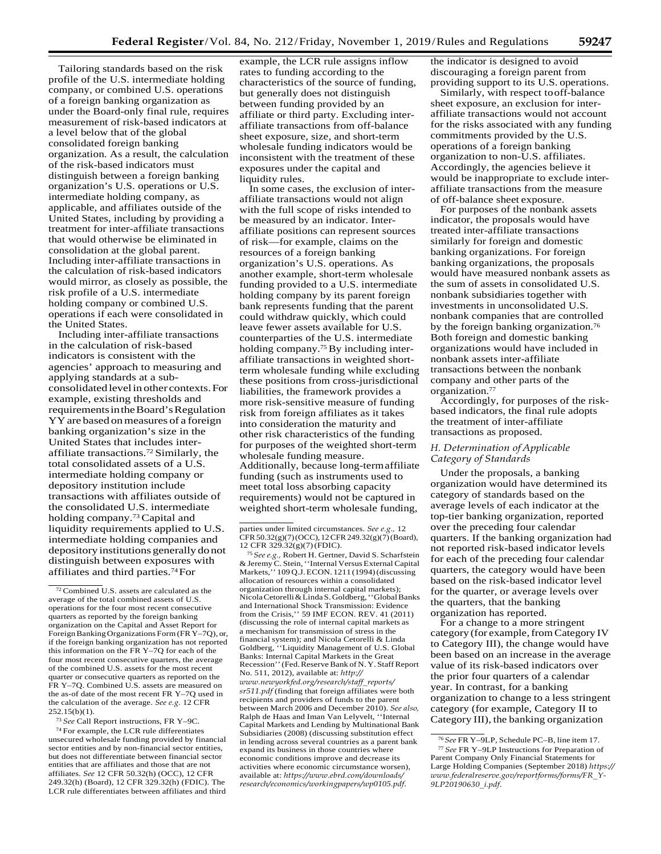Tailoring standards based on the risk profile of the U.S. intermediate holding company, or combined U.S. operations of a foreign banking organization as under the Board-only final rule, requires measurement of risk-based indicators at a level below that of the global consolidated foreign banking organization. As a result, the calculation of the risk-based indicators must distinguish between a foreign banking organization's U.S. operations or U.S. intermediate holding company, as applicable, and affiliates outside of the United States, including by providing a treatment for inter-affiliate transactions that would otherwise be eliminated in consolidation at the global parent. Including inter-affiliate transactions in the calculation of risk-based indicators would mirror, as closely as possible, the risk profile of a U.S. intermediate holding company or combined U.S. operations if each were consolidated in the United States.

Including inter-affiliate transactions in the calculation of risk-based indicators is consistent with the agencies' approach to measuring and applying standards at a subconsolidatedlevelin other contexts.For example, existing thresholds and requirementsintheBoard'sRegulation YY are based on measures of a foreign banking organization's size in the United States that includes interaffiliate transactions.72 Similarly, the total consolidated assets of a U.S. intermediate holding company or depository institution include transactions with affiliates outside of the consolidated U.S. intermediate holding company.73 Capital and liquidity requirements applied to U.S. intermediate holding companies and depository institutions generally do not distinguish between exposures with affiliates and third parties.74For

<sup>73</sup>*See* Call Report instructions, FR Y–9C.

74 For example, the LCR rule differentiates unsecured wholesale funding provided by financial sector entities and by non-financial sector entities, but does not differentiate between financial sector entities that are affiliates and those that are not affiliates. *See* 12 CFR 50.32(h) (OCC), 12 CFR 249.32(h) (Board), 12 CFR 329.32(h) (FDIC). The LCR rule differentiates between affiliates and third

example, the LCR rule assigns inflow rates to funding according to the characteristics of the source of funding, but generally does not distinguish between funding provided by an affiliate or third party. Excluding interaffiliate transactions from off-balance sheet exposure, size, and short-term wholesale funding indicators would be inconsistent with the treatment of these exposures under the capital and liquidity rules.

In some cases, the exclusion of interaffiliate transactions would not align with the full scope of risks intended to be measured by an indicator. Interaffiliate positions can represent sources of risk—for example, claims on the resources of a foreign banking organization's U.S. operations. As another example, short-term wholesale funding provided to a U.S. intermediate holding company by its parent foreign bank represents funding that the parent could withdraw quickly, which could leave fewer assets available for U.S. counterparties of the U.S. intermediate holding company.<sup>75</sup> By including interaffiliate transactions in weighted shortterm wholesale funding while excluding these positions from cross-jurisdictional liabilities, the framework provides a more risk-sensitive measure of funding risk from foreign affiliates as it takes into consideration the maturity and other risk characteristics of the funding for purposes of the weighted short-term wholesale funding measure. Additionally, because long-termaffiliate funding (such as instruments used to meet total loss absorbing capacity requirements) would not be captured in weighted short-term wholesale funding,

<sup>75</sup>*See e.g.,* Robert H. Gertner, David S. Scharfstein &Jeremy C. Stein,''Internal Versus ExternalCapital Markets,'' 109 Q.J.ECON. 1211 (1994)(discussing allocation of resources within a consolidated organization through internal capital markets); NicolaCetorelli&LindaS.Goldberg,''GlobalBanks and International Shock Transmission: Evidence from the Crisis,'' 59 IMF ECON. REV. 41 (2011) (discussing the role of internal capital markets as a mechanism for transmission of stress in the financial system); and Nicola Cetorelli & Linda Goldberg, ''Liquidity Management of U.S. Global Banks: Internal Capital Markets in the Great Recession'' (Fed. Reserve Bank of N.Y. Staff Report No. 511, 2012), available at: *[http://](http://www.newyorkfed.org/research/staff_reports/sr511.pdf) [www.newyorkfed.org/research/staff](http://www.newyorkfed.org/research/staff_reports/sr511.pdf)*\_*reports/ [sr511.pdf](http://www.newyorkfed.org/research/staff_reports/sr511.pdf)* (finding that foreign affiliates were both recipients and providers of funds to the parent between March 2006 and December 2010). *See also,*  Ralph de Haas and Iman Van Lelyvelt, ''Internal Capital Markets and Lending by Multinational Bank Subsidiaries (2008) (discussing substitution effect in lending across several countries as a parent bank expand its business in those countries where economic conditions improve and decrease its activities where economic circumstance worsen), available at: *[https://www.ebrd.com/downloads/](https://www.ebrd.com/downloads/research/economics/workingpapers/wp0105.pdf) [research/economics/workingpapers/wp0105.pdf](https://www.ebrd.com/downloads/research/economics/workingpapers/wp0105.pdf)*.

the indicator is designed to avoid discouraging a foreign parent from providing support to its U.S. operations.

Similarly, with respect tooff-balance sheet exposure, an exclusion for interaffiliate transactions would not account for the risks associated with any funding commitments provided by the U.S. operations of a foreign banking organization to non-U.S. affiliates. Accordingly, the agencies believe it would be inappropriate to exclude interaffiliate transactions from the measure of off-balance sheet exposure.

For purposes of the nonbank assets indicator, the proposals would have treated inter-affiliate transactions similarly for foreign and domestic banking organizations. For foreign banking organizations, the proposals would have measured nonbank assets as the sum of assets in consolidated U.S. nonbank subsidiaries together with investments in unconsolidated U.S. nonbank companies that are controlled by the foreign banking organization.<sup>76</sup> Both foreign and domestic banking organizations would have included in nonbank assets inter-affiliate transactions between the nonbank company and other parts of the organization.77

Accordingly, for purposes of the riskbased indicators, the final rule adopts the treatment of inter-affiliate transactions as proposed.

## *H. Determination of Applicable Category of Standards*

Under the proposals, a banking organization would have determined its category of standards based on the average levels of each indicator at the top-tier banking organization, reported over the preceding four calendar quarters. If the banking organization had not reported risk-based indicator levels for each of the preceding four calendar quarters, the category would have been based on the risk-based indicator level for the quarter, or average levels over the quarters, that the banking organization has reported.

For a change to a more stringent category (for example, from Category IV to Category III), the change would have been based on an increase in the average value of its risk-based indicators over the prior four quarters of a calendar year. In contrast, for a banking organization to change to a less stringent category (for example, Category II to Category III), the banking organization

 $72$  Combined U.S. assets are calculated as the average of the total combined assets of U.S. operations for the four most recent consecutive quarters as reported by the foreign banking organization on the Capital and Asset Report for Foreign Banking Organizations Form (FR Y-7Q), or, if the foreign banking organization has not reported this information on the FR Y–7Q for each of the four most recent consecutive quarters, the average of the combined U.S. assets for the most recent quarter or consecutive quarters as reported on the FR Y–7Q. Combined U.S. assets are measured on the as-of date of the most recent FR Y–7Q used in the calculation of the average. *See e.g.* 12 CFR  $252.15(b)(1)$ .

parties under limited circumstances. *See e.g.,* 12 CFR50.32(g)(7)(OCC), 12CFR249.32(g)(7)(Board), 12 CFR 329.32(g)(7)(FDIC).

<sup>76</sup>*See* FR Y–9LP, Schedule PC–B, line item 17. <sup>77</sup>*See* FR Y–9LP Instructions for Preparation of Parent Company Only Financial Statements for Large Holding Companies (September 2018) *[https://](https://www.federalreserve.gov/reportforms/forms/FR_Y-9LP20190630_i.pdf) [www.federalreserve.gov/reportforms/forms/FR](https://www.federalreserve.gov/reportforms/forms/FR_Y-9LP20190630_i.pdf)*\_*Y-[9LP20190630](https://www.federalreserve.gov/reportforms/forms/FR_Y-9LP20190630_i.pdf)*\_*i.pdf*.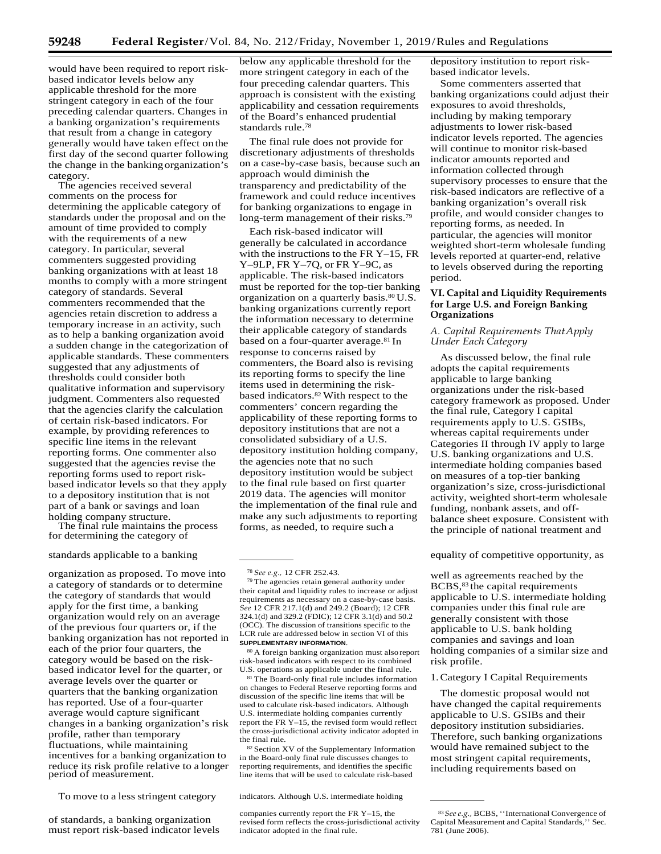would have been required to report riskbased indicator levels below any applicable threshold for the more stringent category in each of the four preceding calendar quarters. Changes in a banking organization's requirements that result from a change in category generally would have taken effect on the first day of the second quarter following the change in the bankingorganization's category.

The agencies received several comments on the process for determining the applicable category of standards under the proposal and on the amount of time provided to comply with the requirements of a new category. In particular, several commenters suggested providing banking organizations with at least 18 months to comply with a more stringent category of standards. Several commenters recommended that the agencies retain discretion to address a temporary increase in an activity, such as to help a banking organization avoid a sudden change in the categorization of applicable standards. These commenters suggested that any adjustments of thresholds could consider both qualitative information and supervisory judgment. Commenters also requested that the agencies clarify the calculation of certain risk-based indicators. For example, by providing references to specific line items in the relevant reporting forms. One commenter also suggested that the agencies revise the reporting forms used to report riskbased indicator levels so that they apply to a depository institution that is not part of a bank or savings and loan holding company structure.

The final rule maintains the process for determining the category of

organization as proposed. To move into a category of standards or to determine the category of standards that would apply for the first time, a banking organization would rely on an average of the previous four quarters or, if the banking organization has not reported in each of the prior four quarters, the category would be based on the riskbased indicator level for the quarter, or average levels over the quarter or quarters that the banking organization has reported. Use of a four-quarter average would capture significant changes in a banking organization's risk profile, rather than temporary fluctuations, while maintaining incentives for a banking organization to reduce its risk profile relative to a longer period of measurement.

To move to a less stringent category indicators. Although U.S. intermediate holding

of standards, a banking organization must report risk-based indicator levels below any applicable threshold for the more stringent category in each of the four preceding calendar quarters. This approach is consistent with the existing applicability and cessation requirements of the Board's enhanced prudential standards rule.78

The final rule does not provide for discretionary adjustments of thresholds on a case-by-case basis, because such an approach would diminish the transparency and predictability of the framework and could reduce incentives for banking organizations to engage in long-term management of their risks.<sup>79</sup>

Each risk-based indicator will generally be calculated in accordance with the instructions to the FR Y–15, FR Y–9LP, FR Y–7Q, or FR Y–9C, as applicable. The risk-based indicators must be reported for the top-tier banking organization on a quarterly basis.<sup>80</sup> U.S. banking organizations currently report the information necessary to determine their applicable category of standards based on a four-quarter average.81 In response to concerns raised by commenters, the Board also is revising its reporting forms to specify the line items used in determining the riskbased indicators.82 With respect to the commenters' concern regarding the applicability of these reporting forms to depository institutions that are not a consolidated subsidiary of a U.S. depository institution holding company, the agencies note that no such depository institution would be subject to the final rule based on first quarter 2019 data. The agencies will monitor the implementation of the final rule and make any such adjustments to reporting forms, as needed, to require such a

80 A foreign banking organization must also report risk-based indicators with respect to its combined U.S. operations as applicable under the final rule.

81 The Board-only final rule includes information on changes to Federal Reserve reporting forms and discussion of the specific line items that will be used to calculate risk-based indicators. Although U.S. intermediate holding companies currently report the FR Y–15, the revised form would reflect the cross-jurisdictional activity indicator adopted in the final rule.

82 Section XV of the Supplementary Information in the Board-only final rule discusses changes to reporting requirements, and identifies the specific line items that will be used to calculate risk-based

depository institution to report riskbased indicator levels.

Some commenters asserted that banking organizations could adjust their exposures to avoid thresholds, including by making temporary adjustments to lower risk-based indicator levels reported. The agencies will continue to monitor risk-based indicator amounts reported and information collected through supervisory processes to ensure that the risk-based indicators are reflective of a banking organization's overall risk profile, and would consider changes to reporting forms, as needed. In particular, the agencies will monitor weighted short-term wholesale funding levels reported at quarter-end, relative to levels observed during the reporting period.

## **VI. Capital and Liquidity Requirements for Large U.S. and Foreign Banking Organizations**

## *A. Capital Requirements ThatApply Under Each Category*

As discussed below, the final rule adopts the capital requirements applicable to large banking organizations under the risk-based category framework as proposed. Under the final rule, Category I capital requirements apply to U.S. GSIBs, whereas capital requirements under Categories II through IV apply to large U.S. banking organizations and U.S. intermediate holding companies based on measures of a top-tier banking organization's size, cross-jurisdictional activity, weighted short-term wholesale funding, nonbank assets, and offbalance sheet exposure. Consistent with the principle of national treatment and

standards applicable to a banking equality of competitive opportunity, as

well as agreements reached by the BCBS,<sup>83</sup> the capital requirements applicable to U.S. intermediate holding companies under this final rule are generally consistent with those applicable to U.S. bank holding companies and savings and loan holding companies of a similar size and risk profile.

#### 1.Category I Capital Requirements

The domestic proposal would not have changed the capital requirements applicable to U.S. GSIBs and their depository institution subsidiaries. Therefore, such banking organizations would have remained subject to the most stringent capital requirements, including requirements based on

<sup>78</sup>*See e.g.,* 12 CFR 252.43.

<sup>79</sup> The agencies retain general authority under their capital and liquidity rules to increase or adjust requirements as necessary on a case-by-case basis. *See* 12 CFR 217.1(d) and 249.2 (Board); 12 CFR 324.1(d) and 329.2 (FDIC); 12 CFR 3.1(d) and 50.2 (OCC). The discussion of transitions specific to the LCR rule are addressed below in section VI of this **SUPPLEMENTARY INFORMATION**.

companies currently report the FR Y–15, the revised form reflects the cross-jurisdictional activity indicator adopted in the final rule.

<sup>83</sup>*See e.g.,* BCBS, ''International Convergence of Capital Measurement and Capital Standards,'' Sec. 781 (June 2006).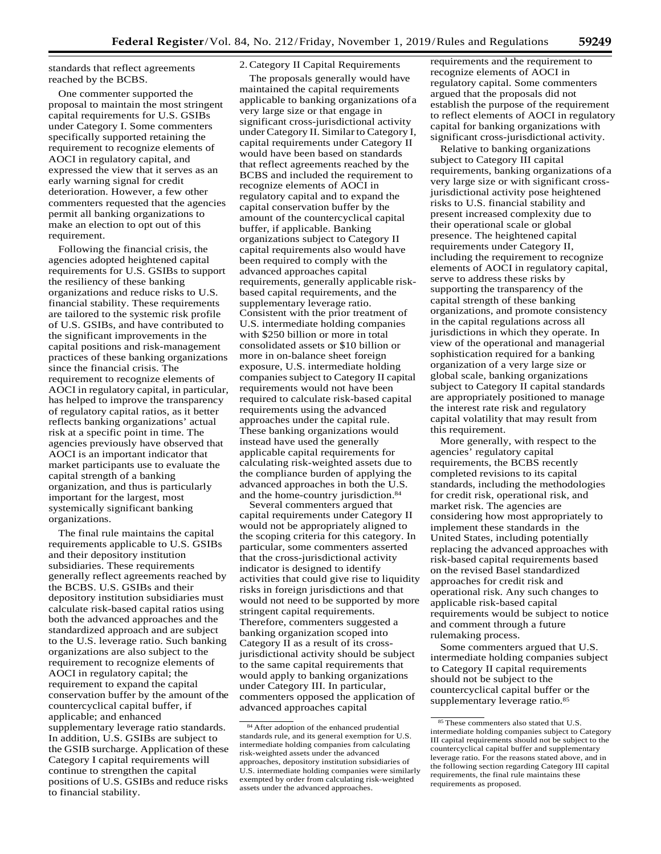standards that reflect agreements reached by the BCBS.

One commenter supported the proposal to maintain the most stringent capital requirements for U.S. GSIBs under Category I. Some commenters specifically supported retaining the requirement to recognize elements of AOCI in regulatory capital, and expressed the view that it serves as an early warning signal for credit deterioration. However, a few other commenters requested that the agencies permit all banking organizations to make an election to opt out of this requirement.

Following the financial crisis, the agencies adopted heightened capital requirements for U.S. GSIBs to support the resiliency of these banking organizations and reduce risks to U.S. financial stability. These requirements are tailored to the systemic risk profile of U.S. GSIBs, and have contributed to the significant improvements in the capital positions and risk-management practices of these banking organizations since the financial crisis. The requirement to recognize elements of AOCI in regulatory capital, in particular, has helped to improve the transparency of regulatory capital ratios, as it better reflects banking organizations' actual risk at a specific point in time. The agencies previously have observed that AOCI is an important indicator that market participants use to evaluate the capital strength of a banking organization, and thus is particularly important for the largest, most systemically significant banking organizations.

The final rule maintains the capital requirements applicable to U.S. GSIBs and their depository institution subsidiaries. These requirements generally reflect agreements reached by the BCBS. U.S. GSIBs and their depository institution subsidiaries must calculate risk-based capital ratios using both the advanced approaches and the standardized approach and are subject to the U.S. leverage ratio. Such banking organizations are also subject to the requirement to recognize elements of AOCI in regulatory capital; the requirement to expand the capital conservation buffer by the amount of the countercyclical capital buffer, if applicable; and enhanced supplementary leverage ratio standards. In addition, U.S. GSIBs are subject to the GSIB surcharge. Application of these Category I capital requirements will continue to strengthen the capital positions of U.S. GSIBs and reduce risks to financial stability.

## 2.Category II Capital Requirements

The proposals generally would have maintained the capital requirements applicable to banking organizations of a very large size or that engage in significant cross-jurisdictional activity under Category II. Similarto Category I, capital requirements under Category II would have been based on standards that reflect agreements reached by the BCBS and included the requirement to recognize elements of AOCI in regulatory capital and to expand the capital conservation buffer by the amount of the countercyclical capital buffer, if applicable. Banking organizations subject to Category II capital requirements also would have been required to comply with the advanced approaches capital requirements, generally applicable riskbased capital requirements, and the supplementary leverage ratio. Consistent with the prior treatment of U.S. intermediate holding companies with \$250 billion or more in total consolidated assets or \$10 billion or more in on-balance sheet foreign exposure, U.S. intermediate holding companies subject to Category II capital requirements would not have been required to calculate risk-based capital requirements using the advanced approaches under the capital rule. These banking organizations would instead have used the generally applicable capital requirements for calculating risk-weighted assets due to the compliance burden of applying the advanced approaches in both the U.S. and the home-country jurisdiction.84

Several commenters argued that capital requirements under Category II would not be appropriately aligned to the scoping criteria for this category. In particular, some commenters asserted that the cross-jurisdictional activity indicator is designed to identify activities that could give rise to liquidity risks in foreign jurisdictions and that would not need to be supported by more stringent capital requirements. Therefore, commenters suggested a banking organization scoped into Category II as a result of its crossjurisdictional activity should be subject to the same capital requirements that would apply to banking organizations under Category III. In particular, commenters opposed the application of advanced approaches capital

requirements and the requirement to recognize elements of AOCI in regulatory capital. Some commenters argued that the proposals did not establish the purpose of the requirement to reflect elements of AOCI in regulatory capital for banking organizations with significant cross-jurisdictional activity.

Relative to banking organizations subject to Category III capital requirements, banking organizations of a very large size or with significant crossjurisdictional activity pose heightened risks to U.S. financial stability and present increased complexity due to their operational scale or global presence. The heightened capital requirements under Category II, including the requirement to recognize elements of AOCI in regulatory capital, serve to address these risks by supporting the transparency of the capital strength of these banking organizations, and promote consistency in the capital regulations across all jurisdictions in which they operate. In view of the operational and managerial sophistication required for a banking organization of a very large size or global scale, banking organizations subject to Category II capital standards are appropriately positioned to manage the interest rate risk and regulatory capital volatility that may result from this requirement.

More generally, with respect to the agencies' regulatory capital requirements, the BCBS recently completed revisions to its capital standards, including the methodologies for credit risk, operational risk, and market risk. The agencies are considering how most appropriately to implement these standards in the United States, including potentially replacing the advanced approaches with risk-based capital requirements based on the revised Basel standardized approaches for credit risk and operational risk. Any such changes to applicable risk-based capital requirements would be subject to notice and comment through a future rulemaking process.

Some commenters argued that U.S. intermediate holding companies subject to Category II capital requirements should not be subject to the countercyclical capital buffer or the supplementary leverage ratio.85

<sup>84</sup> After adoption of the enhanced prudential standards rule, and its general exemption for U.S. intermediate holding companies from calculating risk-weighted assets under the advanced approaches, depository institution subsidiaries of U.S. intermediate holding companies were similarly exempted by order from calculating risk-weighted assets under the advanced approaches.

<sup>85</sup> These commenters also stated that U.S. intermediate holding companies subject to Category III capital requirements should not be subject to the countercyclical capital buffer and supplementary leverage ratio. For the reasons stated above, and in the following section regarding Category III capital requirements, the final rule maintains these requirements as proposed.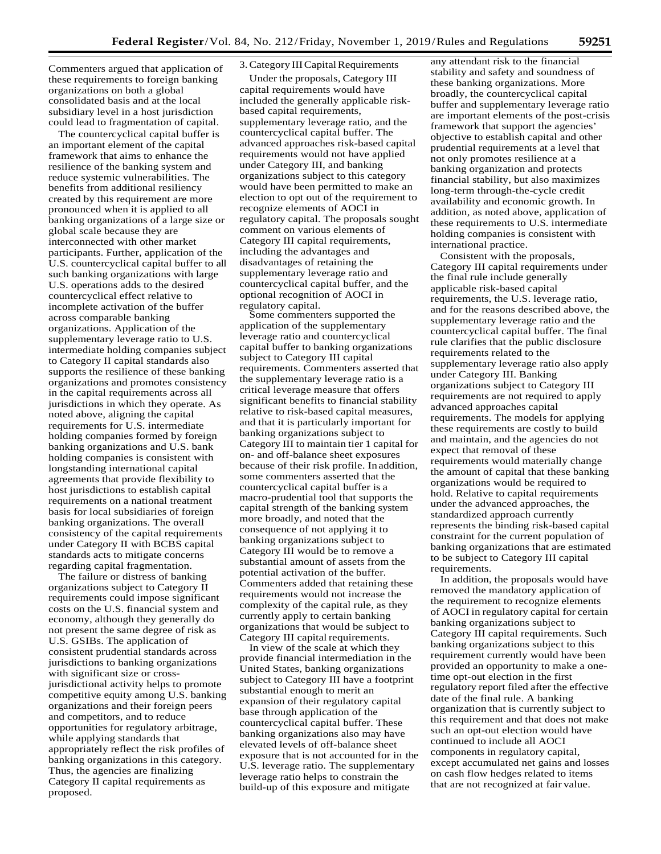Commenters argued that application of these requirements to foreign banking organizations on both a global consolidated basis and at the local subsidiary level in a host jurisdiction could lead to fragmentation of capital.

The countercyclical capital buffer is an important element of the capital framework that aims to enhance the resilience of the banking system and reduce systemic vulnerabilities. The benefits from additional resiliency created by this requirement are more pronounced when it is applied to all banking organizations of a large size or global scale because they are interconnected with other market participants. Further, application of the U.S. countercyclical capital buffer to all such banking organizations with large U.S. operations adds to the desired countercyclical effect relative to incomplete activation of the buffer across comparable banking organizations. Application of the supplementary leverage ratio to U.S. intermediate holding companies subject to Category II capital standards also supports the resilience of these banking organizations and promotes consistency in the capital requirements across all jurisdictions in which they operate. As noted above, aligning the capital requirements for U.S. intermediate holding companies formed by foreign banking organizations and U.S. bank holding companies is consistent with longstanding international capital agreements that provide flexibility to host jurisdictions to establish capital requirements on a national treatment basis for local subsidiaries of foreign banking organizations. The overall consistency of the capital requirements under Category II with BCBS capital standards acts to mitigate concerns regarding capital fragmentation.

The failure or distress of banking organizations subject to Category II requirements could impose significant costs on the U.S. financial system and economy, although they generally do not present the same degree of risk as U.S. GSIBs. The application of consistent prudential standards across jurisdictions to banking organizations with significant size or crossjurisdictional activity helps to promote competitive equity among U.S. banking organizations and their foreign peers and competitors, and to reduce opportunities for regulatory arbitrage, while applying standards that appropriately reflect the risk profiles of banking organizations in this category. Thus, the agencies are finalizing Category II capital requirements as proposed.

## 3. Category III Capital Requirements

Under the proposals, Category III capital requirements would have included the generally applicable riskbased capital requirements, supplementary leverage ratio, and the countercyclical capital buffer. The advanced approaches risk-based capital requirements would not have applied under Category III, and banking organizations subject to this category would have been permitted to make an election to opt out of the requirement to recognize elements of AOCI in regulatory capital. The proposals sought comment on various elements of Category III capital requirements, including the advantages and disadvantages of retaining the supplementary leverage ratio and countercyclical capital buffer, and the optional recognition of AOCI in regulatory capital.

Some commenters supported the application of the supplementary leverage ratio and countercyclical capital buffer to banking organizations subject to Category III capital requirements. Commenters asserted that the supplementary leverage ratio is a critical leverage measure that offers significant benefits to financial stability relative to risk-based capital measures, and that it is particularly important for banking organizations subject to Category III to maintain tier 1 capital for on- and off-balance sheet exposures because of their risk profile. Inaddition, some commenters asserted that the countercyclical capital buffer is a macro-prudential tool that supports the capital strength of the banking system more broadly, and noted that the consequence of not applying it to banking organizations subject to Category III would be to remove a substantial amount of assets from the potential activation of the buffer. Commenters added that retaining these requirements would not increase the complexity of the capital rule, as they currently apply to certain banking organizations that would be subject to Category III capital requirements.

In view of the scale at which they provide financial intermediation in the United States, banking organizations subject to Category III have a footprint substantial enough to merit an expansion of their regulatory capital base through application of the countercyclical capital buffer. These banking organizations also may have elevated levels of off-balance sheet exposure that is not accounted for in the U.S. leverage ratio. The supplementary leverage ratio helps to constrain the build-up of this exposure and mitigate

any attendant risk to the financial stability and safety and soundness of these banking organizations. More broadly, the countercyclical capital buffer and supplementary leverage ratio are important elements of the post-crisis framework that support the agencies' objective to establish capital and other prudential requirements at a level that not only promotes resilience at a banking organization and protects financial stability, but also maximizes long-term through-the-cycle credit availability and economic growth. In addition, as noted above, application of these requirements to U.S. intermediate holding companies is consistent with international practice.

Consistent with the proposals, Category III capital requirements under the final rule include generally applicable risk-based capital requirements, the U.S. leverage ratio, and for the reasons described above, the supplementary leverage ratio and the countercyclical capital buffer. The final rule clarifies that the public disclosure requirements related to the supplementary leverage ratio also apply under Category III. Banking organizations subject to Category III requirements are not required to apply advanced approaches capital requirements. The models for applying these requirements are costly to build and maintain, and the agencies do not expect that removal of these requirements would materially change the amount of capital that these banking organizations would be required to hold. Relative to capital requirements under the advanced approaches, the standardized approach currently represents the binding risk-based capital constraint for the current population of banking organizations that are estimated to be subject to Category III capital requirements.

In addition, the proposals would have removed the mandatory application of the requirement to recognize elements of AOCI in regulatory capital for certain banking organizations subject to Category III capital requirements. Such banking organizations subject to this requirement currently would have been provided an opportunity to make a onetime opt-out election in the first regulatory report filed after the effective date of the final rule. A banking organization that is currently subject to this requirement and that does not make such an opt-out election would have continued to include all AOCI components in regulatory capital, except accumulated net gains and losses on cash flow hedges related to items that are not recognized at fair value.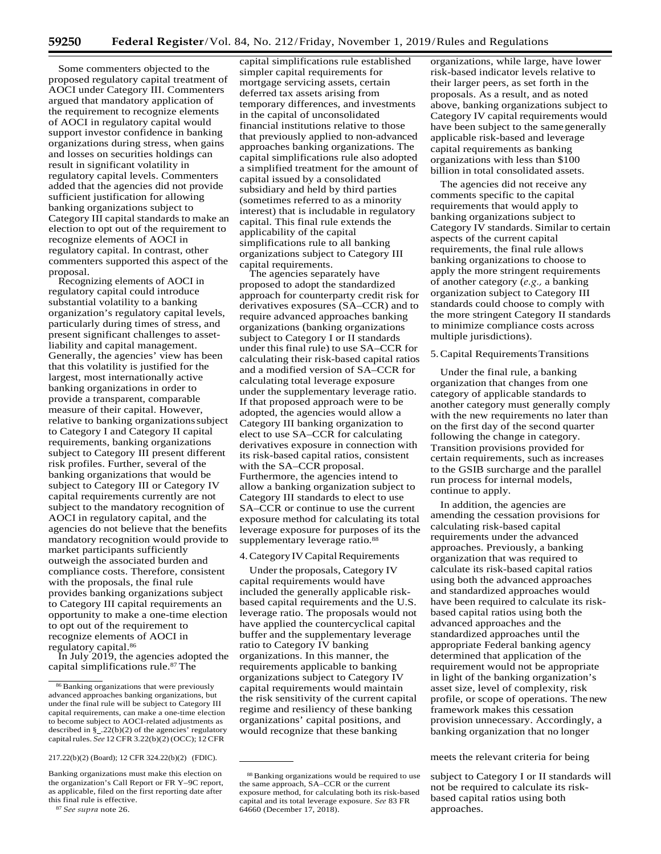Some commenters objected to the proposed regulatory capital treatment of AOCI under Category III. Commenters argued that mandatory application of the requirement to recognize elements of AOCI in regulatory capital would support investor confidence in banking organizations during stress, when gains and losses on securities holdings can result in significant volatility in regulatory capital levels. Commenters added that the agencies did not provide sufficient justification for allowing banking organizations subject to Category III capital standards to make an election to opt out of the requirement to recognize elements of AOCI in regulatory capital. In contrast, other commenters supported this aspect of the proposal.

Recognizing elements of AOCI in regulatory capital could introduce substantial volatility to a banking organization's regulatory capital levels, particularly during times of stress, and present significant challenges to assetliability and capital management. Generally, the agencies' view has been that this volatility is justified for the largest, most internationally active banking organizations in order to provide a transparent, comparable measure of their capital. However, relative to banking organizationssubject to Category I and Category II capital requirements, banking organizations subject to Category III present different risk profiles. Further, several of the banking organizations that would be subject to Category III or Category IV capital requirements currently are not subject to the mandatory recognition of AOCI in regulatory capital, and the agencies do not believe that the benefits mandatory recognition would provide to market participants sufficiently outweigh the associated burden and compliance costs. Therefore, consistent with the proposals, the final rule provides banking organizations subject to Category III capital requirements an opportunity to make a one-time election to opt out of the requirement to recognize elements of AOCI in regulatory capital.86

In July 2019, the agencies adopted the capital simplifications rule.87 The

capital simplifications rule established simpler capital requirements for mortgage servicing assets, certain deferred tax assets arising from temporary differences, and investments in the capital of unconsolidated financial institutions relative to those that previously applied to non-advanced approaches banking organizations. The capital simplifications rule also adopted a simplified treatment for the amount of capital issued by a consolidated subsidiary and held by third parties (sometimes referred to as a minority interest) that is includable in regulatory capital. This final rule extends the applicability of the capital simplifications rule to all banking organizations subject to Category III capital requirements.

The agencies separately have proposed to adopt the standardized approach for counterparty credit risk for derivatives exposures (SA–CCR) and to require advanced approaches banking organizations (banking organizations subject to Category I or II standards under this final rule) to use SA–CCR for calculating their risk-based capital ratios and a modified version of SA–CCR for calculating total leverage exposure under the supplementary leverage ratio. If that proposed approach were to be adopted, the agencies would allow a Category III banking organization to elect to use SA–CCR for calculating derivatives exposure in connection with its risk-based capital ratios, consistent with the SA–CCR proposal. Furthermore, the agencies intend to allow a banking organization subject to Category III standards to elect to use SA–CCR or continue to use the current exposure method for calculating its total leverage exposure for purposes of its the supplementary leverage ratio.<sup>88</sup>

## 4. Category IV Capital Requirements

Under the proposals, Category IV capital requirements would have included the generally applicable riskbased capital requirements and the U.S. leverage ratio. The proposals would not have applied the countercyclical capital buffer and the supplementary leverage ratio to Category IV banking organizations. In this manner, the requirements applicable to banking organizations subject to Category IV capital requirements would maintain the risk sensitivity of the current capital regime and resiliency of these banking organizations' capital positions, and would recognize that these banking

organizations, while large, have lower risk-based indicator levels relative to their larger peers, as set forth in the proposals. As a result, and as noted above, banking organizations subject to Category IV capital requirements would have been subject to the samegenerally applicable risk-based and leverage capital requirements as banking organizations with less than \$100 billion in total consolidated assets.

The agencies did not receive any comments specific to the capital requirements that would apply to banking organizations subject to Category IV standards. Similar to certain aspects of the current capital requirements, the final rule allows banking organizations to choose to apply the more stringent requirements of another category (*e.g.,* a banking organization subject to Category III standards could choose to comply with the more stringent Category II standards to minimize compliance costs across multiple jurisdictions).

## 5.Capital RequirementsTransitions

Under the final rule, a banking organization that changes from one category of applicable standards to another category must generally comply with the new requirements no later than on the first day of the second quarter following the change in category. Transition provisions provided for certain requirements, such as increases to the GSIB surcharge and the parallel run process for internal models, continue to apply.

In addition, the agencies are amending the cessation provisions for calculating risk-based capital requirements under the advanced approaches. Previously, a banking organization that was required to calculate its risk-based capital ratios using both the advanced approaches and standardized approaches would have been required to calculate its riskbased capital ratios using both the advanced approaches and the standardized approaches until the appropriate Federal banking agency determined that application of the requirement would not be appropriate in light of the banking organization's asset size, level of complexity, risk profile, or scope of operations. The new framework makes this cessation provision unnecessary. Accordingly, a banking organization that no longer

#### 217.22(b)(2) (Board); 12 CFR 324.22(b)(2) (FDIC). meets the relevant criteria for being

subject to Category I or II standards will not be required to calculate its riskbased capital ratios using both approaches.

<sup>86</sup> Banking organizations that were previously advanced approaches banking organizations, but under the final rule will be subject to Category III capital requirements, can make a one-time election to become subject to AOCI-related adjustments as described in  $\S$ \_.22(b)(2) of the agencies' regulatory capital rules. See 12 CFR 3.22(b)(2) (OCC); 12 CFR

Banking organizations must make this election on the organization's Call Report or FR Y–9C report, as applicable, filed on the first reporting date after this final rule is effective.

<sup>87</sup>*See supra* note 26.

<sup>88</sup> Banking organizations would be required to use the same approach, SA–CCR or the current exposure method, for calculating both its risk-based capital and its total leverage exposure. *See* 83 FR 64660 (December 17, 2018).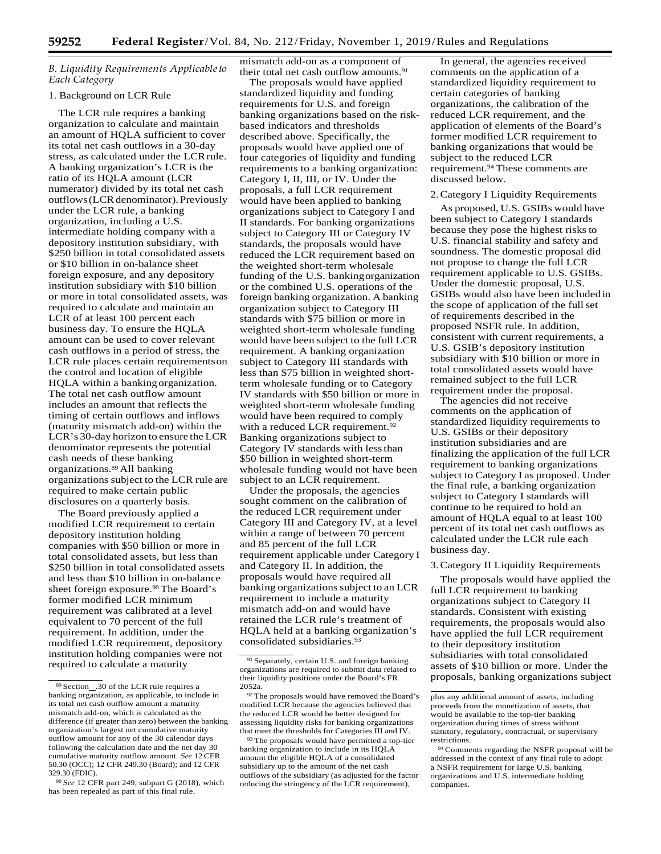## *B. Liquidity Requirements Applicableto Each Category*

## 1. Background on LCR Rule

The LCR rule requires a banking organization to calculate and maintain an amount of HQLA sufficient to cover its total net cash outflows in a 30-day stress, as calculated under the LCRrule. A banking organization's LCR is the ratio of its HQLA amount (LCR numerator) divided by its total net cash outflows (LCR denominator). Previously under the LCR rule, a banking organization, including a U.S. intermediate holding company with a depository institution subsidiary, with \$250 billion in total consolidated assets or \$10 billion in on-balance sheet foreign exposure, and any depository institution subsidiary with \$10 billion or more in total consolidated assets, was required to calculate and maintain an LCR of at least 100 percent each business day. To ensure the HQLA amount can be used to cover relevant cash outflows in a period of stress, the LCR rule places certain requirementson the control and location of eligible HQLA within a bankingorganization. The total net cash outflow amount includes an amount that reflects the timing of certain outflows and inflows (maturity mismatch add-on) within the LCR's 30-day horizon to ensure the LCR denominator represents the potential cash needs of these banking organizations.89 All banking organizations subject to the LCR rule are required to make certain public disclosures on a quarterly basis.

The Board previously applied a modified LCR requirement to certain depository institution holding companies with \$50 billion or more in total consolidated assets, but less than \$250 billion in total consolidated assets and less than \$10 billion in on-balance sheet foreign exposure.<sup>90</sup> The Board's former modified LCR minimum requirement was calibrated at a level equivalent to 70 percent of the full requirement. In addition, under the modified LCR requirement, depository institution holding companies were not required to calculate a maturity

<sup>90</sup>*See* 12 CFR part 249, subpart G (2018), which has been repealed as part of this final rule.

mismatch add-on as a component of their total net cash outflow amounts.<sup>91</sup>

The proposals would have applied standardized liquidity and funding requirements for U.S. and foreign banking organizations based on the riskbased indicators and thresholds described above. Specifically, the proposals would have applied one of four categories of liquidity and funding requirements to a banking organization: Category I, II, III, or IV. Under the proposals, a full LCR requirement would have been applied to banking organizations subject to Category I and II standards. For banking organizations subject to Category III or Category IV standards, the proposals would have reduced the LCR requirement based on the weighted short-term wholesale funding of the U.S. bankingorganization or the combined U.S. operations of the foreign banking organization. A banking organization subject to Category III standards with \$75 billion or more in weighted short-term wholesale funding would have been subject to the full LCR requirement. A banking organization subject to Category III standards with less than \$75 billion in weighted shortterm wholesale funding or to Category IV standards with \$50 billion or more in weighted short-term wholesale funding would have been required to comply with a reduced LCR requirement.<sup>9</sup> Banking organizations subject to Category IV standards with lessthan \$50 billion in weighted short-term wholesale funding would not have been subject to an LCR requirement.

Under the proposals, the agencies sought comment on the calibration of the reduced LCR requirement under Category III and Category IV, at a level within a range of between 70 percent and 85 percent of the full LCR requirement applicable under Category I and Category II. In addition, the proposals would have required all banking organizations subject to an LCR requirement to include a maturity mismatch add-on and would have retained the LCR rule's treatment of HQLA held at a banking organization's consolidated subsidiaries.93

In general, the agencies received comments on the application of a standardized liquidity requirement to certain categories of banking organizations, the calibration of the reduced LCR requirement, and the application of elements of the Board's former modified LCR requirement to banking organizations that would be subject to the reduced LCR requirement.94 These comments are discussed below.

## 2.Category I Liquidity Requirements

As proposed, U.S. GSIBs would have been subject to Category I standards because they pose the highest risks to U.S. financial stability and safety and soundness. The domestic proposal did not propose to change the full LCR requirement applicable to U.S. GSIBs. Under the domestic proposal, U.S. GSIBs would also have been includedin the scope of application of the full set of requirements described in the proposed NSFR rule. In addition, consistent with current requirements, a U.S. GSIB's depository institution subsidiary with \$10 billion or more in total consolidated assets would have remained subject to the full LCR requirement under the proposal.

The agencies did not receive comments on the application of standardized liquidity requirements to U.S. GSIBs or their depository institution subsidiaries and are finalizing the application of the full LCR requirement to banking organizations subject to Category I as proposed. Under the final rule, a banking organization subject to Category I standards will continue to be required to hold an amount of HQLA equal to at least 100 percent of its total net cash outflows as calculated under the LCR rule each business day.

#### 3.Category II Liquidity Requirements

The proposals would have applied the full LCR requirement to banking organizations subject to Category II standards. Consistent with existing requirements, the proposals would also have applied the full LCR requirement to their depository institution subsidiaries with total consolidated assets of \$10 billion or more. Under the proposals, banking organizations subject

<sup>89</sup> Section .30 of the LCR rule requires a banking organization, as applicable, to include in its total net cash outflow amount a maturity mismatch add-on, which is calculated as the difference (if greater than zero) between the banking organization's largest net cumulative maturity outflow amount for any of the 30 calendar days following the calculation date and the net day 30 cumulative maturity outflow amount. *See* 12CFR 50.30 (OCC); 12 CFR 249.30 (Board); and 12 CFR 329.30 (FDIC).

<sup>91</sup> Separately, certain U.S. and foreign banking organizations are required to submit data related to their liquidity positions under the Board's FR 2052a.

<sup>92</sup> The proposals would have removed theBoard's modified LCR because the agencies believed that the reduced LCR would be better designed for assessing liquidity risks for banking organizations that meet the thresholds for Categories III and IV.

<sup>&</sup>lt;sup>93</sup> The proposals would have permitted a top-tier banking organization to include in its HQLA amount the eligible HQLA of a consolidated subsidiary up to the amount of the net cash outflows of the subsidiary (as adjusted for the factor reducing the stringency of the LCR requirement),

plus any additional amount of assets, including proceeds from the monetization of assets, that would be available to the top-tier banking organization during times of stress without statutory, regulatory, contractual, or supervisory restrictions.

<sup>94</sup> Comments regarding the NSFR proposal will be addressed in the context of any final rule to adopt a NSFR requirement for large U.S. banking organizations and U.S. intermediate holding companies.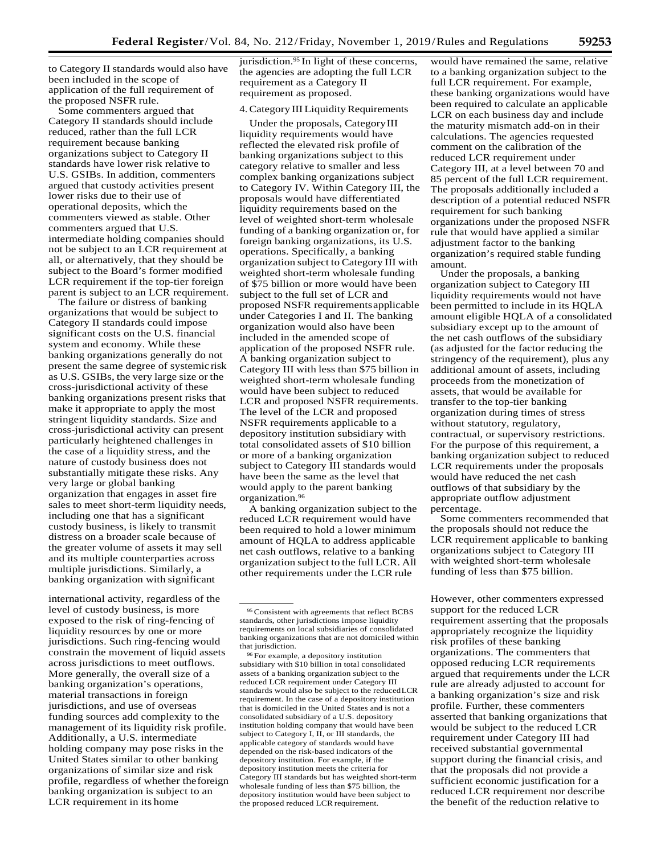to Category II standards would also have been included in the scope of application of the full requirement of the proposed NSFR rule.

Some commenters argued that Category II standards should include reduced, rather than the full LCR requirement because banking organizations subject to Category II standards have lower risk relative to U.S. GSIBs. In addition, commenters argued that custody activities present lower risks due to their use of operational deposits, which the commenters viewed as stable. Other commenters argued that U.S. intermediate holding companies should not be subject to an LCR requirement at all, or alternatively, that they should be subject to the Board's former modified LCR requirement if the top-tier foreign parent is subject to an LCR requirement.

The failure or distress of banking organizations that would be subject to Category II standards could impose significant costs on the U.S. financial system and economy. While these banking organizations generally do not present the same degree of systemic risk as U.S. GSIBs, the very large size or the cross-jurisdictional activity of these banking organizations present risks that make it appropriate to apply the most stringent liquidity standards. Size and cross-jurisdictional activity can present particularly heightened challenges in the case of a liquidity stress, and the nature of custody business does not substantially mitigate these risks. Any very large or global banking organization that engages in asset fire sales to meet short-term liquidity needs, including one that has a significant custody business, is likely to transmit distress on a broader scale because of the greater volume of assets it may sell and its multiple counterparties across multiple jurisdictions. Similarly, a banking organization with significant

level of custody business, is more exposed to the risk of ring-fencing of liquidity resources by one or more jurisdictions. Such ring-fencing would constrain the movement of liquid assets across jurisdictions to meet outflows. More generally, the overall size of a banking organization's operations, material transactions in foreign jurisdictions, and use of overseas funding sources add complexity to the management of its liquidity risk profile. Additionally, a U.S. intermediate holding company may pose risks in the United States similar to other banking organizations of similar size and risk profile, regardless of whether theforeign banking organization is subject to an LCR requirement in its home

jurisdiction.<sup>95</sup> In light of these concerns, the agencies are adopting the full LCR requirement as a Category II requirement as proposed.

#### 4. Category III Liquidity Requirements

Under the proposals, CategoryIII liquidity requirements would have reflected the elevated risk profile of banking organizations subject to this category relative to smaller and less complex banking organizations subject to Category IV. Within Category III, the proposals would have differentiated liquidity requirements based on the level of weighted short-term wholesale funding of a banking organization or, for foreign banking organizations, its U.S. operations. Specifically, a banking organization subject to Category III with weighted short-term wholesale funding of \$75 billion or more would have been subject to the full set of LCR and proposed NSFR requirementsapplicable under Categories I and II. The banking organization would also have been included in the amended scope of application of the proposed NSFR rule. A banking organization subject to Category III with less than \$75 billion in weighted short-term wholesale funding would have been subject to reduced LCR and proposed NSFR requirements. The level of the LCR and proposed NSFR requirements applicable to a depository institution subsidiary with total consolidated assets of \$10 billion or more of a banking organization subject to Category III standards would have been the same as the level that would apply to the parent banking organization.96

A banking organization subject to the reduced LCR requirement would have been required to hold a lower minimum amount of HQLA to address applicable net cash outflows, relative to a banking organization subject to the full LCR. All other requirements under the LCR rule

96 For example, a depository institution subsidiary with \$10 billion in total consolidated assets of a banking organization subject to the reduced LCR requirement under Category III standards would also be subject to the reducedLCR requirement. In the case of a depository institution that is domiciled in the United States and is not a consolidated subsidiary of a U.S. depository institution holding company that would have been subject to Category I, II, or III standards, the applicable category of standards would have depended on the risk-based indicators of the depository institution. For example, if the depository institution meets the criteria for Category III standards but has weighted short-term wholesale funding of less than \$75 billion, the depository institution would have been subject to the proposed reduced LCR requirement.

would have remained the same, relative to a banking organization subject to the full LCR requirement. For example, these banking organizations would have been required to calculate an applicable LCR on each business day and include the maturity mismatch add-on in their calculations. The agencies requested comment on the calibration of the reduced LCR requirement under Category III, at a level between 70 and 85 percent of the full LCR requirement. The proposals additionally included a description of a potential reduced NSFR requirement for such banking organizations under the proposed NSFR rule that would have applied a similar adjustment factor to the banking organization's required stable funding amount.

Under the proposals, a banking organization subject to Category III liquidity requirements would not have been permitted to include in its HQLA amount eligible HQLA of a consolidated subsidiary except up to the amount of the net cash outflows of the subsidiary (as adjusted for the factor reducing the stringency of the requirement), plus any additional amount of assets, including proceeds from the monetization of assets, that would be available for transfer to the top-tier banking organization during times of stress without statutory, regulatory, contractual, or supervisory restrictions. For the purpose of this requirement, a banking organization subject to reduced LCR requirements under the proposals would have reduced the net cash outflows of that subsidiary by the appropriate outflow adjustment percentage.

Some commenters recommended that the proposals should not reduce the LCR requirement applicable to banking organizations subject to Category III with weighted short-term wholesale funding of less than \$75 billion.

international activity, regardless of the **H**owever, other commenters expressed support for the reduced LCR requirement asserting that the proposals appropriately recognize the liquidity risk profiles of these banking organizations. The commenters that opposed reducing LCR requirements argued that requirements under the LCR rule are already adjusted to account for a banking organization's size and risk profile. Further, these commenters asserted that banking organizations that would be subject to the reduced LCR requirement under Category III had received substantial governmental support during the financial crisis, and that the proposals did not provide a sufficient economic justification for a reduced LCR requirement nor describe the benefit of the reduction relative to

<sup>95</sup> Consistent with agreements that reflect BCBS standards, other jurisdictions impose liquidity requirements on local subsidiaries of consolidated banking organizations that are not domiciled within that jurisdiction.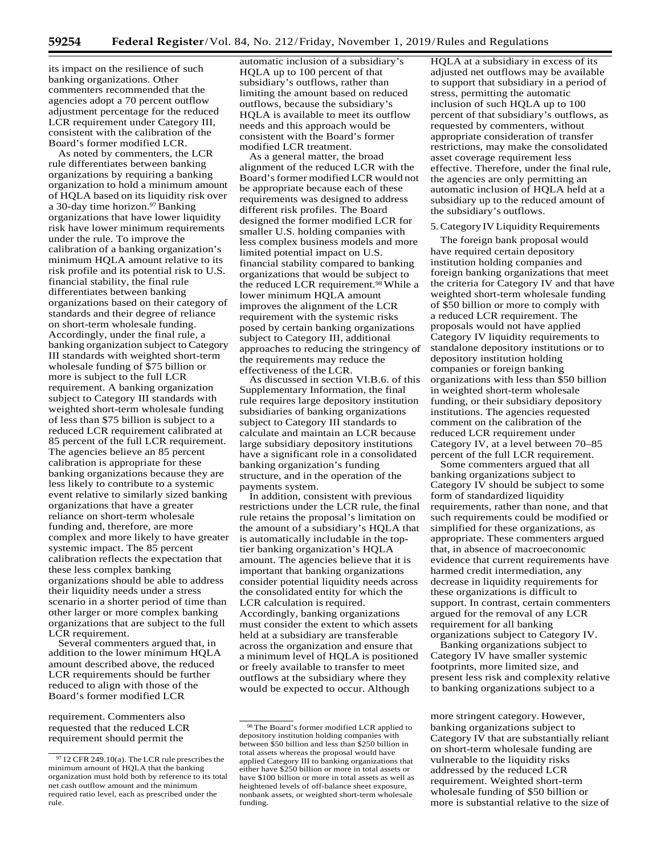its impact on the resilience of such banking organizations. Other commenters recommended that the agencies adopt a 70 percent outflow adjustment percentage for the reduced LCR requirement under Category III, consistent with the calibration of the Board's former modified LCR.

As noted by commenters, the LCR rule differentiates between banking organizations by requiring a banking organization to hold a minimum amount of HQLA based on its liquidity risk over a 30-day time horizon.97 Banking organizations that have lower liquidity risk have lower minimum requirements under the rule. To improve the calibration of a banking organization's minimum HQLA amount relative to its risk profile and its potential risk to U.S. financial stability, the final rule differentiates between banking organizations based on their category of standards and their degree of reliance on short-term wholesale funding. Accordingly, under the final rule, a banking organization subject to Category III standards with weighted short-term wholesale funding of \$75 billion or more is subject to the full LCR requirement. A banking organization subject to Category III standards with weighted short-term wholesale funding of less than \$75 billion is subject to a reduced LCR requirement calibrated at 85 percent of the full LCR requirement. The agencies believe an 85 percent calibration is appropriate for these banking organizations because they are less likely to contribute to a systemic event relative to similarly sized banking organizations that have a greater reliance on short-term wholesale funding and, therefore, are more complex and more likely to have greater systemic impact. The 85 percent calibration reflects the expectation that these less complex banking organizations should be able to address their liquidity needs under a stress scenario in a shorter period of time than other larger or more complex banking organizations that are subject to the full LCR requirement.

Several commenters argued that, in addition to the lower minimum HQLA amount described above, the reduced LCR requirements should be further reduced to align with those of the Board's former modified LCR

requested that the reduced LCR requirement should permit the

automatic inclusion of a subsidiary's HQLA up to 100 percent of that subsidiary's outflows, rather than limiting the amount based on reduced outflows, because the subsidiary's HQLA is available to meet its outflow needs and this approach would be consistent with the Board's former modified LCR treatment.

As a general matter, the broad alignment of the reduced LCR with the Board's former modified LCR would not be appropriate because each of these requirements was designed to address different risk profiles. The Board designed the former modified LCR for smaller U.S. holding companies with less complex business models and more limited potential impact on U.S. financial stability compared to banking organizations that would be subject to the reduced LCR requirement.<sup>98</sup> While a lower minimum HQLA amount improves the alignment of the LCR requirement with the systemic risks posed by certain banking organizations subject to Category III, additional approaches to reducing the stringency of the requirements may reduce the effectiveness of the LCR.

As discussed in section VI.B.6. of this Supplementary Information, the final rule requires large depository institution subsidiaries of banking organizations subject to Category III standards to calculate and maintain an LCR because large subsidiary depository institutions have a significant role in a consolidated banking organization's funding structure, and in the operation of the payments system.

In addition, consistent with previous restrictions under the LCR rule, the final rule retains the proposal's limitation on the amount of a subsidiary's HQLA that is automatically includable in the toptier banking organization's HQLA amount. The agencies believe that it is important that banking organizations consider potential liquidity needs across the consolidated entity for which the LCR calculation is required. Accordingly, banking organizations must consider the extent to which assets held at a subsidiary are transferable across the organization and ensure that a minimum level of HQLA is positioned or freely available to transfer to meet outflows at the subsidiary where they would be expected to occur. Although

HQLA at a subsidiary in excess of its adjusted net outflows may be available to support that subsidiary in a period of stress, permitting the automatic inclusion of such HQLA up to 100 percent of that subsidiary's outflows, as requested by commenters, without appropriate consideration of transfer restrictions, may make the consolidated asset coverage requirement less effective. Therefore, under the final rule, the agencies are only permitting an automatic inclusion of HQLA held at a subsidiary up to the reduced amount of the subsidiary's outflows.

#### 5. Category IV Liquidity Requirements

The foreign bank proposal would have required certain depository institution holding companies and foreign banking organizations that meet the criteria for Category IV and that have weighted short-term wholesale funding of \$50 billion or more to comply with a reduced LCR requirement. The proposals would not have applied Category IV liquidity requirements to standalone depository institutions or to depository institution holding companies or foreign banking organizations with less than \$50 billion in weighted short-term wholesale funding, or their subsidiary depository institutions. The agencies requested comment on the calibration of the reduced LCR requirement under Category IV, at a level between 70–85 percent of the full LCR requirement.

Some commenters argued that all banking organizations subject to Category IV should be subject to some form of standardized liquidity requirements, rather than none, and that such requirements could be modified or simplified for these organizations, as appropriate. These commenters argued that, in absence of macroeconomic evidence that current requirements have harmed credit intermediation, any decrease in liquidity requirements for these organizations is difficult to support. In contrast, certain commenters argued for the removal of any LCR requirement for all banking organizations subject to Category IV.

Banking organizations subject to Category IV have smaller systemic footprints, more limited size, and present less risk and complexity relative to banking organizations subject to a

 $97$  12 CFR 249.10(a). The LCR rule prescribes the minimum amount of HQLA that the banking organization must hold both by reference to its total net cash outflow amount and the minimum required ratio level, each as prescribed under the rule.

<sup>98</sup> The Board's former modified LCR applied to depository institution holding companies with between \$50 billion and less than \$250 billion in total assets whereas the proposal would have applied Category III to banking organizations that either have \$250 billion or more in total assets or have \$100 billion or more in total assets as well as heightened levels of off-balance sheet exposure, nonbank assets, or weighted short-term wholesale funding.

requirement. Commenters also **more stringent category.** However, banking organizations subject to Category IV that are substantially reliant on short-term wholesale funding are vulnerable to the liquidity risks addressed by the reduced LCR requirement. Weighted short-term wholesale funding of \$50 billion or more is substantial relative to the size of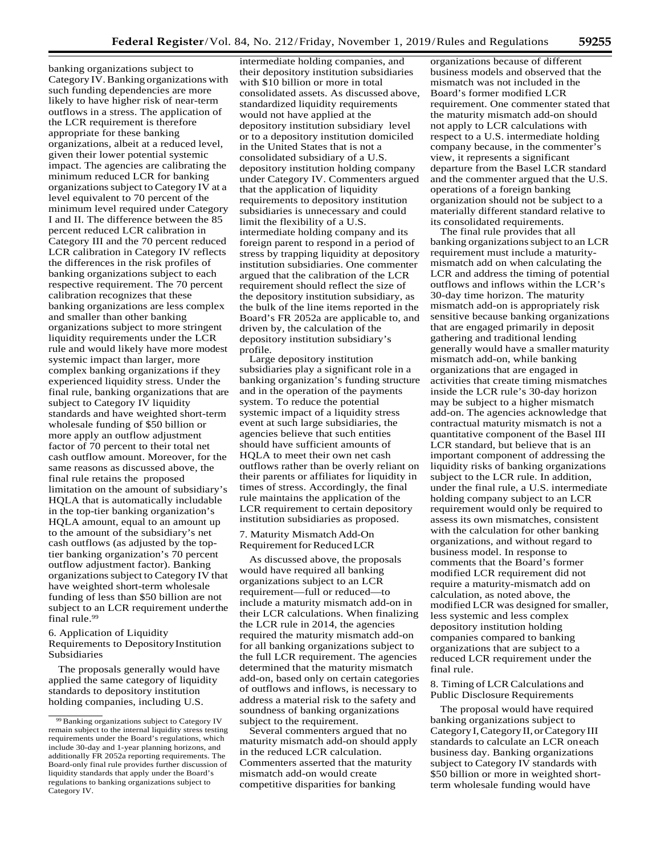banking organizations subject to Category IV.Banking organizations with such funding dependencies are more likely to have higher risk of near-term outflows in a stress. The application of the LCR requirement is therefore appropriate for these banking organizations, albeit at a reduced level, given their lower potential systemic impact. The agencies are calibrating the minimum reduced LCR for banking organizations subject to Category IV at a level equivalent to 70 percent of the minimum level required under Category I and II. The difference between the 85 percent reduced LCR calibration in Category III and the 70 percent reduced LCR calibration in Category IV reflects the differences in the risk profiles of banking organizations subject to each respective requirement. The 70 percent calibration recognizes that these banking organizations are less complex and smaller than other banking organizations subject to more stringent liquidity requirements under the LCR rule and would likely have more modest systemic impact than larger, more complex banking organizations if they experienced liquidity stress. Under the final rule, banking organizations that are subject to Category IV liquidity standards and have weighted short-term wholesale funding of \$50 billion or more apply an outflow adjustment factor of 70 percent to their total net cash outflow amount. Moreover, for the same reasons as discussed above, the final rule retains the proposed limitation on the amount of subsidiary's HQLA that is automatically includable in the top-tier banking organization's HQLA amount, equal to an amount up to the amount of the subsidiary's net cash outflows (as adjusted by the toptier banking organization's 70 percent outflow adjustment factor). Banking organizations subject to Category IV that have weighted short-term wholesale funding of less than \$50 billion are not subject to an LCR requirement underthe final rule.99

6. Application of Liquidity Requirements to DepositoryInstitution Subsidiaries

The proposals generally would have applied the same category of liquidity standards to depository institution holding companies, including U.S.

intermediate holding companies, and their depository institution subsidiaries with \$10 billion or more in total consolidated assets. As discussed above, standardized liquidity requirements would not have applied at the depository institution subsidiary level or to a depository institution domiciled in the United States that is not a consolidated subsidiary of a U.S. depository institution holding company under Category IV. Commenters argued that the application of liquidity requirements to depository institution subsidiaries is unnecessary and could limit the flexibility of a U.S. intermediate holding company and its foreign parent to respond in a period of stress by trapping liquidity at depository institution subsidiaries. One commenter argued that the calibration of the LCR requirement should reflect the size of the depository institution subsidiary, as the bulk of the line items reported in the Board's FR 2052a are applicable to, and driven by, the calculation of the depository institution subsidiary's profile.

Large depository institution subsidiaries play a significant role in a banking organization's funding structure and in the operation of the payments system. To reduce the potential systemic impact of a liquidity stress event at such large subsidiaries, the agencies believe that such entities should have sufficient amounts of HQLA to meet their own net cash outflows rather than be overly reliant on their parents or affiliates for liquidity in times of stress. Accordingly, the final rule maintains the application of the LCR requirement to certain depository institution subsidiaries as proposed.

## 7. Maturity Mismatch Add-On Requirement for Reduced LCR

As discussed above, the proposals would have required all banking organizations subject to an LCR requirement—full or reduced—to include a maturity mismatch add-on in their LCR calculations. When finalizing the LCR rule in 2014, the agencies required the maturity mismatch add-on for all banking organizations subject to the full LCR requirement. The agencies determined that the maturity mismatch add-on, based only on certain categories of outflows and inflows, is necessary to address a material risk to the safety and soundness of banking organizations subject to the requirement.

Several commenters argued that no maturity mismatch add-on should apply in the reduced LCR calculation. Commenters asserted that the maturity mismatch add-on would create competitive disparities for banking

organizations because of different business models and observed that the mismatch was not included in the Board's former modified LCR requirement. One commenter stated that the maturity mismatch add-on should not apply to LCR calculations with respect to a U.S. intermediate holding company because, in the commenter's view, it represents a significant departure from the Basel LCR standard and the commenter argued that the U.S. operations of a foreign banking organization should not be subject to a materially different standard relative to its consolidated requirements.

The final rule provides that all banking organizations subject to an LCR requirement must include a maturitymismatch add on when calculating the LCR and address the timing of potential outflows and inflows within the LCR's 30-day time horizon. The maturity mismatch add-on is appropriately risk sensitive because banking organizations that are engaged primarily in deposit gathering and traditional lending generally would have a smaller maturity mismatch add-on, while banking organizations that are engaged in activities that create timing mismatches inside the LCR rule's 30-day horizon may be subject to a higher mismatch add-on. The agencies acknowledge that contractual maturity mismatch is not a quantitative component of the Basel III LCR standard, but believe that is an important component of addressing the liquidity risks of banking organizations subject to the LCR rule. In addition, under the final rule, a U.S. intermediate holding company subject to an LCR requirement would only be required to assess its own mismatches, consistent with the calculation for other banking organizations, and without regard to business model. In response to comments that the Board's former modified LCR requirement did not require a maturity-mismatch add on calculation, as noted above, the modified LCR was designed for smaller, less systemic and less complex depository institution holding companies compared to banking organizations that are subject to a reduced LCR requirement under the final rule.

## 8. Timing of LCR Calculations and Public Disclosure Requirements

The proposal would have required banking organizations subject to CategoryI,CategoryII, orCategoryIII standards to calculate an LCR oneach business day. Banking organizations subject to Category IV standards with \$50 billion or more in weighted shortterm wholesale funding would have

<sup>99</sup> Banking organizations subject to Category IV remain subject to the internal liquidity stress testing requirements under the Board's regulations, which include 30-day and 1-year planning horizons, and additionally FR 2052a reporting requirements. The Board-only final rule provides further discussion of liquidity standards that apply under the Board's regulations to banking organizations subject to Category IV.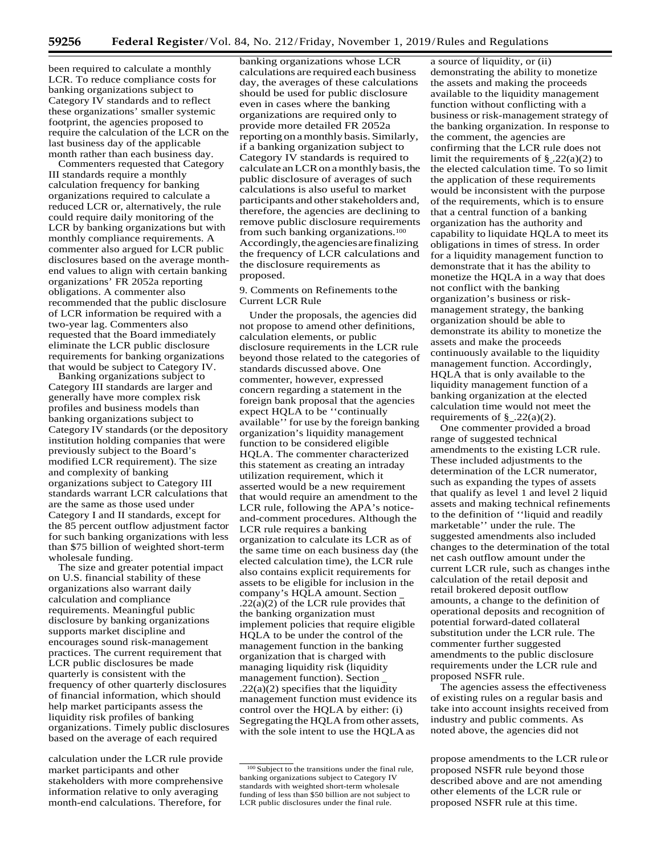been required to calculate a monthly LCR. To reduce compliance costs for banking organizations subject to Category IV standards and to reflect these organizations' smaller systemic footprint, the agencies proposed to require the calculation of the LCR on the last business day of the applicable month rather than each business day.

Commenters requested that Category III standards require a monthly calculation frequency for banking organizations required to calculate a reduced LCR or, alternatively, the rule could require daily monitoring of the LCR by banking organizations but with monthly compliance requirements. A commenter also argued for LCR public disclosures based on the average monthend values to align with certain banking organizations' FR 2052a reporting obligations. A commenter also recommended that the public disclosure of LCR information be required with a two-year lag. Commenters also requested that the Board immediately eliminate the LCR public disclosure requirements for banking organizations that would be subject to Category IV.

Banking organizations subject to Category III standards are larger and generally have more complex risk profiles and business models than banking organizations subject to Category IV standards (or the depository institution holding companies that were previously subject to the Board's modified LCR requirement). The size and complexity of banking organizations subject to Category III standards warrant LCR calculations that are the same as those used under Category I and II standards, except for the 85 percent outflow adjustment factor for such banking organizations with less than \$75 billion of weighted short-term wholesale funding.

The size and greater potential impact on U.S. financial stability of these organizations also warrant daily calculation and compliance requirements. Meaningful public disclosure by banking organizations supports market discipline and encourages sound risk-management practices. The current requirement that LCR public disclosures be made quarterly is consistent with the frequency of other quarterly disclosures of financial information, which should help market participants assess the liquidity risk profiles of banking organizations. Timely public disclosures based on the average of each required

calculation under the LCR rule provide example propose amendments to the LCR rule or market participants and other stakeholders with more comprehensive information relative to only averaging month-end calculations. Therefore, for

banking organizations whose LCR calculations are required each business day, the averages of these calculations should be used for public disclosure even in cases where the banking organizations are required only to provide more detailed FR 2052a reporting on amonthly basis.Similarly, if a banking organization subject to Category IV standards is required to calculate anLCRonamonthlybasis,the public disclosure of averages of such calculations is also useful to market participants and other stakeholders and, therefore, the agencies are declining to remove public disclosure requirements from such banking organizations.100 Accordingly,theagenciesarefinalizing the frequency of LCR calculations and the disclosure requirements as proposed.

9. Comments on Refinements tothe Current LCR Rule

Under the proposals, the agencies did not propose to amend other definitions, calculation elements, or public disclosure requirements in the LCR rule beyond those related to the categories of standards discussed above. One commenter, however, expressed concern regarding a statement in the foreign bank proposal that the agencies expect HQLA to be ''continually available'' for use by the foreign banking organization's liquidity management function to be considered eligible HQLA. The commenter characterized this statement as creating an intraday utilization requirement, which it asserted would be a new requirement that would require an amendment to the LCR rule, following the APA's noticeand-comment procedures. Although the LCR rule requires a banking organization to calculate its LCR as of the same time on each business day (the elected calculation time), the LCR rule also contains explicit requirements for assets to be eligible for inclusion in the company's HQLA amount. Section  $.22(a)(2)$  of the LCR rule provides that the banking organization must implement policies that require eligible HQLA to be under the control of the management function in the banking organization that is charged with managing liquidity risk (liquidity management function). Section  $.22(a)(2)$  specifies that the liquidity management function must evidence its control over the HQLA by either: (i) Segregating the HQLA from other assets, with the sole intent to use the HQLAas

a source of liquidity, or (ii) demonstrating the ability to monetize the assets and making the proceeds available to the liquidity management function without conflicting with a business or risk-management strategy of the banking organization. In response to the comment, the agencies are confirming that the LCR rule does not limit the requirements of  $\S$  . 22(a)(2) to the elected calculation time. To so limit the application of these requirements would be inconsistent with the purpose of the requirements, which is to ensure that a central function of a banking organization has the authority and capability to liquidate HQLA to meet its obligations in times of stress. In order for a liquidity management function to demonstrate that it has the ability to monetize the HQLA in a way that does not conflict with the banking organization's business or riskmanagement strategy, the banking organization should be able to demonstrate its ability to monetize the assets and make the proceeds continuously available to the liquidity management function. Accordingly, HQLA that is only available to the liquidity management function of a banking organization at the elected calculation time would not meet the requirements of  $\S$  .22(a)(2).

One commenter provided a broad range of suggested technical amendments to the existing LCR rule. These included adjustments to the determination of the LCR numerator, such as expanding the types of assets that qualify as level 1 and level 2 liquid assets and making technical refinements to the definition of ''liquid and readily marketable'' under the rule. The suggested amendments also included changes to the determination of the total net cash outflow amount under the current LCR rule, such as changes inthe calculation of the retail deposit and retail brokered deposit outflow amounts, a change to the definition of operational deposits and recognition of potential forward-dated collateral substitution under the LCR rule. The commenter further suggested amendments to the public disclosure requirements under the LCR rule and proposed NSFR rule.

The agencies assess the effectiveness of existing rules on a regular basis and take into account insights received from industry and public comments. As noted above, the agencies did not

proposed NSFR rule beyond those described above and are not amending other elements of the LCR rule or proposed NSFR rule at this time.

<sup>&</sup>lt;sup>100</sup> Subject to the transitions under the final rule, banking organizations subject to Category IV standards with weighted short-term wholesale funding of less than \$50 billion are not subject to LCR public disclosures under the final rule.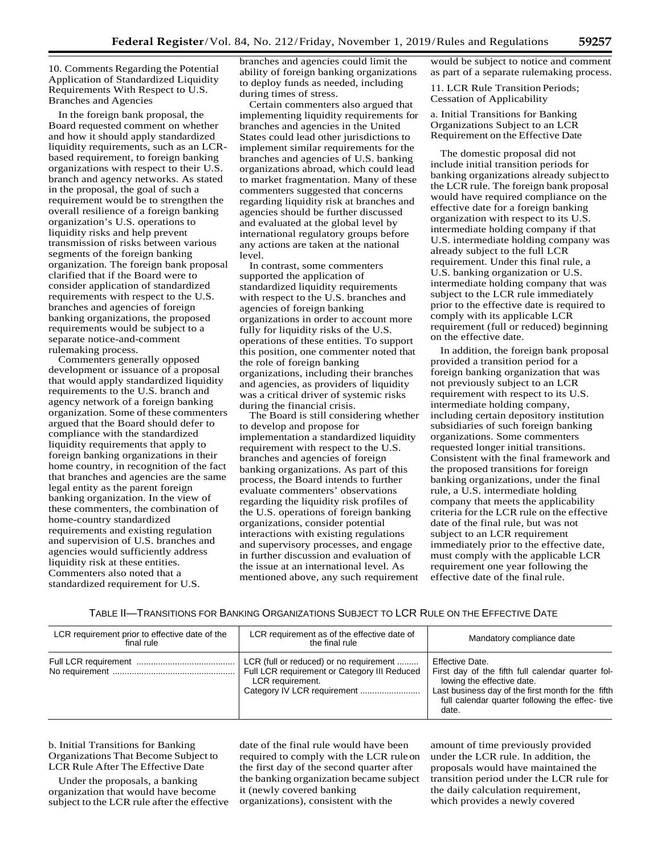10. Comments Regarding the Potential Application of Standardized Liquidity Requirements With Respect to U.S. Branches and Agencies

In the foreign bank proposal, the Board requested comment on whether and how it should apply standardized liquidity requirements, such as an LCRbased requirement, to foreign banking organizations with respect to their U.S. branch and agency networks. As stated in the proposal, the goal of such a requirement would be to strengthen the overall resilience of a foreign banking organization's U.S. operations to liquidity risks and help prevent transmission of risks between various segments of the foreign banking organization. The foreign bank proposal clarified that if the Board were to consider application of standardized requirements with respect to the U.S. branches and agencies of foreign banking organizations, the proposed requirements would be subject to a separate notice-and-comment rulemaking process.

Commenters generally opposed development or issuance of a proposal that would apply standardized liquidity requirements to the U.S. branch and agency network of a foreign banking organization. Some of these commenters argued that the Board should defer to compliance with the standardized liquidity requirements that apply to foreign banking organizations in their home country, in recognition of the fact that branches and agencies are the same legal entity as the parent foreign banking organization. In the view of these commenters, the combination of home-country standardized requirements and existing regulation and supervision of U.S. branches and agencies would sufficiently address liquidity risk at these entities. Commenters also noted that a standardized requirement for U.S.

branches and agencies could limit the ability of foreign banking organizations to deploy funds as needed, including during times of stress.

Certain commenters also argued that implementing liquidity requirements for branches and agencies in the United States could lead other jurisdictions to implement similar requirements for the branches and agencies of U.S. banking organizations abroad, which could lead to market fragmentation. Many of these commenters suggested that concerns regarding liquidity risk at branches and agencies should be further discussed and evaluated at the global level by international regulatory groups before any actions are taken at the national level.

In contrast, some commenters supported the application of standardized liquidity requirements with respect to the U.S. branches and agencies of foreign banking organizations in order to account more fully for liquidity risks of the U.S. operations of these entities. To support this position, one commenter noted that the role of foreign banking organizations, including their branches and agencies, as providers of liquidity was a critical driver of systemic risks during the financial crisis.

The Board is still considering whether to develop and propose for implementation a standardized liquidity requirement with respect to the U.S. branches and agencies of foreign banking organizations. As part of this process, the Board intends to further evaluate commenters' observations regarding the liquidity risk profiles of the U.S. operations of foreign banking organizations, consider potential interactions with existing regulations and supervisory processes, and engage in further discussion and evaluation of the issue at an international level. As mentioned above, any such requirement

would be subject to notice and comment as part of a separate rulemaking process.

11. LCR Rule Transition Periods; Cessation of Applicability

a. Initial Transitions for Banking Organizations Subject to an LCR Requirement on the Effective Date

The domestic proposal did not include initial transition periods for banking organizations already subject to the LCR rule. The foreign bank proposal would have required compliance on the effective date for a foreign banking organization with respect to its U.S. intermediate holding company if that U.S. intermediate holding company was already subject to the full LCR requirement. Under this final rule, a U.S. banking organization or U.S. intermediate holding company that was subject to the LCR rule immediately prior to the effective date is required to comply with its applicable LCR requirement (full or reduced) beginning on the effective date.

In addition, the foreign bank proposal provided a transition period for a foreign banking organization that was not previously subject to an LCR requirement with respect to its U.S. intermediate holding company, including certain depository institution subsidiaries of such foreign banking organizations. Some commenters requested longer initial transitions. Consistent with the final framework and the proposed transitions for foreign banking organizations, under the final rule, a U.S. intermediate holding company that meets the applicability criteria for the LCR rule on the effective date of the final rule, but was not subject to an LCR requirement immediately prior to the effective date, must comply with the applicable LCR requirement one year following the effective date of the final rule.

## TABLE II—TRANSITIONS FOR BANKING ORGANIZATIONS SUBJECT TO LCR RULE ON THE EFFECTIVE DATE

| LCR requirement prior to effective date of the<br>final rule | LCR requirement as of the effective date of<br>the final rule                                               | Mandatory compliance date                                                                                                                                                                                           |
|--------------------------------------------------------------|-------------------------------------------------------------------------------------------------------------|---------------------------------------------------------------------------------------------------------------------------------------------------------------------------------------------------------------------|
|                                                              | LCR (full or reduced) or no requirement<br>Full LCR requirement or Category III Reduced<br>LCR requirement. | Effective Date.<br>First day of the fifth full calendar quarter fol-<br>lowing the effective date.<br>Last business day of the first month for the fifth<br>full calendar quarter following the effec-tive<br>date. |

b. Initial Transitions for Banking Organizations That Become Subject to LCR Rule After The Effective Date

Under the proposals, a banking organization that would have become subject to the LCR rule after the effective

date of the final rule would have been required to comply with the LCR ruleon the first day of the second quarter after the banking organization became subject it (newly covered banking organizations), consistent with the

amount of time previously provided under the LCR rule. In addition, the proposals would have maintained the transition period under the LCR rule for the daily calculation requirement, which provides a newly covered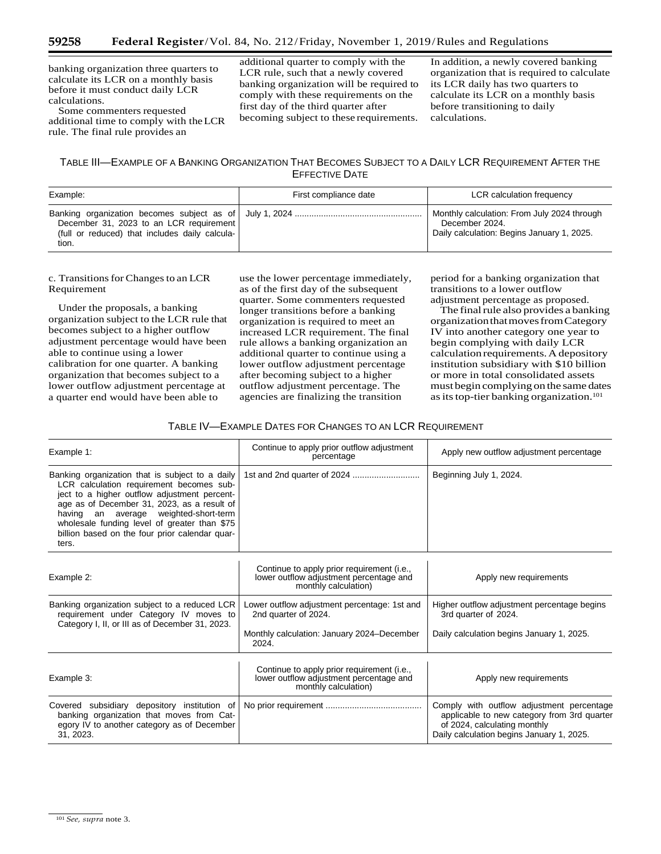banking organization three quarters to calculate its LCR on a monthly basis before it must conduct daily LCR calculations.

Some commenters requested additional time to comply with theLCR rule. The final rule provides an

additional quarter to comply with the LCR rule, such that a newly covered banking organization will be required to comply with these requirements on the first day of the third quarter after becoming subject to these requirements.

In addition, a newly covered banking organization that is required to calculate its LCR daily has two quarters to calculate its LCR on a monthly basis before transitioning to daily calculations.

# TABLE III—EXAMPLE OF A BANKING ORGANIZATION THAT BECOMES SUBJECT TO A DAILY LCR REQUIREMENT AFTER THE EFFECTIVE DATE

| Example:                                                                                           | First compliance date | LCR calculation frequency                                                                                   |
|----------------------------------------------------------------------------------------------------|-----------------------|-------------------------------------------------------------------------------------------------------------|
| December 31, 2023 to an LCR requirement<br>(full or reduced) that includes daily calcula-<br>tion. |                       | Monthly calculation: From July 2024 through<br>December 2024.<br>Daily calculation: Begins January 1, 2025. |

c. Transitions for Changes to an LCR Requirement

Under the proposals, a banking organization subject to the LCR rule that becomes subject to a higher outflow adjustment percentage would have been able to continue using a lower calibration for one quarter. A banking organization that becomes subject to a lower outflow adjustment percentage at a quarter end would have been able to

use the lower percentage immediately, as of the first day of the subsequent quarter. Some commenters requested longer transitions before a banking organization is required to meet an increased LCR requirement. The final rule allows a banking organization an additional quarter to continue using a lower outflow adjustment percentage after becoming subject to a higher outflow adjustment percentage. The agencies are finalizing the transition

period for a banking organization that transitions to a lower outflow adjustment percentage as proposed.

The final rule also provides a banking organizationthatmovesfromCategory IV into another category one year to begin complying with daily LCR calculation requirements. A depository institution subsidiary with \$10 billion or more in total consolidated assets must begin complying on the same dates as its top-tier banking organization.<sup>101</sup>

## TABLE IV—EXAMPLE DATES FOR CHANGES TO AN LCR REQUIREMENT

| Example 1:                                                                                                                                                                                                                                                                                                                                        | Continue to apply prior outflow adjustment<br>percentage                                                                    | Apply new outflow adjustment percentage                                                                                                                               |  |
|---------------------------------------------------------------------------------------------------------------------------------------------------------------------------------------------------------------------------------------------------------------------------------------------------------------------------------------------------|-----------------------------------------------------------------------------------------------------------------------------|-----------------------------------------------------------------------------------------------------------------------------------------------------------------------|--|
| Banking organization that is subject to a daily<br>LCR calculation requirement becomes sub-<br>ject to a higher outflow adjustment percent-<br>age as of December 31, 2023, as a result of<br>an average weighted-short-term<br>having<br>wholesale funding level of greater than \$75<br>billion based on the four prior calendar quar-<br>ters. |                                                                                                                             | Beginning July 1, 2024.                                                                                                                                               |  |
| Example 2:                                                                                                                                                                                                                                                                                                                                        | Continue to apply prior requirement (i.e.,<br>lower outflow adjustment percentage and<br>monthly calculation)               | Apply new requirements                                                                                                                                                |  |
| Banking organization subject to a reduced LCR<br>requirement under Category IV moves to<br>Category I, II, or III as of December 31, 2023.                                                                                                                                                                                                        | Lower outflow adjustment percentage: 1st and<br>2nd quarter of 2024.<br>Monthly calculation: January 2024–December<br>2024. | Higher outflow adjustment percentage begins<br>3rd quarter of 2024.<br>Daily calculation begins January 1, 2025.                                                      |  |
| Example 3:                                                                                                                                                                                                                                                                                                                                        | Continue to apply prior requirement (i.e.,<br>lower outflow adjustment percentage and<br>monthly calculation)               | Apply new requirements                                                                                                                                                |  |
| Covered subsidiary depository institution of<br>banking organization that moves from Cat-<br>egory IV to another category as of December<br>31, 2023.                                                                                                                                                                                             |                                                                                                                             | Comply with outflow adjustment percentage<br>applicable to new category from 3rd quarter<br>of 2024, calculating monthly<br>Daily calculation begins January 1, 2025. |  |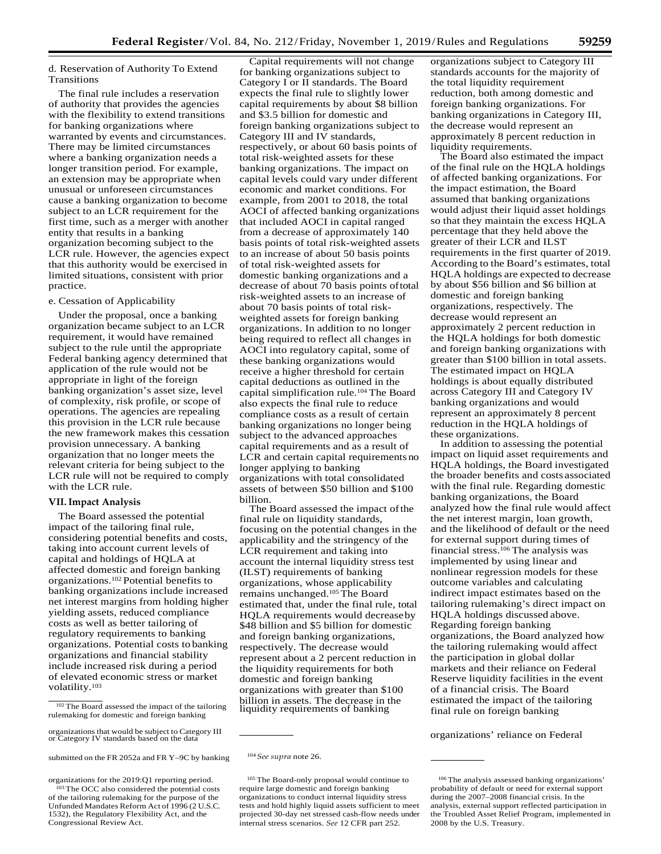## d. Reservation of Authority To Extend Transitions

The final rule includes a reservation of authority that provides the agencies with the flexibility to extend transitions for banking organizations where warranted by events and circumstances. There may be limited circumstances where a banking organization needs a longer transition period. For example, an extension may be appropriate when unusual or unforeseen circumstances cause a banking organization to become subject to an LCR requirement for the first time, such as a merger with another entity that results in a banking organization becoming subject to the LCR rule. However, the agencies expect that this authority would be exercised in limited situations, consistent with prior practice.

## e. Cessation of Applicability

Under the proposal, once a banking organization became subject to an LCR requirement, it would have remained subject to the rule until the appropriate Federal banking agency determined that application of the rule would not be appropriate in light of the foreign banking organization's asset size, level of complexity, risk profile, or scope of operations. The agencies are repealing this provision in the LCR rule because the new framework makes this cessation provision unnecessary. A banking organization that no longer meets the relevant criteria for being subject to the LCR rule will not be required to comply with the LCR rule.

## **VII.Impact Analysis**

The Board assessed the potential impact of the tailoring final rule, considering potential benefits and costs, taking into account current levels of capital and holdings of HQLA at affected domestic and foreign banking organizations.102 Potential benefits to banking organizations include increased net interest margins from holding higher yielding assets, reduced compliance costs as well as better tailoring of regulatory requirements to banking organizations. Potential costs to banking organizations and financial stability include increased risk during a period of elevated economic stress or market volatility.103

organizations for the 2019:Q1 reporting period. 103 The OCC also considered the potential costs

of the tailoring rulemaking for the purpose of the Unfunded Mandates Reform Act of 1996 (2 U.S.C. 1532), the Regulatory Flexibility Act, and the Congressional Review Act.

Capital requirements will not change for banking organizations subject to Category I or II standards. The Board expects the final rule to slightly lower capital requirements by about \$8 billion and \$3.5 billion for domestic and foreign banking organizations subject to Category III and IV standards, respectively, or about 60 basis points of total risk-weighted assets for these banking organizations. The impact on capital levels could vary under different economic and market conditions. For example, from 2001 to 2018, the total AOCI of affected banking organizations that included AOCI in capital ranged from a decrease of approximately 140 basis points of total risk-weighted assets to an increase of about 50 basis points of total risk-weighted assets for domestic banking organizations and a decrease of about 70 basis points oftotal risk-weighted assets to an increase of about 70 basis points of total riskweighted assets for foreign banking organizations. In addition to no longer being required to reflect all changes in AOCI into regulatory capital, some of these banking organizations would receive a higher threshold for certain capital deductions as outlined in the capital simplification rule.104 The Board also expects the final rule to reduce compliance costs as a result of certain banking organizations no longer being subject to the advanced approaches capital requirements and as a result of LCR and certain capital requirements no longer applying to banking organizations with total consolidated assets of between \$50 billion and \$100 billion.

The Board assessed the impact ofthe final rule on liquidity standards, focusing on the potential changes in the applicability and the stringency of the LCR requirement and taking into account the internal liquidity stress test (ILST) requirements of banking organizations, whose applicability remains unchanged.105 The Board estimated that, under the final rule, total HQLA requirements would decreaseby \$48 billion and \$5 billion for domestic and foreign banking organizations, respectively. The decrease would represent about a 2 percent reduction in the liquidity requirements for both domestic and foreign banking organizations with greater than \$100 billion in assets. The decrease in the liquidity requirements of banking

105 The Board-only proposal would continue to require large domestic and foreign banking organizations to conduct internal liquidity stress tests and hold highly liquid assets sufficient to meet projected 30-day net stressed cash-flow needs under internal stress scenarios. *See* 12 CFR part 252.

organizations subject to Category III standards accounts for the majority of the total liquidity requirement reduction, both among domestic and foreign banking organizations. For banking organizations in Category III, the decrease would represent an approximately 8 percent reduction in liquidity requirements.

The Board also estimated the impact of the final rule on the HQLA holdings of affected banking organizations. For the impact estimation, the Board assumed that banking organizations would adjust their liquid asset holdings so that they maintain the excess HQLA percentage that they held above the greater of their LCR and ILST requirements in the first quarter of 2019. According to the Board's estimates, total HQLA holdings are expected to decrease by about \$56 billion and \$6 billion at domestic and foreign banking organizations, respectively. The decrease would represent an approximately 2 percent reduction in the HQLA holdings for both domestic and foreign banking organizations with greater than \$100 billion in total assets. The estimated impact on HQLA holdings is about equally distributed across Category III and Category IV banking organizations and would represent an approximately 8 percent reduction in the HQLA holdings of these organizations.

In addition to assessing the potential impact on liquid asset requirements and HQLA holdings, the Board investigated the broader benefits and costs associated with the final rule. Regarding domestic banking organizations, the Board analyzed how the final rule would affect the net interest margin, loan growth, and the likelihood of default or the need for external support during times of financial stress.106 The analysis was implemented by using linear and nonlinear regression models for these outcome variables and calculating indirect impact estimates based on the tailoring rulemaking's direct impact on HQLA holdings discussed above. Regarding foreign banking organizations, the Board analyzed how the tailoring rulemaking would affect the participation in global dollar markets and their reliance on Federal Reserve liquidity facilities in the event of a financial crisis. The Board estimated the impact of the tailoring final rule on foreign banking

<sup>&</sup>lt;sup>102</sup> The Board assessed the impact of the tailoring rulemaking for domestic and foreign banking

organizations that would be subject to Category III or Category IV standards based on the data organizations' reliance on Federal

submitted on the FR 2052a and FR Y-9C by banking <sup>104</sup> See supra note 26.

<sup>106</sup> The analysis assessed banking organizations' probability of default or need for external support during the 2007–2008 financial crisis. In the analysis, external support reflected participation in the Troubled Asset Relief Program, implemented in 2008 by the U.S. Treasury.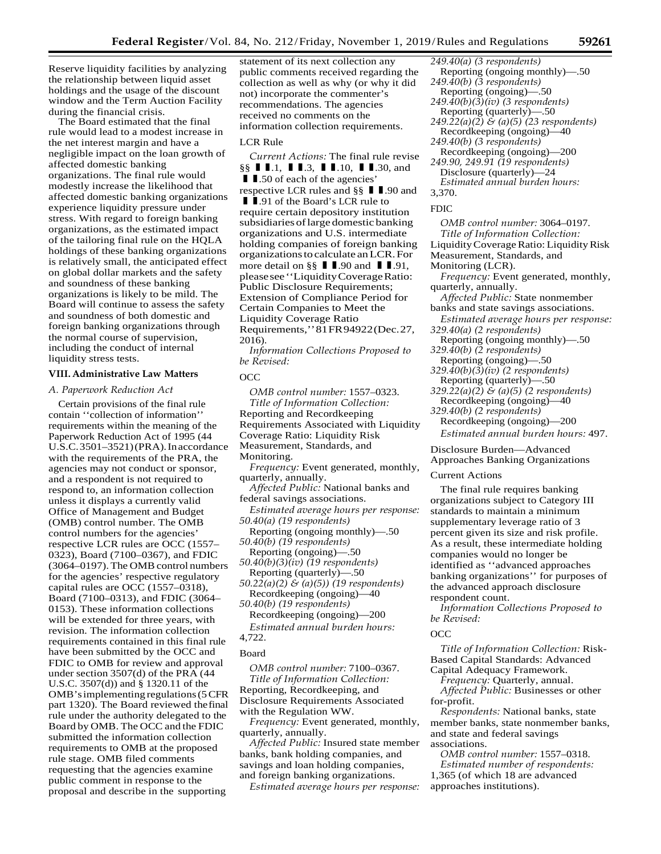Reserve liquidity facilities by analyzing the relationship between liquid asset holdings and the usage of the discount window and the Term Auction Facility during the financial crisis.

The Board estimated that the final rule would lead to a modest increase in the net interest margin and have a negligible impact on the loan growth of affected domestic banking organizations. The final rule would modestly increase the likelihood that affected domestic banking organizations experience liquidity pressure under stress. With regard to foreign banking organizations, as the estimated impact of the tailoring final rule on the HQLA holdings of these banking organizations is relatively small, the anticipated effect on global dollar markets and the safety and soundness of these banking organizations is likely to be mild. The Board will continue to assess the safety and soundness of both domestic and foreign banking organizations through the normal course of supervision, including the conduct of internal liquidity stress tests.

## **VIII. Administrative Law Matters**

#### *A. Paperwork Reduction Act*

Certain provisions of the final rule contain ''collection of information'' requirements within the meaning of the Paperwork Reduction Act of 1995 (44 U.S.C.3501–3521)(PRA).Inaccordance with the requirements of the PRA, the agencies may not conduct or sponsor, and a respondent is not required to respond to, an information collection unless it displays a currently valid Office of Management and Budget (OMB) control number. The OMB control numbers for the agencies' respective LCR rules are OCC (1557– 0323), Board (7100–0367), and FDIC (3064–0197). The OMB control numbers for the agencies' respective regulatory capital rules are OCC (1557–0318), Board (7100–0313), and FDIC (3064– 0153). These information collections will be extended for three years, with revision. The information collection requirements contained in this final rule have been submitted by the OCC and FDIC to OMB for review and approval under section 3507(d) of the PRA (44 U.S.C. 3507(d)) and § 1320.11 of the OMB'simplementing regulations(5CFR part 1320). The Board reviewed thefinal rule under the authority delegated to the Board by OMB. The OCC and the FDIC submitted the information collection requirements to OMB at the proposed rule stage. OMB filed comments requesting that the agencies examine public comment in response to the proposal and describe in the supporting

statement of its next collection any public comments received regarding the collection as well as why (or why it did not) incorporate the commenter's recommendations. The agencies received no comments on the information collection requirements.

## LCR Rule

*Current Actions:* The final rule revise **CULTER 1888**<br>S§ **I I** .1, **I I** .3, **I I** .10, **I I** .30, and **I I** .50 of each of the agencies' *Current Actions:* The final russ  $\S$  **I I** .1, **I I** .3, **I I** .10, **I I** .50 of each of the agencies' respective LCR rules and  $\S$   $\S$  **I I**  $\S$ § **II**.1, **II**.3, **II**.10, **II**.30, and<br>**II**.50 of each of the agencies'<br>respective LCR rules and  $\S$ § **II**.90 and<br>**II**.91 of the Board's LCR rule to **I I** .50 of each of the agencies'<br>respective LCR rules and §§ **I I** .9<br>**I I** .91 of the Board's LCR rule to<br>require certain depository institu require certain depository institution subsidiaries of large domestic banking organizations and U.S. intermediate holding companies of foreign banking organizationstocalculate anLCR.For more detail on  $\S$   $\P$   $\P$ .90 and  $\P$   $\P$ .91, pleasesee''LiquidityCoverageRatio: Public Disclosure Requirements; Extension of Compliance Period for Certain Companies to Meet the Liquidity Coverage Ratio Requirements,''81FR94922(Dec.27, 2016).

*Information Collections Proposed to be Revised:*

## **OCC**

*OMB control number:* 1557–0323. *Title of Information Collection:*  Reporting and Recordkeeping Requirements Associated with Liquidity Coverage Ratio: Liquidity Risk Measurement, Standards, and Monitoring.

*Frequency:* Event generated, monthly, quarterly, annually.

*Affected Public:* National banks and federal savings associations.

*Estimated average hours per response: 50.40(a) (19 respondents)*

Reporting (ongoing monthly)—.50 *50.40(b) (19 respondents)*

Reporting (ongoing)—.50

*50.40(b)(3)(iv) (19 respondents)* Reporting (quarterly)—.50

*50.22(a)(2) & (a)(5)) (19 respondents)* Recordkeeping (ongoing)—40

*50.40(b) (19 respondents)* Recordkeeping (ongoing)—200 *Estimated annual burden hours:*

4,722.

#### Board

*OMB control number:* 7100–0367. *Title of Information Collection:*  Reporting, Recordkeeping, and Disclosure Requirements Associated with the Regulation WW.

*Frequency:* Event generated, monthly, quarterly, annually.

*Affected Public:* Insured state member banks, bank holding companies, and savings and loan holding companies, and foreign banking organizations.

*Estimated average hours per response:*

- *249.40(a) (3 respondents)* Reporting (ongoing monthly)—.50
- *249.40(b) (3 respondents)*
- Reporting (ongoing)—.50
- *249.40(b)(3)(iv) (3 respondents)*
- Reporting (quarterly)—.50 *249.22(a)(2) & (a)(5) (23 respondents)*
- Recordkeeping (ongoing)—40
- *249.40(b) (3 respondents)*
- Recordkeeping (ongoing)—200 *249.90, 249.91 (19 respondents)*
- Disclosure (quarterly)—24 *Estimated annual burden hours:* 3,370.

## FDIC

*OMB control number:* 3064–0197. *Title of Information Collection:*  LiquidityCoverageRatio: LiquidityRisk Measurement, Standards, and Monitoring (LCR).

*Frequency:* Event generated, monthly, quarterly, annually.

- *Affected Public:* State nonmember banks and state savings associations.
- *Estimated average hours per response: 329.40(a) (2 respondents)*
- Reporting (ongoing monthly)—.50 *329.40(b) (2 respondents)*
- Reporting (ongoing)—.50
- *329.40(b)(3)(iv) (2 respondents)*
- Reporting (quarterly)—.50
- *329.22(a)(2) & (a)(5) (2 respondents)* Recordkeeping (ongoing)—40
- *329.40(b) (2 respondents)*

Recordkeeping (ongoing)—200 *Estimated annual burden hours:* 497.

Disclosure Burden—Advanced

Approaches Banking Organizations

#### Current Actions

The final rule requires banking organizations subject to Category III standards to maintain a minimum supplementary leverage ratio of 3 percent given its size and risk profile. As a result, these intermediate holding companies would no longer be identified as ''advanced approaches banking organizations'' for purposes of the advanced approach disclosure respondent count.

*Information Collections Proposed to be Revised:*

#### OCC

*Title of Information Collection:* Risk-Based Capital Standards: Advanced Capital Adequacy Framework.

*Frequency:* Quarterly, annual.

*Affected Public:* Businesses or other for-profit.

*Respondents:* National banks, state member banks, state nonmember banks, and state and federal savings associations.

*OMB control number:* 1557–0318. *Estimated number of respondents:*  1,365 (of which 18 are advanced approaches institutions).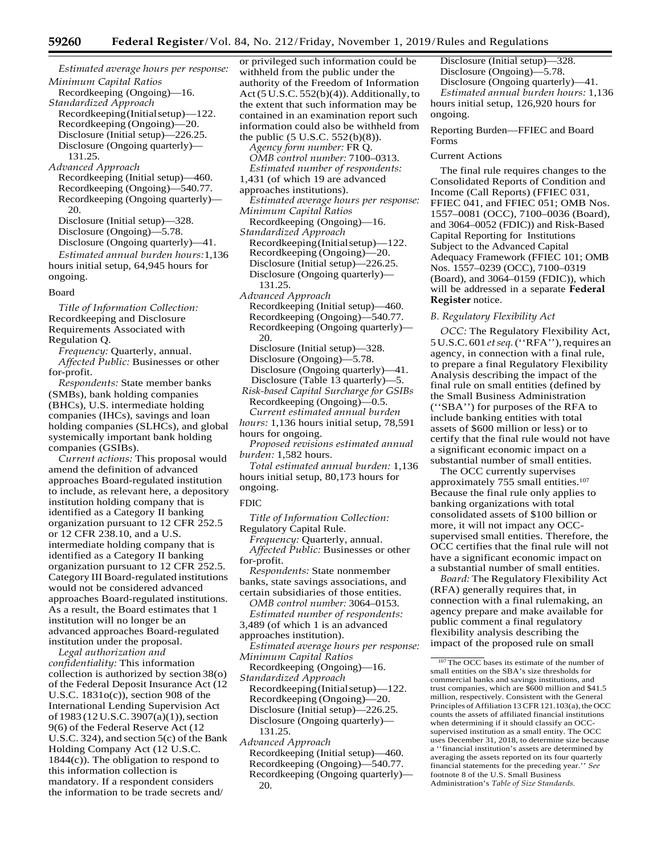*Estimated average hours per response: Minimum Capital Ratios* Recordkeeping (Ongoing)—16.

*Standardized Approach*  Recordkeeping(Initialsetup)—122. Recordkeeping (Ongoing)—20. Disclosure (Initial setup)—226.25. Disclosure (Ongoing quarterly)— 131.25.

*Advanced Approach* Recordkeeping (Initial setup)—460. Recordkeeping (Ongoing)—540.77. Recordkeeping (Ongoing quarterly)— 20.

Disclosure (Initial setup)—328.

Disclosure (Ongoing)—5.78. Disclosure (Ongoing quarterly)—41.

*Estimated annual burden hours:*1,136 hours initial setup, 64,945 hours for ongoing.

#### Board

*Title of Information Collection:*  Recordkeeping and Disclosure Requirements Associated with Regulation Q.

*Frequency:* Quarterly, annual. *Affected Public:* Businesses or other for-profit.

*Respondents:* State member banks (SMBs), bank holding companies (BHCs), U.S. intermediate holding companies (IHCs), savings and loan holding companies (SLHCs), and global systemically important bank holding companies (GSIBs).

*Current actions:* This proposal would amend the definition of advanced approaches Board-regulated institution to include, as relevant here, a depository institution holding company that is identified as a Category II banking organization pursuant to 12 CFR 252.5 or 12 CFR 238.10, and a U.S. intermediate holding company that is identified as a Category II banking organization pursuant to 12 CFR 252.5. Category III Board-regulated institutions would not be considered advanced approaches Board-regulated institutions. As a result, the Board estimates that 1 institution will no longer be an advanced approaches Board-regulated institution under the proposal.

*Legal authorization and confidentiality:* This information collection is authorized by section 38(o) of the Federal Deposit Insurance Act (12 U.S.C. 1831o(c)), section 908 of the International Lending Supervision Act of 1983 (12 U.S.C. 3907(a)(1)), section 9(6) of the Federal Reserve Act (12 U.S.C. 324), and section 5(c) of the Bank Holding Company Act (12 U.S.C. 1844(c)). The obligation to respond to this information collection is mandatory. If a respondent considers the information to be trade secrets and/

or privileged such information could be withheld from the public under the authority of the Freedom of Information Act(5 U.S.C. 552(b)(4)). Additionally,to the extent that such information may be contained in an examination report such information could also be withheld from the public (5 U.S.C. 552(b)(8)). *Agency form number:* FR Q. *OMB control number:* 7100–0313. *Estimated number of respondents:*  1,431 (of which 19 are advanced approaches institutions). *Estimated average hours per response: Minimum Capital Ratios* Recordkeeping (Ongoing)—16. *Standardized Approach*  Recordkeeping(Initialsetup)—122. Recordkeeping (Ongoing)—20. Disclosure (Initial setup)—226.25. Disclosure (Ongoing quarterly)— 131.25. *Advanced Approach* Recordkeeping (Initial setup)—460. Recordkeeping (Ongoing)—540.77. Recordkeeping (Ongoing quarterly)— 20. Disclosure (Initial setup)—328. Disclosure (Ongoing)—5.78. Disclosure (Ongoing quarterly)—41.

Disclosure (Table 13 quarterly)—5. *Risk-based Capital Surcharge for GSIBs* Recordkeeping (Ongoing)—0.5. *Current estimated annual burden* 

*hours:* 1,136 hours initial setup, 78,591 hours for ongoing.

*Proposed revisions estimated annual burden:* 1,582 hours.

*Total estimated annual burden:* 1,136 hours initial setup, 80,173 hours for ongoing.

#### FDIC

*Title of Information Collection:* Regulatory Capital Rule.

*Frequency:* Quarterly, annual.

*Affected Public:* Businesses or other for-profit.

*Respondents:* State nonmember banks, state savings associations, and certain subsidiaries of those entities.

*OMB control number:* 3064–0153. *Estimated number of respondents:* 

3,489 (of which 1 is an advanced

approaches institution).

*Estimated average hours per response: Minimum Capital Ratios*

Recordkeeping (Ongoing)—16. *Standardized Approach* 

- Recordkeeping(Initialsetup)—122. Recordkeeping (Ongoing)—20. Disclosure (Initial setup)—226.25. Disclosure (Ongoing quarterly)— 131.25.
- *Advanced Approach*

Recordkeeping (Initial setup)—460. Recordkeeping (Ongoing)—540.77. Recordkeeping (Ongoing quarterly)— 20.

Disclosure (Initial setup)—328. Disclosure (Ongoing)—5.78. Disclosure (Ongoing quarterly)—41. *Estimated annual burden hours:* 1,136 hours initial setup, 126,920 hours for ongoing.

Reporting Burden—FFIEC and Board Forms

#### Current Actions

The final rule requires changes to the Consolidated Reports of Condition and Income (Call Reports) (FFIEC 031, FFIEC 041, and FFIEC 051; OMB Nos. 1557–0081 (OCC), 7100–0036 (Board), and 3064–0052 (FDIC)) and Risk-Based Capital Reporting for Institutions Subject to the Advanced Capital Adequacy Framework (FFIEC 101; OMB Nos. 1557–0239 (OCC), 7100–0319 (Board), and 3064–0159 (FDIC)), which will be addressed in a separate **Federal Register** notice.

#### *B. Regulatory Flexibility Act*

*OCC:* The Regulatory Flexibility Act, 5U.S.C. 601 *etseq.*(''RFA''),requires an agency, in connection with a final rule, to prepare a final Regulatory Flexibility Analysis describing the impact of the final rule on small entities (defined by the Small Business Administration (''SBA'') for purposes of the RFA to include banking entities with total assets of \$600 million or less) or to certify that the final rule would not have a significant economic impact on a substantial number of small entities.

The OCC currently supervises approximately 755 small entities.107 Because the final rule only applies to banking organizations with total consolidated assets of \$100 billion or more, it will not impact any OCCsupervised small entities. Therefore, the OCC certifies that the final rule will not have a significant economic impact on a substantial number of small entities.

*Board:* The Regulatory Flexibility Act (RFA) generally requires that, in connection with a final rulemaking, an agency prepare and make available for public comment a final regulatory flexibility analysis describing the impact of the proposed rule on small

<sup>107</sup> The OCC bases its estimate of the number of small entities on the SBA's size thresholds for commercial banks and savings institutions, and trust companies, which are \$600 million and \$41.5 million, respectively. Consistent with the General Principles of Affiliation 13 CFR 121.103(a), the OCC counts the assets of affiliated financial institutions when determining if it should classify an OCCsupervised institution as a small entity. The OCC uses December 31, 2018, to determine size because a ''financial institution's assets are determined by averaging the assets reported on its four quarterly financial statements for the preceding year.'' *See*  footnote 8 of the U.S. Small Business Administration's *Table of Size Standards.*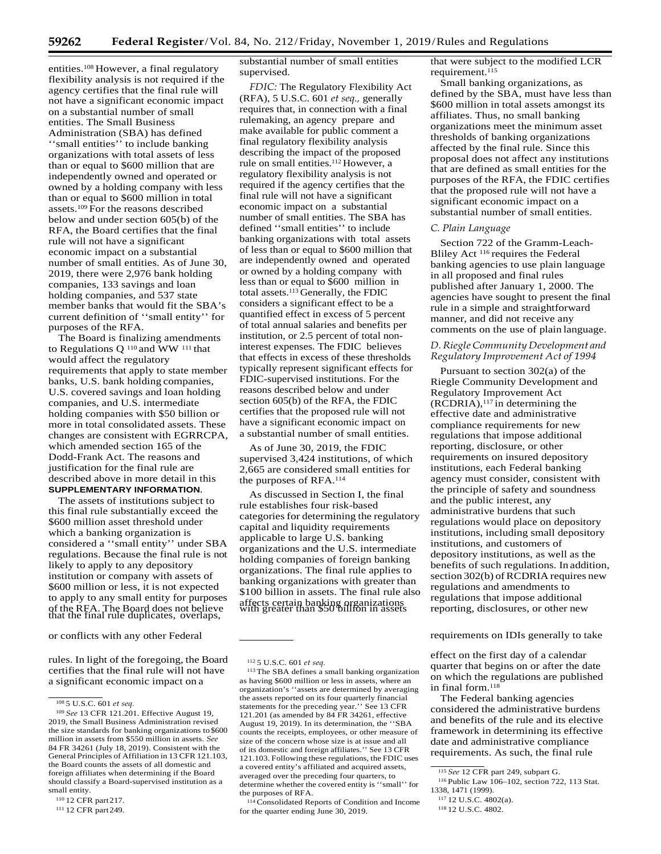entities.108 However, a final regulatory flexibility analysis is not required if the agency certifies that the final rule will not have a significant economic impact on a substantial number of small entities. The Small Business Administration (SBA) has defined ''small entities'' to include banking organizations with total assets of less than or equal to \$600 million that are independently owned and operated or owned by a holding company with less than or equal to \$600 million in total assets.<sup>109</sup> For the reasons described below and under section 605(b) of the RFA, the Board certifies that the final rule will not have a significant economic impact on a substantial number of small entities. As of June 30, 2019, there were 2,976 bank holding companies, 133 savings and loan holding companies, and 537 state member banks that would fit the SBA's current definition of ''small entity'' for purposes of the RFA.

The Board is finalizing amendments to Regulations Q 110 and WW 111 that would affect the regulatory requirements that apply to state member banks, U.S. bank holding companies, U.S. covered savings and loan holding companies, and U.S. intermediate holding companies with \$50 billion or more in total consolidated assets. These changes are consistent with EGRRCPA, which amended section 165 of the Dodd-Frank Act. The reasons and justification for the final rule are described above in more detail in this **SUPPLEMENTARY INFORMATION**.

The assets of institutions subject to this final rule substantially exceed the \$600 million asset threshold under which a banking organization is considered a ''small entity'' under SBA regulations. Because the final rule is not likely to apply to any depository institution or company with assets of \$600 million or less, it is not expected to apply to any small entity for purposes of the RFA. The Board does not believe that the final rule duplicates, overlaps,

rules. In light of the foregoing, the Board certifies that the final rule will not have a significant economic impact on a

substantial number of small entities supervised.

*FDIC:* The Regulatory Flexibility Act (RFA), 5 U.S.C. 601 *et seq.,* generally requires that, in connection with a final rulemaking, an agency prepare and make available for public comment a final regulatory flexibility analysis describing the impact of the proposed rule on small entities.<sup>112</sup> However, a regulatory flexibility analysis is not required if the agency certifies that the final rule will not have a significant economic impact on a substantial number of small entities. The SBA has defined ''small entities'' to include banking organizations with total assets of less than or equal to \$600 million that are independently owned and operated or owned by a holding company with less than or equal to \$600 million in total assets.113 Generally, the FDIC considers a significant effect to be a quantified effect in excess of 5 percent of total annual salaries and benefits per institution, or 2.5 percent of total noninterest expenses. The FDIC believes that effects in excess of these thresholds typically represent significant effects for FDIC-supervised institutions. For the reasons described below and under section 605(b) of the RFA, the FDIC certifies that the proposed rule will not have a significant economic impact on a substantial number of small entities.

As of June 30, 2019, the FDIC supervised 3,424 institutions, of which 2,665 are considered small entities for the purposes of RFA.114

As discussed in Section I, the final rule establishes four risk-based categories for determining the regulatory capital and liquidity requirements applicable to large U.S. banking organizations and the U.S. intermediate holding companies of foreign banking organizations. The final rule applies to banking organizations with greater than \$100 billion in assets. The final rule also affects certain banking organizations with greater than \$50 billion in assets

114 Consolidated Reports of Condition and Income for the quarter ending June 30, 2019.

that were subject to the modified LCR requirement.<sup>115</sup>

Small banking organizations, as defined by the SBA, must have less than \$600 million in total assets amongst its affiliates. Thus, no small banking organizations meet the minimum asset thresholds of banking organizations affected by the final rule. Since this proposal does not affect any institutions that are defined as small entities for the purposes of the RFA, the FDIC certifies that the proposed rule will not have a significant economic impact on a substantial number of small entities.

#### *C. Plain Language*

Section 722 of the Gramm-Leach-Bliley Act 116 requires the Federal banking agencies to use plain language in all proposed and final rules published after January 1, 2000. The agencies have sought to present the final rule in a simple and straightforward manner, and did not receive any comments on the use of plain language.

## *D.RiegleCommunity Development and Regulatory Improvement Act of 1994*

Pursuant to section 302(a) of the Riegle Community Development and Regulatory Improvement Act  $(RCDRIA),$ <sup>117</sup> in determining the effective date and administrative compliance requirements for new regulations that impose additional reporting, disclosure, or other requirements on insured depository institutions, each Federal banking agency must consider, consistent with the principle of safety and soundness and the public interest, any administrative burdens that such regulations would place on depository institutions, including small depository institutions, and customers of depository institutions, as well as the benefits of such regulations. In addition, section 302(b) of RCDRIA requires new regulations and amendments to regulations that impose additional reporting, disclosures, or other new

or conflicts with any other Federal **requirements on IDIs generally to take** requirements on IDIs generally to take

effect on the first day of a calendar quarter that begins on or after the date on which the regulations are published in final form.118

The Federal banking agencies considered the administrative burdens and benefits of the rule and its elective framework in determining its effective date and administrative compliance requirements. As such, the final rule

<sup>108 5</sup> U.S.C. 601 *et seq.*

<sup>109</sup>*See* 13 CFR 121.201. Effective August 19, 2019, the Small Business Administration revised the size standards for banking organizations to \$600 million in assets from \$550 million in assets. *See*  84 FR 34261 (July 18, 2019). Consistent with the General Principles of Affiliation in 13 CFR 121.103, the Board counts the assets of all domestic and foreign affiliates when determining if the Board should classify a Board-supervised institution as a small entity.

<sup>110 12</sup> CFR part217.

<sup>111 12</sup> CFR part249.

<sup>112 5</sup> U.S.C. 601 *et seq.*

<sup>113</sup> The SBA defines a small banking organization as having \$600 million or less in assets, where an organization's ''assets are determined by averaging the assets reported on its four quarterly financial statements for the preceding year.'' See 13 CFR 121.201 (as amended by 84 FR 34261, effective August 19, 2019). In its determination, the ''SBA counts the receipts, employees, or other measure of size of the concern whose size is at issue and all of its domestic and foreign affiliates.'' See 13 CFR 121.103. Following these regulations, the FDIC uses a covered entity's affiliated and acquired assets, averaged over the preceding four quarters, to determine whether the covered entity is ''small'' for the purposes of RFA.

<sup>115</sup>*See* 12 CFR part 249, subpart G.

<sup>116</sup> Public Law 106–102, section 722, 113 Stat. 1338, 1471 (1999).

<sup>117 12</sup> U.S.C. 4802(a).

<sup>118 12</sup> U.S.C. 4802.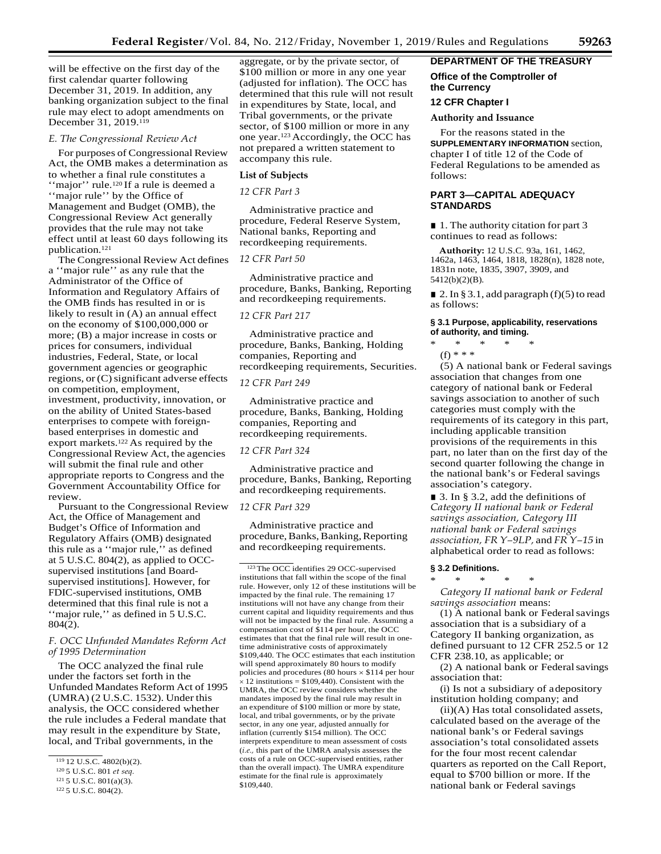will be effective on the first day of the first calendar quarter following December 31, 2019. In addition, any banking organization subject to the final rule may elect to adopt amendments on December 31, 2019.119

#### *E. The Congressional Review Act*

For purposes of Congressional Review Act, the OMB makes a determination as to whether a final rule constitutes a ''major'' rule.120 If a rule is deemed a ''major rule'' by the Office of Management and Budget (OMB), the Congressional Review Act generally provides that the rule may not take effect until at least 60 days following its publication.121

The Congressional Review Act defines a ''major rule'' as any rule that the Administrator of the Office of Information and Regulatory Affairs of the OMB finds has resulted in or is likely to result in (A) an annual effect on the economy of \$100,000,000 or more; (B) a major increase in costs or prices for consumers, individual industries, Federal, State, or local government agencies or geographic regions, or  $(C)$  significant adverse effects on competition, employment, investment, productivity, innovation, or on the ability of United States-based enterprises to compete with foreignbased enterprises in domestic and export markets.<sup>122</sup> As required by the Congressional Review Act, the agencies will submit the final rule and other appropriate reports to Congress and the Government Accountability Office for review.

Pursuant to the Congressional Review Act, the Office of Management and Budget's Office of Information and Regulatory Affairs (OMB) designated this rule as a ''major rule,'' as defined at 5 U.S.C. 804(2), as applied to OCCsupervised institutions [and Boardsupervised institutions]. However, for FDIC-supervised institutions, OMB determined that this final rule is not a ''major rule,'' as defined in 5 U.S.C. 804(2).

*F. OCC Unfunded Mandates Reform Act of 1995 Determination*

The OCC analyzed the final rule under the factors set forth in the Unfunded Mandates Reform Act of 1995 (UMRA) (2 U.S.C. 1532). Under this analysis, the OCC considered whether the rule includes a Federal mandate that may result in the expenditure by State, local, and Tribal governments, in the

aggregate, or by the private sector, of \$100 million or more in any one year (adjusted for inflation). The OCC has determined that this rule will not result in expenditures by State, local, and Tribal governments, or the private sector, of \$100 million or more in any one year.123 Accordingly, the OCC has not prepared a written statement to accompany this rule.

#### **List of Subjects**

*12 CFR Part 3*

Administrative practice and procedure, Federal Reserve System, National banks, Reporting and recordkeeping requirements.

## *12 CFR Part 50*

Administrative practice and procedure, Banks, Banking, Reporting and recordkeeping requirements.

## *12 CFR Part 217*

Administrative practice and procedure, Banks, Banking, Holding companies, Reporting and recordkeeping requirements, Securities.

## *12 CFR Part 249*

Administrative practice and procedure, Banks, Banking, Holding companies, Reporting and recordkeeping requirements.

## *12 CFR Part 324*

Administrative practice and procedure, Banks, Banking, Reporting and recordkeeping requirements.

### *12 CFR Part 329*

Administrative practice and procedure, Banks, Banking, Reporting and recordkeeping requirements.

123 The OCC identifies 29 OCC-supervised institutions that fall within the scope of the final rule. However, only 12 of these institutions will be impacted by the final rule. The remaining 17 institutions will not have any change from their current capital and liquidity requirements and thus will not be impacted by the final rule. Assuming a compensation cost of \$114 per hour, the OCC estimates that that the final rule will result in onetime administrative costs of approximately \$109,440. The OCC estimates that each institution will spend approximately 80 hours to modify policies and procedures (80 hours × \$114 per hour  $\times$  12 institutions = \$109,440). Consistent with the UMRA, the OCC review considers whether the mandates imposed by the final rule may result in an expenditure of \$100 million or more by state, local, and tribal governments, or by the private sector, in any one year, adjusted annually for inflation (currently \$154 million). The OCC interprets expenditure to mean assessment of costs (*i.e.,* this part of the UMRA analysis assesses the costs of a rule on OCC-supervised entities, rather than the overall impact). The UMRA expenditure estimate for the final rule is approximately \$109,440.

## **DEPARTMENT OF THE TREASURY**

## **Office of the Comptroller of the Currency**

## **12 CFR Chapter I**

#### **Authority and Issuance**

For the reasons stated in the **SUPPLEMENTARY INFORMATION** section, chapter I of title 12 of the Code of Federal Regulations to be amended as follows:

## **PART 3—CAPITAL ADEQUACY STANDARDS**

■ 1. The authority citation for part 3 continues to read as follows:

**Authority:** 12 U.S.C. 93a, 161, 1462, 1462a, 1463, 1464, 1818, 1828(n), 1828 note, 1831n note, 1835, 3907, 3909, and 5412(b)(2)(B).

■ 2. In § 3.1, add paragraph  $(f)(5)$  to read as follows:

## **§ 3.1 Purpose, applicability, reservations of authority, and timing.**

\* \* \* \* \* (f) \* \* \*

(5) A national bank or Federal savings association that changes from one category of national bank or Federal savings association to another of such categories must comply with the requirements of its category in this part, including applicable transition provisions of the requirements in this part, no later than on the first day of the second quarter following the change in the national bank's or Federal savings association's category.

■ 3. In § 3.2, add the definitions of *Category II national bank or Federal savings association, Category III national bank or Federal savings association, FR Y–9LP,* and *FR Y–15* in alphabetical order to read asfollows:

#### **§ 3.2 Definitions.**

\* \* \* \* \*

*Category II national bank or Federal savings association* means:

(1) A national bank or Federal savings association that is a subsidiary of a Category II banking organization, as defined pursuant to 12 CFR 252.5 or 12 CFR 238.10, as applicable; or

(2) A national bank or Federal savings association that:

(i) Is not a subsidiary of adepository institution holding company; and

(ii)(A) Has total consolidated assets, calculated based on the average of the national bank's or Federal savings association's total consolidated assets for the four most recent calendar quarters as reported on the Call Report, equal to \$700 billion or more. If the national bank or Federal savings

 $119$  12 U.S.C. 4802(b)(2).

<sup>120 5</sup> U.S.C. 801 *et seq.*

<sup>121 5</sup> U.S.C. 801(a)(3).

<sup>122 5</sup> U.S.C. 804(2).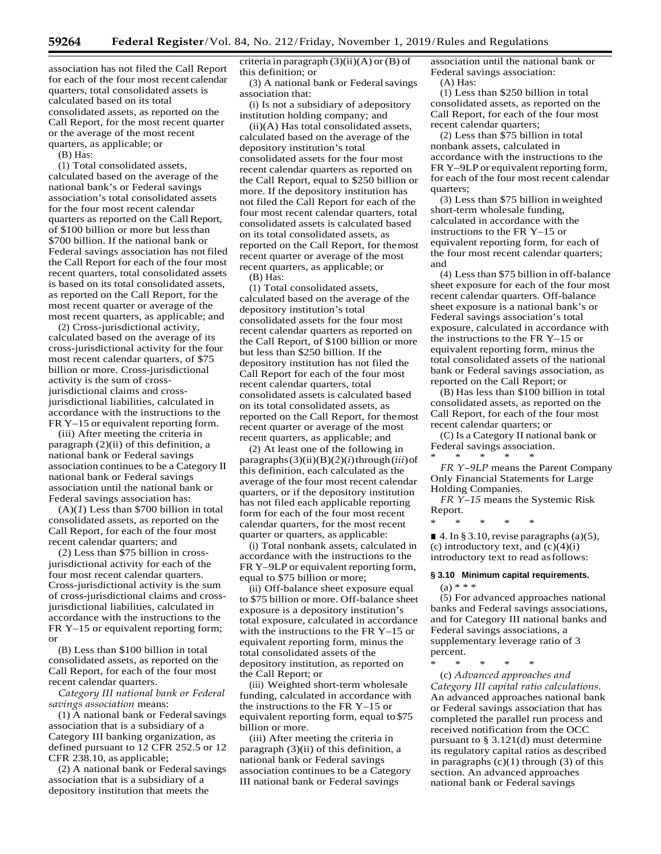association has not filed the Call Report for each of the four most recent calendar quarters, total consolidated assets is calculated based on its total consolidated assets, as reported on the Call Report, for the most recent quarter or the average of the most recent quarters, as applicable; or

(B) Has:

(1) Total consolidated assets, calculated based on the average of the national bank's or Federal savings association's total consolidated assets for the four most recent calendar quarters as reported on the CallReport, of \$100 billion or more but lessthan \$700 billion. If the national bank or Federal savings association has not filed the Call Report for each of the four most recent quarters, total consolidated assets is based on its total consolidated assets, as reported on the Call Report, for the most recent quarter or average of the most recent quarters, as applicable; and

(2) Cross-jurisdictional activity, calculated based on the average of its cross-jurisdictional activity for the four most recent calendar quarters, of \$75 billion or more. Cross-jurisdictional activity is the sum of crossjurisdictional claims and crossjurisdictional liabilities, calculated in accordance with the instructions to the FR Y–15 or equivalent reporting form.

(iii) After meeting the criteria in paragraph (2)(ii) of this definition, a national bank or Federal savings association continues to be a Category II national bank or Federal savings association until the national bank or Federal savings association has:

(A)(*1*) Less than \$700 billion in total consolidated assets, as reported on the Call Report, for each of the four most recent calendar quarters; and

(*2*) Less than \$75 billion in crossjurisdictional activity for each of the four most recent calendar quarters. Cross-jurisdictional activity is the sum of cross-jurisdictional claims and crossjurisdictional liabilities, calculated in accordance with the instructions to the FR Y–15 or equivalent reporting form; or

(B) Less than \$100 billion in total consolidated assets, as reported on the Call Report, for each of the four most recent calendar quarters.

*Category III national bank or Federal savings association* means:

(1) A national bank or Federal savings association that is a subsidiary of a Category III banking organization, as defined pursuant to 12 CFR 252.5 or 12 CFR 238.10, as applicable;

(2) A national bank or Federal savings association that is a subsidiary of a depository institution that meets the

criteria in paragraph  $(3)(ii)(A)$  or  $(B)$  of this definition; or

(3) A national bank or Federal savings association that:

(i) Is not a subsidiary of adepository institution holding company; and

(ii)(A) Has total consolidated assets, calculated based on the average of the depository institution's total consolidated assets for the four most recent calendar quarters as reported on the Call Report, equal to \$250 billion or more. If the depository institution has not filed the Call Report for each of the four most recent calendar quarters, total consolidated assets is calculated based on its total consolidated assets, as reported on the Call Report, for themost recent quarter or average of the most recent quarters, as applicable; or

(B) Has:

(1) Total consolidated assets, calculated based on the average of the depository institution's total consolidated assets for the four most recent calendar quarters as reported on the Call Report, of \$100 billion or more but less than \$250 billion. If the depository institution has not filed the Call Report for each of the four most recent calendar quarters, total consolidated assets is calculated based on its total consolidated assets, as reported on the Call Report, for themost recent quarter or average of the most recent quarters, as applicable; and

(2) At least one of the following in  $paragnhs(3)(ii)(B)(2)(i)$ through( $iii$ ) of this definition, each calculated as the average of the four most recent calendar quarters, or if the depository institution has not filed each applicable reporting form for each of the four most recent calendar quarters, for the most recent quarter or quarters, as applicable:

(i) Total nonbank assets, calculated in accordance with the instructions to the FR Y–9LP or equivalent reporting form, equal to \$75 billion or more;

(ii) Off-balance sheet exposure equal to \$75 billion or more. Off-balance sheet exposure is a depository institution's total exposure, calculated in accordance with the instructions to the FR Y–15 or equivalent reporting form, minus the total consolidated assets of the depository institution, as reported on the Call Report; or

(iii) Weighted short-term wholesale funding, calculated in accordance with the instructions to the FR Y–15 or equivalent reporting form, equal to \$75 billion or more.

(iii) After meeting the criteria in paragraph (3)(ii) of this definition, a national bank or Federal savings association continues to be a Category III national bank or Federal savings

association until the national bank or Federal savings association:

(A) Has:

(1) Less than \$250 billion in total consolidated assets, as reported on the Call Report, for each of the four most recent calendar quarters;

(2) Less than \$75 billion in total nonbank assets, calculated in accordance with the instructions to the FR Y–9LP or equivalent reporting form, for each of the four most recent calendar quarters;

(3) Less than \$75 billion inweighted short-term wholesale funding, calculated in accordance with the instructions to the FR Y–15 or equivalent reporting form, for each of the four most recent calendar quarters; and

(4) Less than \$75 billion in off-balance sheet exposure for each of the four most recent calendar quarters. Off-balance sheet exposure is a national bank's or Federal savings association's total exposure, calculated in accordance with the instructions to the FR Y–15 or equivalent reporting form, minus the total consolidated assets of the national bank or Federal savings association, as reported on the Call Report; or

(B) Has less than \$100 billion in total consolidated assets, as reported on the Call Report, for each of the four most recent calendar quarters; or

(C) Is a Category II national bank or Federal savings association. \* \* \* \* \*

*FR Y–9LP* means the Parent Company Only Financial Statements for Large Holding Companies.

*FR Y–15* means the Systemic Risk Report.

\* \* \* \* \*

\* \* \* \* \*

 $\blacksquare$  4. In § 3.10, revise paragraphs (a)(5), (c) introductory text, and  $(c)(4)(i)$ introductory text to read asfollows:

# **§ 3.10 Minimum capital requirements.**

 $(a) * * *$ 

(5) For advanced approaches national banks and Federal savings associations, and for Category III national banks and Federal savings associations, a supplementary leverage ratio of 3 percent.

(c) *Advanced approaches and Category III capital ratio calculations.*  An advanced approaches national bank or Federal savings association that has completed the parallel run process and received notification from the OCC pursuant to § 3.121(d) must determine its regulatory capital ratios as described in paragraphs  $(c)(1)$  through  $(3)$  of this section. An advanced approaches national bank or Federal savings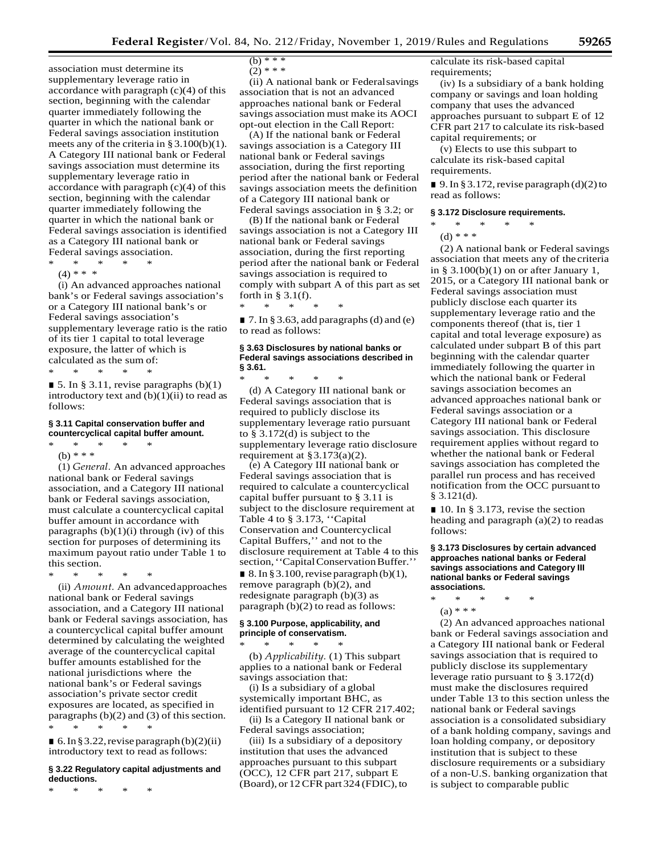association must determine its supplementary leverage ratio in accordance with paragraph  $(c)(4)$  of this section, beginning with the calendar quarter immediately following the quarter in which the national bank or Federal savings association institution meets any of the criteria in §3.100(b)(1). A Category III national bank or Federal savings association must determine its supplementary leverage ratio in accordance with paragraph  $(c)(4)$  of this section, beginning with the calendar quarter immediately following the quarter in which the national bank or Federal savings association is identified as a Category III national bank or Federal savings association.

- \* \* \* \* \*
- $(4)$  \* \* \*

(i) An advanced approaches national bank's or Federal savings association's or a Category III national bank's or Federal savings association's supplementary leverage ratio is the ratio of its tier 1 capital to total leverage exposure, the latter of which is calculated as the sum of: \* \* \* \* \*

 $\blacksquare$  5. In § 3.11, revise paragraphs (b)(1) introductory text and  $(b)(1)(ii)$  to read as follows:

## **§ 3.11 Capital conservation buffer and countercyclical capital buffer amount.** \* \* \* \* \*

(b) \* \* \*

(1) *General.* An advanced approaches national bank or Federal savings association, and a Category III national bank or Federal savings association, must calculate a countercyclical capital buffer amount in accordance with paragraphs  $(b)(1)(i)$  through  $(iv)$  of this section for purposes of determining its maximum payout ratio under Table 1 to this section.

\* \* \* \* \*

(ii) *Amount.* An advancedapproaches national bank or Federal savings association, and a Category III national bank or Federal savings association, has a countercyclical capital buffer amount determined by calculating the weighted average of the countercyclical capital buffer amounts established for the national jurisdictions where the national bank's or Federal savings association's private sector credit exposures are located, as specified in paragraphs (b)(2) and (3) of this section. \* \* \* \* \*

 $\blacksquare$  6. In § 3.22, revise paragraph (b)(2)(ii) introductory text to read as follows:

### **§ 3.22 Regulatory capital adjustments and deductions.**

\* \* \* \* \*

- $\frac{1}{(b) * * * }$
- $(2)$  \* \* \*

(ii) A national bank or Federalsavings association that is not an advanced approaches national bank or Federal savings association must make its AOCI opt-out election in the Call Report:

(A) If the national bank or Federal savings association is a Category III national bank or Federal savings association, during the first reporting period after the national bank or Federal savings association meets the definition of a Category III national bank or Federal savings association in § 3.2; or

(B) If the national bank or Federal savings association is not a Category III national bank or Federal savings association, during the first reporting period after the national bank or Federal savings association is required to comply with subpart A of this part as set forth in  $\S$  3.1(f).

■ 7. In § 3.63, add paragraphs (d) and (e) to read as follows:

\* \* \* \* \*

## **§ 3.63 Disclosures by national banks or Federal savings associations described in § 3.61.**

\* \* \* \* \* (d) A Category III national bank or Federal savings association that is required to publicly disclose its supplementary leverage ratio pursuant to § 3.172(d) is subject to the supplementary leverage ratio disclosure requirement at  $\S 3.173(a)(2)$ .

(e) A Category III national bank or Federal savings association that is required to calculate a countercyclical capital buffer pursuant to § 3.11 is subject to the disclosure requirement at Table 4 to § 3.173, ''Capital Conservation and Countercyclical Capital Buffers,'' and not to the disclosure requirement at Table 4 to this section, "Capital Conservation Buffer."  $\blacksquare$  8. In § 3.100, revise paragraph (b)(1), remove paragraph (b)(2), and redesignate paragraph (b)(3) as paragraph (b)(2) to read as follows:

#### **§ 3.100 Purpose, applicability, and principle of conservatism.** \* \* \* \* \*

(b) *Applicability.* (1) This subpart applies to a national bank or Federal savings association that:

(i) Is a subsidiary of a global systemically important BHC, as identified pursuant to 12 CFR 217.402;

(ii) Is a Category II national bank or Federal savings association;

(iii) Is a subsidiary of a depository institution that uses the advanced approaches pursuant to this subpart (OCC), 12 CFR part 217, subpart E  $(Board)$ , or 12 CFR part 324 (FDIC), to calculate its risk-based capital requirements;

(iv) Is a subsidiary of a bank holding company or savings and loan holding company that uses the advanced approaches pursuant to subpart E of 12 CFR part 217 to calculate its risk-based capital requirements; or

(v) Elects to use this subpart to calculate its risk-based capital requirements.

■ 9. In § 3.172, revise paragraph  $(d)(2)$  to read as follows:

#### **§ 3.172 Disclosure requirements.**

\* \* \* \* \* (d) \* \* \*

(2) A national bank or Federal savings association that meets any of the criteria in §  $3.100(b)(1)$  on or after January 1, 2015, or a Category III national bank or Federal savings association must publicly disclose each quarter its supplementary leverage ratio and the components thereof (that is, tier 1 capital and total leverage exposure) as calculated under subpart B of this part beginning with the calendar quarter immediately following the quarter in which the national bank or Federal savings association becomes an advanced approaches national bank or Federal savings association or a Category III national bank or Federal savings association. This disclosure requirement applies without regard to whether the national bank or Federal savings association has completed the parallel run process and has received notification from the OCC pursuantto § 3.121(d).

■ 10. In § 3.173, revise the section heading and paragraph (a)(2) to readas follows:

#### **§ 3.173 Disclosures by certain advanced approaches national banks or Federal savings associations and Category III national banks or Federal savings associations.**

\* \* \* \* \* (a) \* \* \*

(2) An advanced approaches national bank or Federal savings association and a Category III national bank or Federal savings association that is required to publicly disclose its supplementary leverage ratio pursuant to § 3.172(d) must make the disclosures required under Table 13 to this section unless the national bank or Federal savings association is a consolidated subsidiary of a bank holding company, savings and loan holding company, or depository institution that is subject to these disclosure requirements or a subsidiary of a non-U.S. banking organization that is subject to comparable public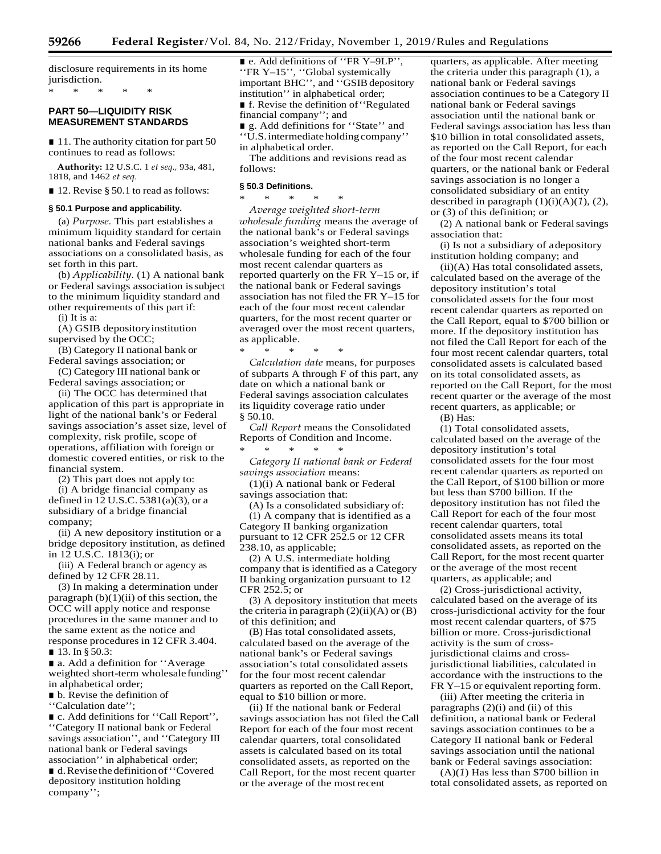disclosure requirements in its home jurisdiction.

\* \* \* \* \*

## **PART 50—LIQUIDITY RISK MEASUREMENT STANDARDS**

■ 11. The authority citation for part 50 continues to read as follows:

**Authority:** 12 U.S.C. 1 *et seq.,* 93a, 481, 1818, and 1462 *et seq.*

■ 12. Revise § 50.1 to read as follows:

## **§ 50.1 Purpose and applicability.**

(a) *Purpose.* This part establishes a minimum liquidity standard for certain national banks and Federal savings associations on a consolidated basis, as set forth in this part.

(b) *Applicability.* (1) A national bank or Federal savings association issubject to the minimum liquidity standard and other requirements of this part if:

(i) It is a:

(A) GSIB depositoryinstitution supervised by the OCC;

(B) Category II national bank or Federal savings association; or

(C) Category III national bank or Federal savings association; or

(ii) The OCC has determined that application of this part is appropriate in light of the national bank's or Federal savings association's asset size, level of complexity, risk profile, scope of operations, affiliation with foreign or domestic covered entities, or risk to the financial system.

(2) This part does not apply to:

(i) A bridge financial company as defined in 12 U.S.C. 5381(a)(3), or a subsidiary of a bridge financial company;

(ii) A new depository institution or a bridge depository institution, as defined in 12 U.S.C. 1813(i); or

(iii) A Federal branch or agency as defined by 12 CFR 28.11.

(3) In making a determination under paragraph  $(b)(1)(ii)$  of this section, the OCC will apply notice and response procedures in the same manner and to the same extent as the notice and response procedures in 12 CFR 3.404. ■ 13. In § 50.3:

■ a. Add a definition for "Average weighted short-term wholesale funding'' in alphabetical order;

■ b. Revise the definition of

''Calculation date'';

■ c. Add definitions for "Call Report", ''Category II national bank or Federal savings association'', and ''Category III national bank or Federal savings association'' in alphabetical order;

■ d. Revise the definition of "Covered depository institution holding company'';

■ e. Add definitions of "FR Y-9LP", ''FR Y–15'', ''Global systemically important BHC'', and "GSIB depository institution'' in alphabetical order; ■ f. Revise the definition of "Regulated" financial company''; and

■ g. Add definitions for "State" and ''U.S.intermediate holdingcompany'' in alphabetical order.

The additions and revisions read as follows:

#### **§ 50.3 Definitions.**

\* \* \* \* \*

*Average weighted short-term wholesale funding* means the average of the national bank's or Federal savings association's weighted short-term wholesale funding for each of the four most recent calendar quarters as reported quarterly on the FR Y–15 or, if the national bank or Federal savings association has not filed the FR Y–15 for each of the four most recent calendar quarters, for the most recent quarter or averaged over the most recent quarters, as applicable.

\* \* \* \* \*

*Calculation date* means, for purposes of subparts A through F of this part, any date on which a national bank or Federal savings association calculates its liquidity coverage ratio under § 50.10.

*Call Report* means the Consolidated Reports of Condition and Income. \* \* \* \* \*

*Category II national bank or Federal savings association* means:

(1)(i) A national bank or Federal

savings association that:

(A) Is a consolidated subsidiary of: (1) A company that is identified as a Category II banking organization pursuant to 12 CFR 252.5 or 12 CFR 238.10, as applicable;

(2) A U.S. intermediate holding company that is identified as a Category II banking organization pursuant to 12 CFR 252.5; or

(3) A depository institution that meets the criteria in paragraph  $(2)(ii)(A)$  or  $(B)$ of this definition; and

(B) Has total consolidated assets, calculated based on the average of the national bank's or Federal savings association's total consolidated assets for the four most recent calendar quarters as reported on the CallReport, equal to \$10 billion or more.

(ii) If the national bank or Federal savings association has not filed theCall Report for each of the four most recent calendar quarters, total consolidated assets is calculated based on its total consolidated assets, as reported on the Call Report, for the most recent quarter or the average of the mostrecent

quarters, as applicable. After meeting the criteria under this paragraph (1), a national bank or Federal savings association continues to be a Category II national bank or Federal savings association until the national bank or Federal savings association has less than \$10 billion in total consolidated assets, as reported on the Call Report, for each of the four most recent calendar quarters, or the national bank or Federal savings association is no longer a consolidated subsidiary of an entity described in paragraph (1)(i)(A)(*1*), (*2*), or (*3*) of this definition; or

(2) A national bank or Federal savings association that:

(i) Is not a subsidiary of adepository institution holding company; and

(ii)(A) Has total consolidated assets, calculated based on the average of the depository institution's total consolidated assets for the four most recent calendar quarters as reported on the Call Report, equal to \$700 billion or more. If the depository institution has not filed the Call Report for each of the four most recent calendar quarters, total consolidated assets is calculated based on its total consolidated assets, as reported on the Call Report, for the most recent quarter or the average of the most recent quarters, as applicable; or

(B) Has:

(1) Total consolidated assets, calculated based on the average of the depository institution's total consolidated assets for the four most recent calendar quarters as reported on the Call Report, of \$100 billion or more but less than \$700 billion. If the depository institution has not filed the Call Report for each of the four most recent calendar quarters, total consolidated assets means its total consolidated assets, as reported on the Call Report, for the most recent quarter or the average of the most recent quarters, as applicable; and

(2) Cross-jurisdictional activity, calculated based on the average of its cross-jurisdictional activity for the four most recent calendar quarters, of \$75 billion or more. Cross-jurisdictional activity is the sum of crossjurisdictional claims and crossjurisdictional liabilities, calculated in accordance with the instructions to the FR Y–15 or equivalent reporting form.

(iii) After meeting the criteria in paragraphs  $(2)(i)$  and  $(ii)$  of this definition, a national bank or Federal savings association continues to be a Category II national bank or Federal savings association until the national bank or Federal savings association:

(A)(*1*) Has less than \$700 billion in total consolidated assets, as reported on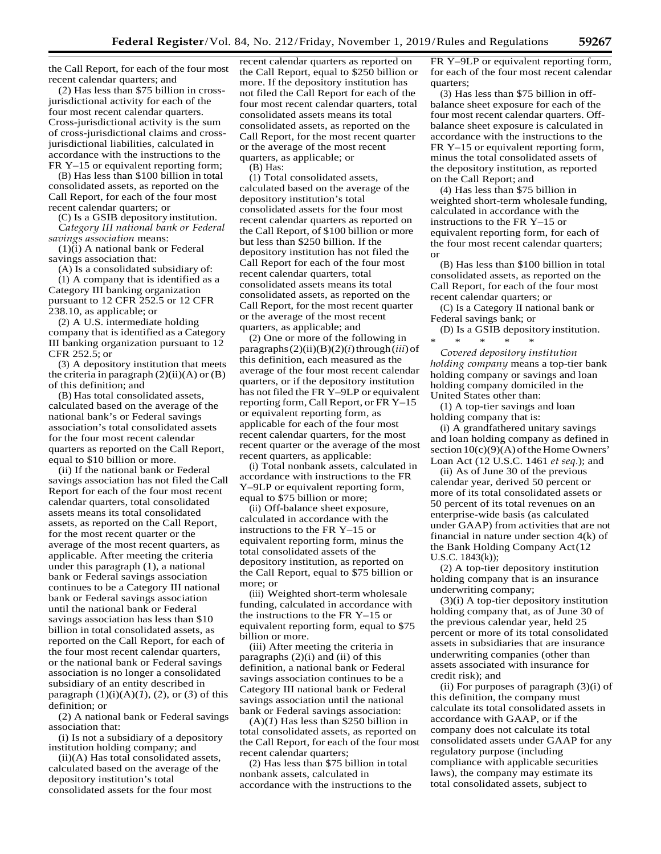the Call Report, for each of the four most recent calendar quarters; and

(*2*) Has less than \$75 billion in crossjurisdictional activity for each of the four most recent calendar quarters. Cross-jurisdictional activity is the sum of cross-jurisdictional claims and crossjurisdictional liabilities, calculated in accordance with the instructions to the FR Y–15 or equivalent reporting form;

(B) Has less than \$100 billion in total consolidated assets, as reported on the Call Report, for each of the four most recent calendar quarters; or

(C) Is a GSIB depositoryinstitution. *Category III national bank or Federal* 

*savings association* means: (1)(i) A national bank or Federal savings association that:

(A) Is a consolidated subsidiary of: (1) A company that is identified as a Category III banking organization pursuant to 12 CFR 252.5 or 12 CFR 238.10, as applicable; or

(2) A U.S. intermediate holding company that is identified as a Category III banking organization pursuant to 12 CFR 252.5; or

(3) A depository institution that meets the criteria in paragraph  $(2)(ii)(A)$  or  $(B)$ of this definition; and

(B) Has total consolidated assets, calculated based on the average of the national bank's or Federal savings association's total consolidated assets for the four most recent calendar quarters as reported on the Call Report, equal to \$10 billion or more.

(ii) If the national bank or Federal savings association has not filed the Call Report for each of the four most recent calendar quarters, total consolidated assets means its total consolidated assets, as reported on the Call Report, for the most recent quarter or the average of the most recent quarters, as applicable. After meeting the criteria under this paragraph (1), a national bank or Federal savings association continues to be a Category III national bank or Federal savings association until the national bank or Federal savings association has less than \$10 billion in total consolidated assets, as reported on the Call Report, for each of the four most recent calendar quarters, or the national bank or Federal savings association is no longer a consolidated subsidiary of an entity described in paragraph  $(1)(i)(A)(1)$ ,  $(2)$ , or  $(3)$  of this definition; or

(2) A national bank or Federal savings association that:

(i) Is not a subsidiary of a depository institution holding company; and

(ii)(A) Has total consolidated assets, calculated based on the average of the depository institution's total consolidated assets for the four most

recent calendar quarters as reported on the Call Report, equal to \$250 billion or more. If the depository institution has not filed the Call Report for each of the four most recent calendar quarters, total consolidated assets means its total consolidated assets, as reported on the Call Report, for the most recent quarter or the average of the most recent quarters, as applicable; or

(B) Has:

(1) Total consolidated assets, calculated based on the average of the depository institution's total consolidated assets for the four most recent calendar quarters as reported on the Call Report, of \$100 billion or more but less than \$250 billion. If the depository institution has not filed the Call Report for each of the four most recent calendar quarters, total consolidated assets means its total consolidated assets, as reported on the Call Report, for the most recent quarter or the average of the most recent quarters, as applicable; and

(2) One or more of the following in paragraphs $(2)(ii)(B)(2)(i)$ through $(iii)$ of this definition, each measured as the average of the four most recent calendar quarters, or if the depository institution has not filed the FR Y–9LP or equivalent reporting form, Call Report, or FR Y–15 or equivalent reporting form, as applicable for each of the four most recent calendar quarters, for the most recent quarter or the average of the most recent quarters, as applicable:

(i) Total nonbank assets, calculated in accordance with instructions to the FR Y–9LP or equivalent reporting form, equal to \$75 billion or more;

(ii) Off-balance sheet exposure, calculated in accordance with the instructions to the FR Y–15 or equivalent reporting form, minus the total consolidated assets of the depository institution, as reported on the Call Report, equal to \$75 billion or more; or

(iii) Weighted short-term wholesale funding, calculated in accordance with the instructions to the FR Y–15 or equivalent reporting form, equal to \$75 billion or more.

(iii) After meeting the criteria in paragraphs (2)(i) and (ii) of this definition, a national bank or Federal savings association continues to be a Category III national bank or Federal savings association until the national bank or Federal savings association:

(A)(*1*) Has less than \$250 billion in total consolidated assets, as reported on the Call Report, for each of the four most recent calendar quarters;

(2) Has less than \$75 billion in total nonbank assets, calculated in accordance with the instructions to the

FR Y–9LP or equivalent reporting form, for each of the four most recent calendar quarters;

(3) Has less than \$75 billion in offbalance sheet exposure for each of the four most recent calendar quarters. Offbalance sheet exposure is calculated in accordance with the instructions to the FR Y–15 or equivalent reporting form, minus the total consolidated assets of the depository institution, as reported on the Call Report; and

(4) Has less than \$75 billion in weighted short-term wholesale funding, calculated in accordance with the instructions to the FR Y–15 or equivalent reporting form, for each of the four most recent calendar quarters; or

(B) Has less than \$100 billion in total consolidated assets, as reported on the Call Report, for each of the four most recent calendar quarters; or

(C) Is a Category II national bank or Federal savings bank; or

(D) Is a GSIB depository institution. \* \* \* \* \*

*Covered depository institution holding company* means a top-tier bank holding company or savings and loan holding company domiciled in the United States other than:

(1) A top-tier savings and loan holding company that is:

(i) A grandfathered unitary savings and loan holding company as defined in section  $10(c)(9)(A)$  of the Home Owners' Loan Act (12 U.S.C. 1461 *et seq.*); and

(ii) As of June 30 of the previous calendar year, derived 50 percent or more of its total consolidated assets or 50 percent of its total revenues on an enterprise-wide basis (as calculated under GAAP) from activities that are not financial in nature under section 4(k) of the Bank Holding Company Act(12 U.S.C. 1843(k));

(2) A top-tier depository institution holding company that is an insurance underwriting company;

(3)(i) A top-tier depository institution holding company that, as of June 30 of the previous calendar year, held 25 percent or more of its total consolidated assets in subsidiaries that are insurance underwriting companies (other than assets associated with insurance for credit risk); and

(ii) For purposes of paragraph (3)(i) of this definition, the company must calculate its total consolidated assets in accordance with GAAP, or if the company does not calculate its total consolidated assets under GAAP for any regulatory purpose (including compliance with applicable securities laws), the company may estimate its total consolidated assets, subject to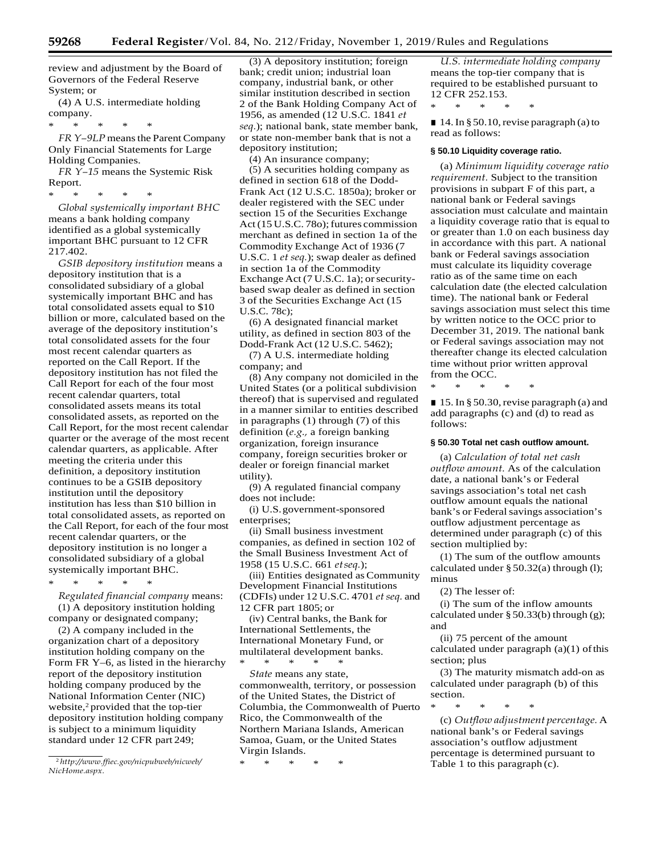review and adjustment by the Board of Governors of the Federal Reserve System; or

(4) A U.S. intermediate holding company.

\* \* \* \* \* *FR Y*-9L*P* means the Parent Company

Only Financial Statements for Large Holding Companies.

*FR Y–15* means the Systemic Risk Report.

\* \* \* \* \*

*Global systemically important BHC*  means a bank holding company identified as a global systemically important BHC pursuant to 12 CFR 217.402.

*GSIB depository institution* means a depository institution that is a consolidated subsidiary of a global systemically important BHC and has total consolidated assets equal to \$10 billion or more, calculated based on the average of the depository institution's total consolidated assets for the four most recent calendar quarters as reported on the Call Report. If the depository institution has not filed the Call Report for each of the four most recent calendar quarters, total consolidated assets means its total consolidated assets, as reported on the Call Report, for the most recent calendar quarter or the average of the most recent calendar quarters, as applicable. After meeting the criteria under this definition, a depository institution continues to be a GSIB depository institution until the depository institution has less than \$10 billion in total consolidated assets, as reported on the Call Report, for each of the four most recent calendar quarters, or the depository institution is no longer a consolidated subsidiary of a global systemically important BHC.

\* \* \* \* \* *Regulated financial company* means: (1) A depository institution holding

company or designated company; (2) A company included in the

organization chart of a depository institution holding company on the Form FR Y–6, as listed in the hierarchy report of the depository institution holding company produced by the National Information Center (NIC) website,<sup>2</sup> provided that the top-tier depository institution holding company is subject to a minimum liquidity standard under 12 CFR part 249;

(3) A depository institution; foreign bank; credit union; industrial loan company, industrial bank, or other similar institution described in section 2 of the Bank Holding Company Act of 1956, as amended (12 U.S.C. 1841 *et seq.*); national bank, state member bank, or state non-member bank that is not a depository institution;

(4) An insurance company;

(5) A securities holding company as defined in section 618 of the Dodd-Frank Act (12 U.S.C. 1850a); broker or dealer registered with the SEC under section 15 of the Securities Exchange Act (15 U.S.C. 780); futures commission merchant as defined in section 1a of the Commodity Exchange Act of 1936 (7 U.S.C. 1 *et seq.*); swap dealer as defined in section 1a of the Commodity Exchange Act (7 U.S.C. 1a); or securitybased swap dealer as defined in section 3 of the Securities Exchange Act (15 U.S.C. 78c);

(6) A designated financial market utility, as defined in section 803 of the Dodd-Frank Act (12 U.S.C. 5462);

(7) A U.S. intermediate holding company; and

(8) Any company not domiciled in the United States (or a political subdivision thereof) that is supervised and regulated in a manner similar to entities described in paragraphs (1) through (7) of this definition (*e.g.,* a foreign banking organization, foreign insurance company, foreign securities broker or dealer or foreign financial market utility).

(9) A regulated financial company does not include:

(i) U.S.government-sponsored enterprises;

(ii) Small business investment companies, as defined in section 102 of the Small Business Investment Act of 1958 (15 U.S.C. 661 *etseq.*);

(iii) Entities designated asCommunity Development Financial Institutions (CDFIs) under 12 U.S.C. 4701 et seq. and 12 CFR part 1805; or

(iv) Central banks, the Bank for International Settlements, the International Monetary Fund, or multilateral development banks. \* \* \* \* \*

*State* means any state, commonwealth, territory, or possession of the United States, the District of Columbia, the Commonwealth of Puerto Rico, the Commonwealth of the Northern Mariana Islands, American Samoa, Guam, or the United States Virgin Islands.

\* \* \* \* \*

*U.S. intermediate holding company*  means the top-tier company that is required to be established pursuant to 12 CFR 252.153.

\* \* \* \* \*

 $\blacksquare$  14. In § 50.10, revise paragraph (a) to read as follows:

## **§ 50.10 Liquidity coverage ratio.**

(a) *Minimum liquidity coverage ratio requirement.* Subject to the transition provisions in subpart F of this part, a national bank or Federal savings association must calculate and maintain a liquidity coverage ratio that is equal to or greater than 1.0 on each business day in accordance with this part. A national bank or Federal savings association must calculate its liquidity coverage ratio as of the same time on each calculation date (the elected calculation time). The national bank or Federal savings association must select this time by written notice to the OCC prior to December 31, 2019. The national bank or Federal savings association may not thereafter change its elected calculation time without prior written approval from the OCC.

\* \* \* \* \*

■ 15. In § 50.30, revise paragraph (a) and add paragraphs (c) and (d) to read as follows:

## **§ 50.30 Total net cash outflow amount.**

(a) *Calculation of total net cash outflow amount.* As of the calculation date, a national bank's or Federal savings association's total net cash outflow amount equals the national bank's or Federal savings association's outflow adjustment percentage as determined under paragraph (c) of this section multiplied by:

(1) The sum of the outflow amounts calculated under § 50.32(a) through (l); minus

(2) The lesser of:

(i) The sum of the inflow amounts calculated under § 50.33(b) through (g); and

(ii) 75 percent of the amount calculated under paragraph  $(a)(1)$  of this section; plus

(3) The maturity mismatch add-on as calculated under paragraph (b) of this section.

\* \* \* \* \*

(c) *Outflow adjustment percentage.* A national bank's or Federal savings association's outflow adjustment percentage is determined pursuant to Table 1 to this paragraph (c).

<sup>2</sup>*[http://www.ffiec.gov/nicpubweb/nicweb/](http://www.ffiec.gov/nicpubweb/nicweb/NicHome.aspx) [NicHome.aspx.](http://www.ffiec.gov/nicpubweb/nicweb/NicHome.aspx)*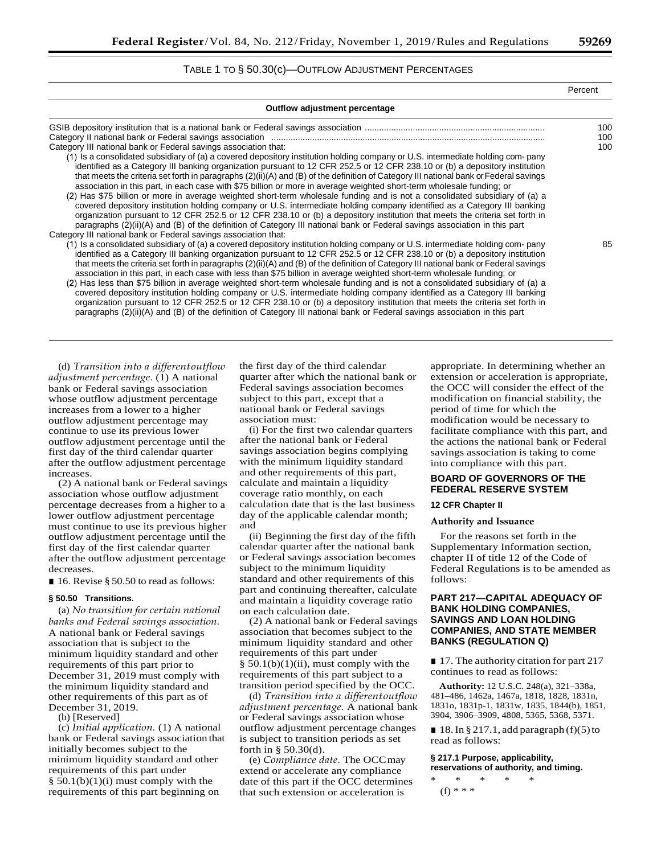## TABLE 1 TO § 50.30(c)—OUTFLOW ADJUSTMENT PERCENTAGES

| Outflow adjustment percentage                                                                                                                                                                                                                                                                                                                                                                                                                                                                                                                                                                                                                                                                                                                                                                                                                                                                                                                                                                                                                                                                                                 |            |
|-------------------------------------------------------------------------------------------------------------------------------------------------------------------------------------------------------------------------------------------------------------------------------------------------------------------------------------------------------------------------------------------------------------------------------------------------------------------------------------------------------------------------------------------------------------------------------------------------------------------------------------------------------------------------------------------------------------------------------------------------------------------------------------------------------------------------------------------------------------------------------------------------------------------------------------------------------------------------------------------------------------------------------------------------------------------------------------------------------------------------------|------------|
|                                                                                                                                                                                                                                                                                                                                                                                                                                                                                                                                                                                                                                                                                                                                                                                                                                                                                                                                                                                                                                                                                                                               | 100<br>100 |
| Category III national bank or Federal savings association that:<br>(1) Is a consolidated subsidiary of (a) a covered depository institution holding company or U.S. intermediate holding com-pany<br>identified as a Category III banking organization pursuant to 12 CFR 252.5 or 12 CFR 238.10 or (b) a depository institution<br>that meets the criteria set forth in paragraphs (2)(ii)(A) and (B) of the definition of Category III national bank or Federal savings<br>association in this part, in each case with \$75 billion or more in average weighted short-term wholesale funding; or<br>(2) Has \$75 billion or more in average weighted short-term wholesale funding and is not a consolidated subsidiary of (a) a<br>covered depository institution holding company or U.S. intermediate holding company identified as a Category III banking<br>organization pursuant to 12 CFR 252.5 or 12 CFR 238.10 or (b) a depository institution that meets the criteria set forth in<br>paragraphs (2)(ii)(A) and (B) of the definition of Category III national bank or Federal savings association in this part     | 100        |
| Category III national bank or Federal savings association that:<br>(1) Is a consolidated subsidiary of (a) a covered depository institution holding company or U.S. intermediate holding com-pany<br>identified as a Category III banking organization pursuant to 12 CFR 252.5 or 12 CFR 238.10 or (b) a depository institution<br>that meets the criteria set forth in paragraphs (2)(ii)(A) and (B) of the definition of Category III national bank or Federal savings<br>association in this part, in each case with less than \$75 billion in average weighted short-term wholesale funding; or<br>(2) Has less than \$75 billion in average weighted short-term wholesale funding and is not a consolidated subsidiary of (a) a<br>covered depository institution holding company or U.S. intermediate holding company identified as a Category III banking<br>organization pursuant to 12 CFR 252.5 or 12 CFR 238.10 or (b) a depository institution that meets the criteria set forth in<br>paragraphs (2)(ii)(A) and (B) of the definition of Category III national bank or Federal savings association in this part | 85         |

(d) *Transition into a differentoutflow adjustment percentage.* (1) A national bank or Federal savings association whose outflow adjustment percentage increases from a lower to a higher outflow adjustment percentage may continue to use its previous lower outflow adjustment percentage until the first day of the third calendar quarter after the outflow adjustment percentage increases.

(2) A national bank or Federal savings association whose outflow adjustment percentage decreases from a higher to a lower outflow adjustment percentage must continue to use its previous higher outflow adjustment percentage until the first day of the first calendar quarter after the outflow adjustment percentage decreases.

■ 16. Revise § 50.50 to read as follows:

#### **§ 50.50 Transitions.**

(a) *No transition for certain national banks and Federal savings association.*  A national bank or Federal savings association that is subject to the minimum liquidity standard and other requirements of this part prior to December 31, 2019 must comply with the minimum liquidity standard and other requirements of this part as of December 31, 2019.

(b) [Reserved]

(c) *Initial application.* (1) A national bank or Federal savings association that initially becomes subject to the minimum liquidity standard and other requirements of this part under  $§ 50.1(b)(1)(i)$  must comply with the requirements of this part beginning on

the first day of the third calendar quarter after which the national bank or Federal savings association becomes subject to this part, except that a national bank or Federal savings association must:

(i) For the first two calendar quarters after the national bank or Federal savings association begins complying with the minimum liquidity standard and other requirements of this part, calculate and maintain a liquidity coverage ratio monthly, on each calculation date that is the last business day of the applicable calendar month; and

(ii) Beginning the first day of the fifth calendar quarter after the national bank or Federal savings association becomes subject to the minimum liquidity standard and other requirements of this part and continuing thereafter, calculate and maintain a liquidity coverage ratio on each calculation date.

(2) A national bank or Federal savings association that becomes subject to the minimum liquidity standard and other requirements of this part under  $§ 50.1(b)(1)(ii)$ , must comply with the requirements of this part subject to a transition period specified by the OCC.

(d) *Transition into a differentoutflow adjustment percentage.* A national bank or Federal savings association whose outflow adjustment percentage changes is subject to transition periods as set forth in § 50.30(d).

(e) *Compliance date.* The OCCmay extend or accelerate any compliance date of this part if the OCC determines that such extension or acceleration is

appropriate. In determining whether an extension or acceleration is appropriate, the OCC will consider the effect of the modification on financial stability, the period of time for which the modification would be necessary to facilitate compliance with this part, and the actions the national bank or Federal savings association is taking to come into compliance with this part.

## **BOARD OF GOVERNORS OF THE FEDERAL RESERVE SYSTEM**

## **12 CFR Chapter II**

## **Authority and Issuance**

For the reasons set forth in the Supplementary Information section, chapter II of title 12 of the Code of Federal Regulations is to be amended as follows:

## **PART 217—CAPITAL ADEQUACY OF BANK HOLDING COMPANIES, SAVINGS AND LOAN HOLDING COMPANIES, AND STATE MEMBER BANKS (REGULATION Q)**

■ 17. The authority citation for part 217 continues to read as follows:

**Authority:** 12 U.S.C. 248(a), 321–338a, 481–486, 1462a, 1467a, 1818, 1828, 1831n, 1831o, 1831p-1, 1831w, 1835, 1844(b), 1851, 3904, 3906–3909, 4808, 5365, 5368, 5371.

■ 18. In § 217.1, add paragraph (f)(5) to read as follows:

#### **§ 217.1 Purpose, applicability, reservations of authority, and timing.**

\* \* \* \* \*  $(f) * * * *$ 

Percent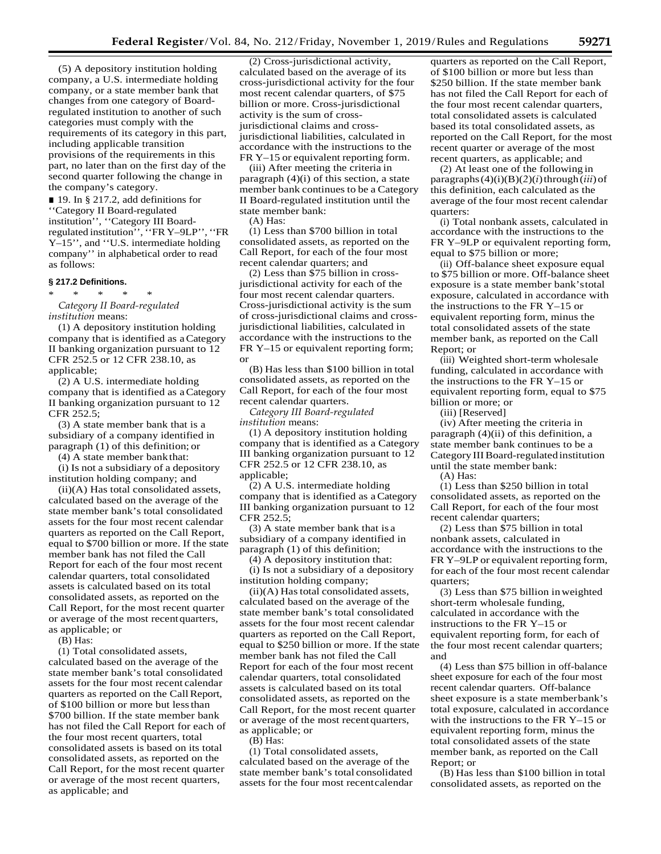(5) A depository institution holding company, a U.S. intermediate holding company, or a state member bank that changes from one category of Boardregulated institution to another of such categories must comply with the requirements of its category in this part, including applicable transition provisions of the requirements in this part, no later than on the first day of the second quarter following the change in the company's category.

■ 19. In § 217.2, add definitions for ''Category II Board-regulated institution'', ''Category III Boardregulated institution'', ''FR Y–9LP'', ''FR Y–15'', and ''U.S. intermediate holding company'' in alphabetical order to read as follows:

#### **§ 217.2 Definitions.**

\* \* \* \* \* *Category II Board-regulated institution* means:

(1) A depository institution holding company that is identified as aCategory II banking organization pursuant to 12 CFR 252.5 or 12 CFR 238.10, as applicable;

(2) A U.S. intermediate holding company that is identified as aCategory II banking organization pursuant to 12 CFR 252.5;

(3) A state member bank that is a subsidiary of a company identified in paragraph (1) of this definition; or

(4) A state member bankthat:

(i) Is not a subsidiary of a depository institution holding company; and

(ii)(A) Has total consolidated assets, calculated based on the average of the state member bank's total consolidated assets for the four most recent calendar quarters as reported on the Call Report, equal to \$700 billion or more. If the state member bank has not filed the Call Report for each of the four most recent calendar quarters, total consolidated assets is calculated based on its total consolidated assets, as reported on the Call Report, for the most recent quarter or average of the most recentquarters, as applicable; or

(B) Has:

(1) Total consolidated assets, calculated based on the average of the state member bank's total consolidated assets for the four most recent calendar quarters as reported on the Call Report, of \$100 billion or more but lessthan \$700 billion. If the state member bank has not filed the Call Report for each of the four most recent quarters, total consolidated assets is based on its total consolidated assets, as reported on the Call Report, for the most recent quarter or average of the most recent quarters, as applicable; and

(2) Cross-jurisdictional activity, calculated based on the average of its cross-jurisdictional activity for the four most recent calendar quarters, of \$75 billion or more. Cross-jurisdictional activity is the sum of crossjurisdictional claims and crossjurisdictional liabilities, calculated in accordance with the instructions to the FR Y–15 or equivalent reporting form.

(iii) After meeting the criteria in paragraph (4)(i) of this section, a state member bank continues to be a Category II Board-regulated institution until the state member bank:

(A) Has:

(1) Less than \$700 billion in total consolidated assets, as reported on the Call Report, for each of the four most recent calendar quarters; and

(2) Less than \$75 billion in crossjurisdictional activity for each of the four most recent calendar quarters. Cross-jurisdictional activity is the sum of cross-jurisdictional claims and crossjurisdictional liabilities, calculated in accordance with the instructions to the FR Y–15 or equivalent reporting form; or

(B) Has less than \$100 billion in total consolidated assets, as reported on the Call Report, for each of the four most recent calendar quarters.

*Category III Board-regulated institution* means:

(1) A depository institution holding company that is identified as a Category III banking organization pursuant to 12 CFR 252.5 or 12 CFR 238.10, as applicable;

(2) A U.S. intermediate holding company that is identified as aCategory III banking organization pursuant to 12 CFR 252.5;

(3) A state member bank that is a subsidiary of a company identified in paragraph (1) of this definition;

(4) A depository institution that: (i) Is not a subsidiary of a depository institution holding company;

 $(ii)(A)$  Has total consolidated assets, calculated based on the average of the state member bank's total consolidated assets for the four most recent calendar quarters as reported on the Call Report, equal to \$250 billion or more. If the state member bank has not filed the Call Report for each of the four most recent calendar quarters, total consolidated assets is calculated based on its total consolidated assets, as reported on the Call Report, for the most recent quarter or average of the most recentquarters, as applicable; or

(B) Has:

(1) Total consolidated assets, calculated based on the average of the state member bank's total consolidated assets for the four most recentcalendar quarters as reported on the Call Report, of \$100 billion or more but less than \$250 billion. If the state member bank has not filed the Call Report for each of the four most recent calendar quarters, total consolidated assets is calculated based its total consolidated assets, as reported on the Call Report, for the most recent quarter or average of the most recent quarters, as applicable; and

(2) At least one of the following in paragraphs $(4)(i)(B)(2)(i)$ through $(iii)$  of this definition, each calculated as the average of the four most recent calendar quarters:

(i) Total nonbank assets, calculated in accordance with the instructions to the FR Y–9LP or equivalent reporting form, equal to \$75 billion or more;

(ii) Off-balance sheet exposure equal to \$75 billion or more. Off-balance sheet exposure is a state member bank'stotal exposure, calculated in accordance with the instructions to the FR Y–15 or equivalent reporting form, minus the total consolidated assets of the state member bank, as reported on the Call Report; or

(iii) Weighted short-term wholesale funding, calculated in accordance with the instructions to the FR Y–15 or equivalent reporting form, equal to \$75 billion or more; or

(iii) [Reserved]

(iv) After meeting the criteria in paragraph (4)(ii) of this definition, a state member bank continues to be a Category III Board-regulated institution until the state member bank: (A) Has:

(1) Less than \$250 billion in total consolidated assets, as reported on the Call Report, for each of the four most recent calendar quarters;

(2) Less than \$75 billion in total nonbank assets, calculated in accordance with the instructions to the FR Y–9LP or equivalent reporting form, for each of the four most recent calendar quarters;

(3) Less than \$75 billion inweighted short-term wholesale funding, calculated in accordance with the instructions to the FR Y–15 or equivalent reporting form, for each of the four most recent calendar quarters; and

(4) Less than \$75 billion in off-balance sheet exposure for each of the four most recent calendar quarters. Off-balance sheet exposure is a state memberbank's total exposure, calculated in accordance with the instructions to the FR Y–15 or equivalent reporting form, minus the total consolidated assets of the state member bank, as reported on the Call Report; or

(B) Has less than \$100 billion in total consolidated assets, as reported on the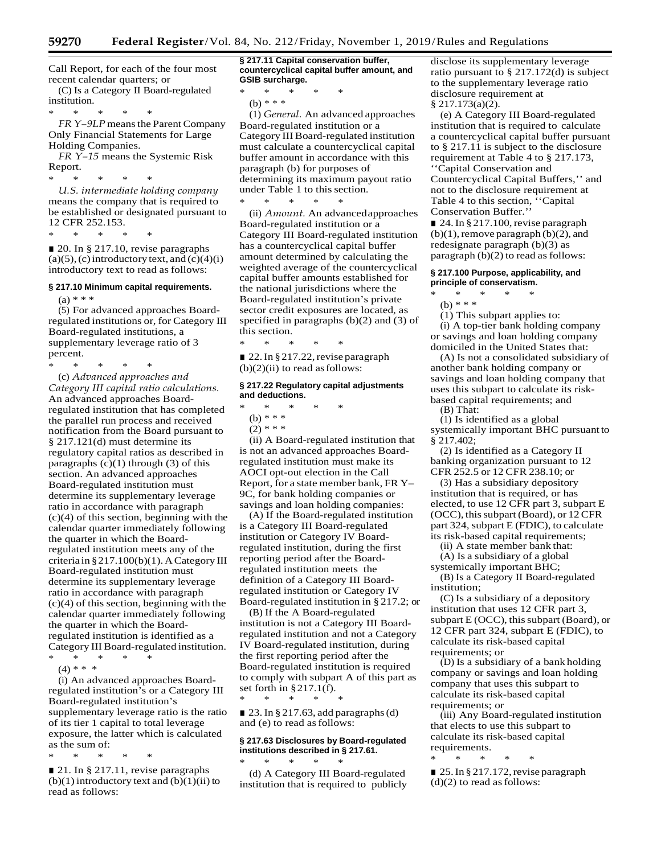Call Report, for each of the four most recent calendar quarters; or

(C) Is a Category II Board-regulated institution.

\* \* \* \* \* *FR Y*-9LP means the Parent Company Only Financial Statements for Large Holding Companies.

*FR Y–15* means the Systemic Risk Report.

\* \* \* \* \* *U.S. intermediate holding company*  means the company that is required to be established or designated pursuant to 12 CFR 252.153.

\* \* \* \* \*

■ 20. In § 217.10, revise paragraphs  $(a)(5)$ ,  $(c)$  introductory text, and  $(c)(4)(i)$ introductory text to read as follows:

#### **§ 217.10 Minimum capital requirements.**

 $(a) * * *$ 

(5) For advanced approaches Boardregulated institutions or, for Category III Board-regulated institutions, a supplementary leverage ratio of 3 percent.

\* \* \* \* \*

(c) *Advanced approaches and Category III capital ratio calculations.*  An advanced approaches Boardregulated institution that has completed the parallel run process and received notification from the Board pursuant to § 217.121(d) must determine its regulatory capital ratios as described in paragraphs  $(c)(1)$  through  $(3)$  of this section. An advanced approaches Board-regulated institution must determine its supplementary leverage ratio in accordance with paragraph (c)(4) of this section, beginning with the calendar quarter immediately following the quarter in which the Boardregulated institution meets any of the criteria in  $\S 217.100(b)(1)$ . A Category III Board-regulated institution must determine its supplementary leverage ratio in accordance with paragraph (c)(4) of this section, beginning with the calendar quarter immediately following the quarter in which the Boardregulated institution is identified as a Category III Board-regulated institution. \* \* \* \* \*

 $(4)$  \* \* \*

(i) An advanced approaches Boardregulated institution's or a Category III Board-regulated institution's supplementary leverage ratio is the ratio of its tier 1 capital to total leverage exposure, the latter which is calculated as the sum of:

\* \* \* \* \*

■ 21. In § 217.11, revise paragraphs  $(b)(1)$  introductory text and  $(b)(1)(ii)$  to read as follows:

**§ 217.11 Capital conservation buffer, countercyclical capital buffer amount, and GSIB surcharge.**

\* \* \* \* \* (b) \* \* \*

(1) *General.* An advanced approaches Board-regulated institution or a Category IIIBoard-regulated institution must calculate a countercyclical capital buffer amount in accordance with this paragraph (b) for purposes of determining its maximum payout ratio under Table 1 to this section.

\* \* \* \* \* (ii) *Amount.* An advancedapproaches Board-regulated institution or a Category III Board-regulated institution has a countercyclical capital buffer amount determined by calculating the weighted average of the countercyclical capital buffer amounts established for the national jurisdictions where the Board-regulated institution's private sector credit exposures are located, as specified in paragraphs (b)(2) and (3) of this section.

\* \* \* \* \* ■ 22. In § 217.22, revise paragraph  $(b)(2)(ii)$  to read as follows:

#### **§ 217.22 Regulatory capital adjustments and deductions.**

- \* \* \* \* \*
- (b) \* \* \*
- $(2)$  \* \* \*

(ii) A Board-regulated institution that is not an advanced approaches Boardregulated institution must make its AOCI opt-out election in the Call Report, for a state member bank, FR Y– 9C, for bank holding companies or savings and loan holding companies:

(A) If the Board-regulated institution is a Category III Board-regulated institution or Category IV Boardregulated institution, during the first reporting period after the Boardregulated institution meets the definition of a Category III Boardregulated institution or Category IV Board-regulated institution in § 217.2; or

(B) If the A Board-regulated institution is not a Category III Boardregulated institution and not a Category IV Board-regulated institution, during the first reporting period after the Board-regulated institution is required to comply with subpart A of this part as set forth in §217.1(f). \* \* \* \* \*

 $\Box$  23. In § 217.63, add paragraphs (d) and (e) to read asfollows:

## **§ 217.63 Disclosures by Board-regulated institutions described in § 217.61.**

\* \* \* \* \* (d) A Category III Board-regulated institution that is required to publicly disclose its supplementary leverage ratio pursuant to § 217.172(d) is subject to the supplementary leverage ratio disclosure requirement at § 217.173(a)(2).

(e) A Category III Board-regulated institution that is required to calculate a countercyclical capital buffer pursuant to § 217.11 is subject to the disclosure requirement at Table 4 to § 217.173, ''Capital Conservation and Countercyclical Capital Buffers,'' and not to the disclosure requirement at Table 4 to this section, ''Capital Conservation Buffer.''

■ 24. In § 217.100, revise paragraph  $(b)(1)$ , remove paragraph  $(b)(2)$ , and redesignate paragraph (b)(3) as paragraph (b)(2) to read as follows:

#### **§ 217.100 Purpose, applicability, and principle of conservatism.**

- \* \* \* \* \*
	- (b) \* \* \*

(1) This subpart applies to:

(i) A top-tier bank holding company or savings and loan holding company domiciled in the United States that:

(A) Is not a consolidated subsidiary of another bank holding company or savings and loan holding company that uses this subpart to calculate its riskbased capital requirements; and

(B) That:

(1) Is identified as a global systemically important BHC pursuant to § 217.402;

(2) Is identified as a Category II banking organization pursuant to 12 CFR 252.5 or 12 CFR 238.10; or

(3) Has a subsidiary depository institution that is required, or has elected, to use 12 CFR part 3, subpart E (OCC), this subpart (Board), or 12 CFR part 324, subpart E (FDIC), to calculate its risk-based capital requirements;

(ii) A state member bank that:

(A) Is a subsidiary of a global systemically important BHC;

(B) Is a Category II Board-regulated institution;

(C) Is a subsidiary of a depository institution that uses 12 CFR part 3, subpart  $E$  (OCC), this subpart (Board), or 12 CFR part 324, subpart E (FDIC), to calculate its risk-based capital requirements; or

(D) Is a subsidiary of a bank holding company or savings and loan holding company that uses this subpart to calculate its risk-based capital requirements; or

(iii) Any Board-regulated institution that elects to use this subpart to calculate its risk-based capital requirements.

\* \* \* \* \* ■ 25. In § 217.172, revise paragraph  $(d)(2)$  to read as follows: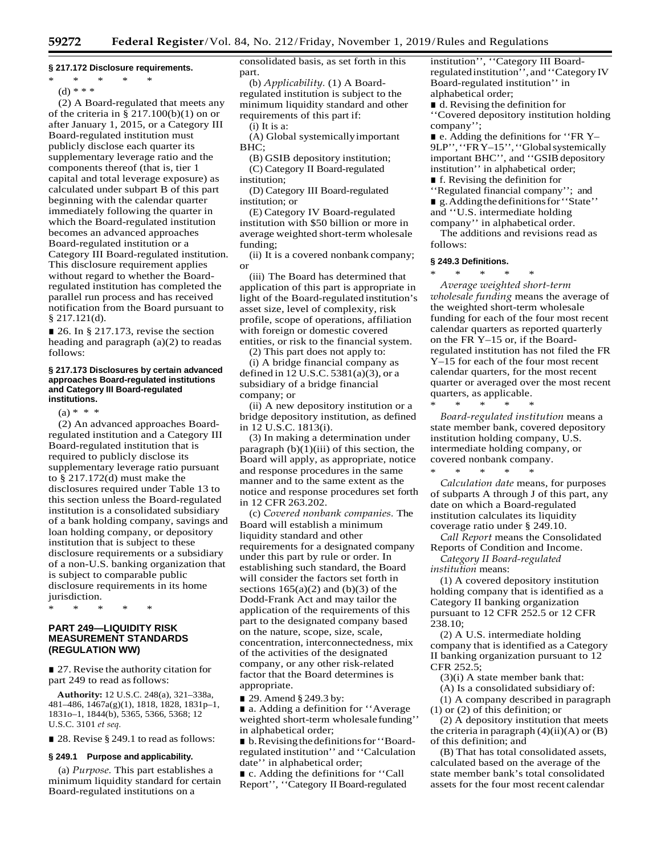#### **§ 217.172 Disclosure requirements.**

- \* \* \* \* \*
- $(d)$  \* \* \*

(2) A Board-regulated that meets any of the criteria in  $\S 217.100(b)(1)$  on or after January 1, 2015, or a Category III Board-regulated institution must publicly disclose each quarter its supplementary leverage ratio and the components thereof (that is, tier 1 capital and total leverage exposure) as calculated under subpart B of this part beginning with the calendar quarter immediately following the quarter in which the Board-regulated institution becomes an advanced approaches Board-regulated institution or a Category III Board-regulated institution. This disclosure requirement applies without regard to whether the Boardregulated institution has completed the parallel run process and has received notification from the Board pursuant to § 217.121(d).

■ 26. In § 217.173, revise the section heading and paragraph (a)(2) to readas follows:

#### **§ 217.173 Disclosures by certain advanced approaches Board-regulated institutions and Category III Board-regulated institutions.**

 $(a) * * * *$ 

(2) An advanced approaches Boardregulated institution and a Category III Board-regulated institution that is required to publicly disclose its supplementary leverage ratio pursuant to § 217.172(d) must make the disclosures required under Table 13 to this section unless the Board-regulated institution is a consolidated subsidiary of a bank holding company, savings and loan holding company, or depository institution that is subject to these disclosure requirements or a subsidiary of a non-U.S. banking organization that is subject to comparable public disclosure requirements in its home jurisdiction.

\* \* \* \* \*

## **PART 249—LIQUIDITY RISK MEASUREMENT STANDARDS (REGULATION WW)**

■ 27. Revise the authority citation for part 249 to read as follows:

**Authority:** 12 U.S.C. 248(a), 321–338a, 481–486, 1467a(g)(1), 1818, 1828, 1831p–1, 1831o–1, 1844(b), 5365, 5366, 5368; 12 U.S.C. 3101 *et seq.*

■ 28. Revise § 249.1 to read as follows:

#### **§ 249.1 Purpose and applicability.**

(a) *Purpose.* This part establishes a minimum liquidity standard for certain Board-regulated institutions on a

consolidated basis, as set forth in this part.

(b) *Applicability.* (1) A Boardregulated institution is subject to the minimum liquidity standard and other requirements of this part if:

(i) It is a:

(A) Global systemicallyimportant BHC;

(B) GSIB depository institution; (C) Category II Board-regulated institution;

(D) Category III Board-regulated institution; or

(E) Category IV Board-regulated institution with \$50 billion or more in average weighted short-term wholesale funding;

(ii) It is a covered nonbank company; or

(iii) The Board has determined that application of this part is appropriate in light of the Board-regulated institution's asset size, level of complexity, risk profile, scope of operations, affiliation with foreign or domestic covered entities, or risk to the financial system.

(2) This part does not apply to:

(i) A bridge financial company as defined in 12 U.S.C. 5381(a)(3), or a subsidiary of a bridge financial company; or

(ii) A new depository institution or a bridge depository institution, as defined in 12 U.S.C. 1813(i).

(3) In making a determination under paragraph  $(b)(1)(iii)$  of this section, the Board will apply, as appropriate, notice and response procedures in the same manner and to the same extent as the notice and response procedures set forth in 12 CFR 263.202.

(c) *Covered nonbank companies.* The Board will establish a minimum liquidity standard and other requirements for a designated company under this part by rule or order. In establishing such standard, the Board will consider the factors set forth in sections  $165(a)(2)$  and  $(b)(3)$  of the Dodd-Frank Act and may tailor the application of the requirements of this part to the designated company based on the nature, scope, size, scale, concentration, interconnectedness, mix of the activities of the designated company, or any other risk-related factor that the Board determines is appropriate.

■ 29. Amend § 249.3 by:

■ a. Adding a definition for "Average" weighted short-term wholesalefunding'' in alphabetical order;

■ b. Revising the definitions for "Boardregulated institution'' and ''Calculation date'' in alphabetical order;

■ c. Adding the definitions for "Call Report'', ''Category IIBoard-regulated institution'', ''Category III Boardregulatedinstitution'', and''Category IV Board-regulated institution'' in alphabetical order;

■ d. Revising the definition for ''Covered depository institution holding company'';

■ e. Adding the definitions for "FR Y-9LP", "FRY-15", "Global systemically important BHC", and "GSIB depository institution'' in alphabetical order;

■ f. Revising the definition for

''Regulated financial company''; and ■ g. Adding the definitions for "State"

and ''U.S. intermediate holding company'' in alphabetical order.

The additions and revisions read as

follows:

# **§ 249.3 Definitions.**

\* \* \* \* \*

*Average weighted short-term wholesale funding* means the average of the weighted short-term wholesale funding for each of the four most recent calendar quarters as reported quarterly on the FR Y–15 or, if the Boardregulated institution has not filed the FR Y–15 for each of the four most recent calendar quarters, for the most recent quarter or averaged over the most recent quarters, as applicable.

\* \* \* \* \* *Board-regulated institution* means a state member bank, covered depository institution holding company, U.S. intermediate holding company, or covered nonbank company.

\* \* \* \* \* *Calculation date* means, for purposes of subparts A through J of this part, any date on which a Board-regulated institution calculates its liquidity coverage ratio under § 249.10.

*Call Report* means the Consolidated Reports of Condition and Income.

*Category II Board-regulated institution* means:

(1) A covered depository institution holding company that is identified as a Category II banking organization pursuant to 12 CFR 252.5 or 12 CFR 238.10;

(2) A U.S. intermediate holding company that is identified as a Category II banking organization pursuant to 12 CFR 252.5;

(3)(i) A state member bank that:

(A) Is a consolidated subsidiary of:

(1) A company described in paragraph (1) or (2) of this definition; or

(2) A depository institution that meets the criteria in paragraph  $(4)(ii)(A)$  or  $(B)$ of this definition; and

(B) That has total consolidated assets, calculated based on the average of the state member bank's total consolidated assets for the four most recent calendar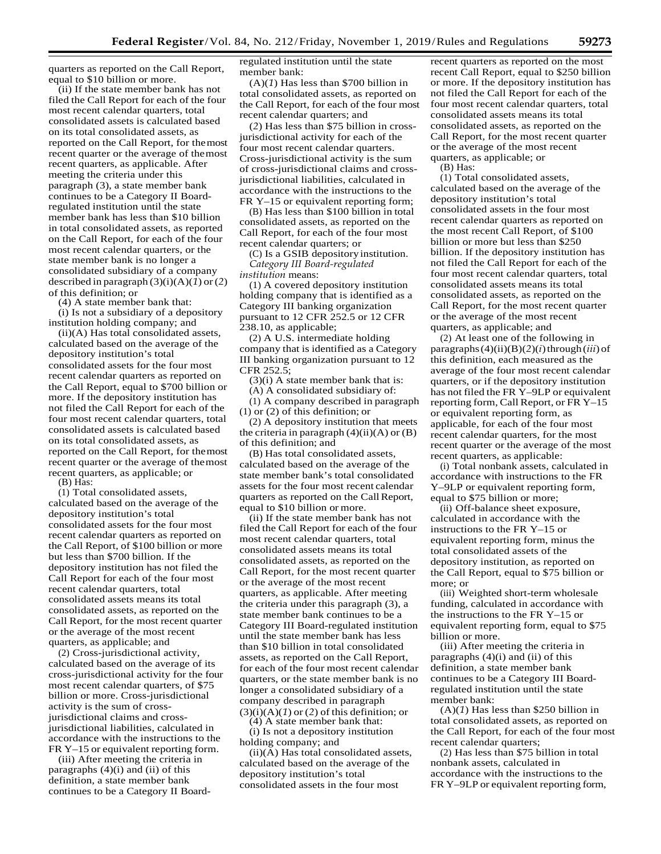quarters as reported on the Call Report, equal to \$10 billion or more.

(ii) If the state member bank has not filed the Call Report for each of the four most recent calendar quarters, total consolidated assets is calculated based on its total consolidated assets, as reported on the Call Report, for themost recent quarter or the average of themost recent quarters, as applicable. After meeting the criteria under this paragraph (3), a state member bank continues to be a Category II Boardregulated institution until the state member bank has less than \$10 billion in total consolidated assets, as reported on the Call Report, for each of the four most recent calendar quarters, or the state member bank is no longer a consolidated subsidiary of a company described in paragraph  $(3)(i)(A)(1)$  or  $(2)$ of this definition; or (4) A state member bank that:

(i) Is not a subsidiary of a depository institution holding company; and

(ii)(A) Has total consolidated assets, calculated based on the average of the depository institution's total consolidated assets for the four most recent calendar quarters as reported on the Call Report, equal to \$700 billion or more. If the depository institution has not filed the Call Report for each of the four most recent calendar quarters, total consolidated assets is calculated based on its total consolidated assets, as reported on the Call Report, for themost recent quarter or the average of themost recent quarters, as applicable; or (B) Has:

(1) Total consolidated assets, calculated based on the average of the depository institution's total consolidated assets for the four most recent calendar quarters as reported on the Call Report, of \$100 billion or more but less than \$700 billion. If the depository institution has not filed the Call Report for each of the four most recent calendar quarters, total consolidated assets means its total consolidated assets, as reported on the Call Report, for the most recent quarter or the average of the most recent quarters, as applicable; and

(2) Cross-jurisdictional activity, calculated based on the average of its cross-jurisdictional activity for the four most recent calendar quarters, of \$75 billion or more. Cross-jurisdictional activity is the sum of crossjurisdictional claims and crossjurisdictional liabilities, calculated in accordance with the instructions to the FR Y–15 or equivalent reporting form.

(iii) After meeting the criteria in paragraphs (4)(i) and (ii) of this definition, a state member bank continues to be a Category II Boardregulated institution until the state member bank:

(A)(*1*) Has less than \$700 billion in total consolidated assets, as reported on the Call Report, for each of the four most recent calendar quarters; and

(*2*) Has less than \$75 billion in crossjurisdictional activity for each of the four most recent calendar quarters. Cross-jurisdictional activity is the sum of cross-jurisdictional claims and crossjurisdictional liabilities, calculated in accordance with the instructions to the FR Y–15 or equivalent reporting form;

(B) Has less than \$100 billion in total consolidated assets, as reported on the Call Report, for each of the four most recent calendar quarters; or

(C) Is a GSIB depositoryinstitution. *Category III Board-regulated institution* means:

(1) A covered depository institution holding company that is identified as a Category III banking organization pursuant to 12 CFR 252.5 or 12 CFR 238.10, as applicable;

(2) A U.S. intermediate holding company that is identified as a Category III banking organization pursuant to 12 CFR 252.5;

(3)(i) A state member bank that is:

(A) A consolidated subsidiary of:

(1) A company described in paragraph (1) or (2) of this definition; or

(2) A depository institution that meets the criteria in paragraph  $(4)(ii)(A)$  or  $(B)$ of this definition; and

(B) Has total consolidated assets, calculated based on the average of the state member bank's total consolidated assets for the four most recent calendar quarters as reported on the CallReport, equal to \$10 billion or more.

(ii) If the state member bank has not filed the Call Report for each of the four most recent calendar quarters, total consolidated assets means its total consolidated assets, as reported on the Call Report, for the most recent quarter or the average of the most recent quarters, as applicable. After meeting the criteria under this paragraph (3), a state member bank continues to be a Category III Board-regulated institution until the state member bank has less than \$10 billion in total consolidated assets, as reported on the Call Report, for each of the four most recent calendar quarters, or the state member bank is no longer a consolidated subsidiary of a company described in paragraph  $(3)(i)(A)(1)$  or  $(2)$  of this definition; or  $(4)$  A state member bank that:

(i) Is not a depository institution holding company; and

(ii)(A) Has total consolidated assets, calculated based on the average of the depository institution's total consolidated assets in the four most

recent quarters as reported on the most recent Call Report, equal to \$250 billion or more. If the depository institution has not filed the Call Report for each of the four most recent calendar quarters, total consolidated assets means its total consolidated assets, as reported on the Call Report, for the most recent quarter or the average of the most recent quarters, as applicable; or

(B) Has:

(1) Total consolidated assets, calculated based on the average of the depository institution's total consolidated assets in the four most recent calendar quarters as reported on the most recent Call Report, of \$100 billion or more but less than \$250 billion. If the depository institution has not filed the Call Report for each of the four most recent calendar quarters, total consolidated assets means its total consolidated assets, as reported on the Call Report, for the most recent quarter or the average of the most recent quarters, as applicable; and

(2) At least one of the following in paragraphs $(4)(ii)(B)(2)(i)$ through $(iii)$  of this definition, each measured as the average of the four most recent calendar quarters, or if the depository institution has not filed the FR Y–9LP or equivalent reporting form, Call Report, or FR Y–15 or equivalent reporting form, as applicable, for each of the four most recent calendar quarters, for the most recent quarter or the average of the most recent quarters, as applicable:

(i) Total nonbank assets, calculated in accordance with instructions to the FR Y–9LP or equivalent reporting form, equal to \$75 billion or more;

(ii) Off-balance sheet exposure, calculated in accordance with the instructions to the FR Y–15 or equivalent reporting form, minus the total consolidated assets of the depository institution, as reported on the Call Report, equal to \$75 billion or more; or

(iii) Weighted short-term wholesale funding, calculated in accordance with the instructions to the FR Y–15 or equivalent reporting form, equal to \$75 billion or more.

(iii) After meeting the criteria in paragraphs  $(4)(i)$  and  $(ii)$  of this definition, a state member bank continues to be a Category III Boardregulated institution until the state member bank:

(A)(*1*) Has less than \$250 billion in total consolidated assets, as reported on the Call Report, for each of the four most recent calendar quarters;

(2) Has less than \$75 billion in total nonbank assets, calculated in accordance with the instructions to the FR Y–9LP or equivalent reporting form,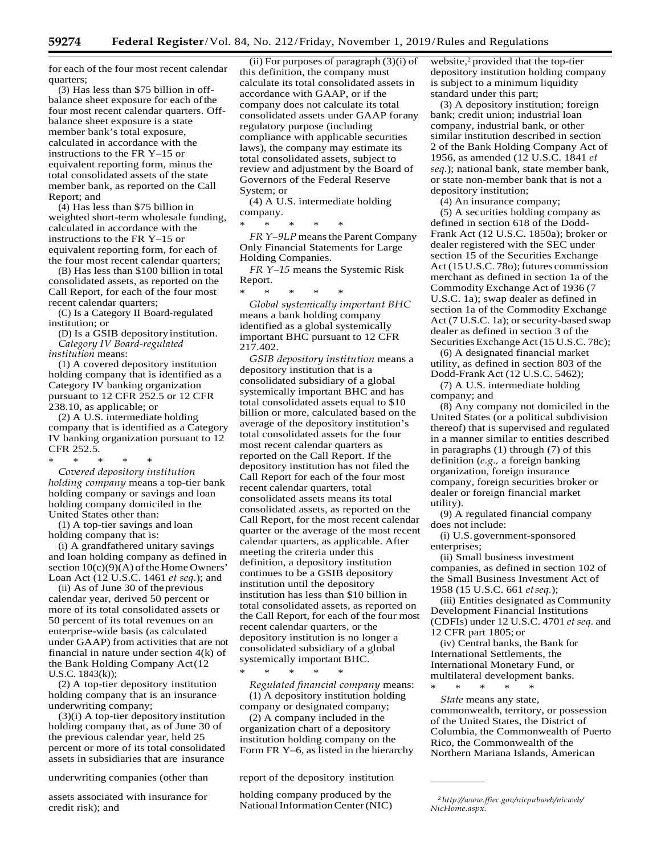for each of the four most recent calendar quarters;

(3) Has less than \$75 billion in offbalance sheet exposure for each of the four most recent calendar quarters. Offbalance sheet exposure is a state member bank's total exposure, calculated in accordance with the instructions to the FR Y–15 or equivalent reporting form, minus the total consolidated assets of the state member bank, as reported on the Call Report; and

(4) Has less than \$75 billion in weighted short-term wholesale funding, calculated in accordance with the instructions to the FR Y–15 or equivalent reporting form, for each of the four most recent calendar quarters;

(B) Has less than \$100 billion in total consolidated assets, as reported on the Call Report, for each of the four most recent calendar quarters;

(C) Is a Category II Board-regulated institution; or

(D) Is a GSIB depositoryinstitution. *Category IV Board-regulated institution* means:

(1) A covered depository institution holding company that is identified as a Category IV banking organization pursuant to 12 CFR 252.5 or 12 CFR 238.10, as applicable; or

(2) A U.S. intermediate holding company that is identified as a Category IV banking organization pursuant to 12 CFR 252.5.

\* \* \* \* \* *Covered depository institution holding company* means a top-tier bank holding company or savings and loan holding company domiciled in the United States other than:

(1) A top-tier savings and loan holding company that is:

(i) A grandfathered unitary savings and loan holding company as defined in section  $10(c)(9)(A)$  of the Home Owners' Loan Act (12 U.S.C. 1461 *et seq.*); and

(ii) As of June 30 of theprevious calendar year, derived 50 percent or more of its total consolidated assets or 50 percent of its total revenues on an enterprise-wide basis (as calculated under GAAP) from activities that are not financial in nature under section 4(k) of the Bank Holding Company Act(12 U.S.C. 1843(k));

(2) A top-tier depository institution holding company that is an insurance underwriting company;

(3)(i) A top-tier depository institution holding company that, as of June 30 of the previous calendar year, held 25 percent or more of its total consolidated assets in subsidiaries that are insurance

assets associated with insurance for credit risk); and

(ii) For purposes of paragraph (3)(i) of this definition, the company must calculate its total consolidated assets in accordance with GAAP, or if the company does not calculate its total consolidated assets under GAAP forany regulatory purpose (including compliance with applicable securities laws), the company may estimate its total consolidated assets, subject to review and adjustment by the Board of Governors of the Federal Reserve System; or

(4) A U.S. intermediate holding company.

\* \* \* \* \*

*FR Y*-9LP means the Parent Company Only Financial Statements for Large Holding Companies.

*FR Y–15* means the Systemic Risk Report.

\* \* \* \* \* *Global systemically important BHC*  means a bank holding company identified as a global systemically important BHC pursuant to 12 CFR

217.402.

*GSIB depository institution* means a depository institution that is a consolidated subsidiary of a global systemically important BHC and has total consolidated assets equal to \$10 billion or more, calculated based on the average of the depository institution's total consolidated assets for the four most recent calendar quarters as reported on the Call Report. If the depository institution has not filed the Call Report for each of the four most recent calendar quarters, total consolidated assets means its total consolidated assets, as reported on the Call Report, for the most recent calendar quarter or the average of the most recent calendar quarters, as applicable. After meeting the criteria under this definition, a depository institution continues to be a GSIB depository institution until the depository institution has less than \$10 billion in total consolidated assets, as reported on the Call Report, for each of the four most recent calendar quarters, or the depository institution is no longer a consolidated subsidiary of a global systemically important BHC.

\* \* \* \* \* *Regulated financial company* means: (1) A depository institution holding

company or designated company; (2) A company included in the

organization chart of a depository institution holding company on the Form FR Y–6, as listed in the hierarchy

underwriting companies (other than report of the depository institution

holding company produced by the NationalInformationCenter(NIC) <sup>2</sup>*[http://www.ffiec.gov/nicpubweb/nicweb/](http://www.ffiec.gov/nicpubweb/nicweb/NicHome.aspx)*

website,<sup>2</sup> provided that the top-tier depository institution holding company is subject to a minimum liquidity standard under this part;

(3) A depository institution; foreign bank; credit union; industrial loan company, industrial bank, or other similar institution described in section 2 of the Bank Holding Company Act of 1956, as amended (12 U.S.C. 1841 *et seq.*); national bank, state member bank, or state non-member bank that is not a depository institution;

(4) An insurance company;

(5) A securities holding company as defined in section 618 of the Dodd-Frank Act (12 U.S.C. 1850a); broker or dealer registered with the SEC under section 15 of the Securities Exchange Act (15 U.S.C. 780); futures commission merchant as defined in section 1a of the Commodity Exchange Act of 1936 (7 U.S.C. 1a); swap dealer as defined in section 1a of the Commodity Exchange Act (7 U.S.C. 1a); or security-based swap dealer as defined in section 3 of the Securities Exchange Act (15 U.S.C. 78c);

(6) A designated financial market utility, as defined in section 803 of the Dodd-Frank Act (12 U.S.C. 5462);

(7) A U.S. intermediate holding company; and

(8) Any company not domiciled in the United States (or a political subdivision thereof) that is supervised and regulated in a manner similar to entities described in paragraphs (1) through (7) of this definition (*e.g.,* a foreign banking organization, foreign insurance company, foreign securities broker or dealer or foreign financial market utility).

(9) A regulated financial company does not include:

(i) U.S.government-sponsored enterprises;

(ii) Small business investment companies, as defined in section 102 of the Small Business Investment Act of 1958 (15 U.S.C. 661 *etseq.*);

(iii) Entities designated asCommunity Development Financial Institutions (CDFIs) under 12 U.S.C. 4701 *etseq.* and 12 CFR part 1805; or

(iv) Central banks, the Bank for International Settlements, the International Monetary Fund, or multilateral development banks.

\* \* \* \* \* *State* means any state, commonwealth, territory, or possession of the United States, the District of Columbia, the Commonwealth of Puerto Rico, the Commonwealth of the Northern Mariana Islands, American

*[NicHome.aspx.](http://www.ffiec.gov/nicpubweb/nicweb/NicHome.aspx)*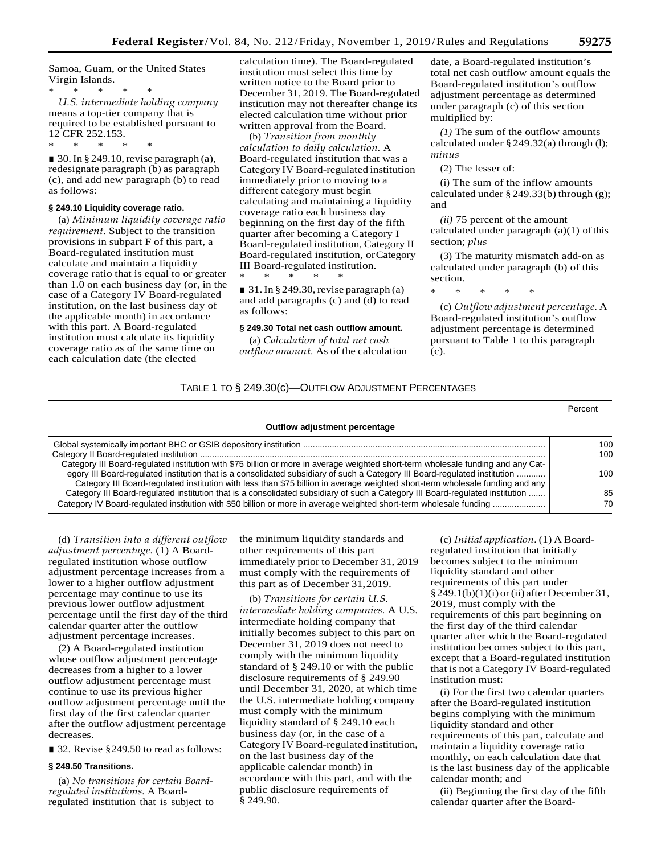Samoa, Guam, or the United States Virgin Islands.

\* \* \* \* \* *U.S. intermediate holding company*  means a top-tier company that is required to be established pursuant to 12 CFR 252.153.

 $\blacksquare$  30. In § 249.10, revise paragraph (a), redesignate paragraph (b) as paragraph (c), and add new paragraph (b) to read as follows:

#### **§ 249.10 Liquidity coverage ratio.**

\* \* \* \* \*

(a) *Minimum liquidity coverage ratio requirement.* Subject to the transition provisions in subpart F of this part, a Board-regulated institution must calculate and maintain a liquidity coverage ratio that is equal to or greater than 1.0 on each business day (or, in the case of a Category IV Board-regulated institution, on the last business day of the applicable month) in accordance with this part. A Board-regulated institution must calculate its liquidity coverage ratio as of the same time on each calculation date (the elected

calculation time). The Board-regulated institution must select this time by written notice to the Board prior to December 31, 2019. The Board-regulated institution may not thereafter change its elected calculation time without prior written approval from the Board.

(b) *Transition from monthly calculation to daily calculation.* A Board-regulated institution that was a Category IV Board-regulated institution immediately prior to moving to a different category must begin calculating and maintaining a liquidity coverage ratio each business day beginning on the first day of the fifth quarter after becoming a Category I Board-regulated institution, Category II Board-regulated institution, orCategory III Board-regulated institution. \* \* \* \* \*

 $\blacksquare$  31. In § 249.30, revise paragraph (a) and add paragraphs (c) and (d) to read as follows:

## **§ 249.30 Total net cash outflow amount.**

(a) *Calculation of total net cash outflow amount.* As of the calculation

date, a Board-regulated institution's total net cash outflow amount equals the Board-regulated institution's outflow adjustment percentage as determined under paragraph (c) of this section multiplied by:

*(1)* The sum of the outflow amounts calculated under § 249.32(a) through (l); *minus*

(2) The lesser of:

(i) The sum of the inflow amounts calculated under § 249.33(b) through (g); and

*(ii)* 75 percent of the amount calculated under paragraph  $(a)(1)$  of this section; *plus*

(3) The maturity mismatch add-on as calculated under paragraph (b) of this section.

\* \* \* \* \*

(c) *Outflow adjustment percentage.* A Board-regulated institution's outflow adjustment percentage is determined pursuant to Table 1 to this paragraph (c).

## TABLE 1 TO § 249.30(c)—OUTFLOW ADJUSTMENT PERCENTAGES

|                                                                                                                                                                                                                                                             | Percent    |
|-------------------------------------------------------------------------------------------------------------------------------------------------------------------------------------------------------------------------------------------------------------|------------|
| Outflow adjustment percentage                                                                                                                                                                                                                               |            |
| Category III Board-regulated institution with \$75 billion or more in average weighted short-term wholesale funding and any Cat-                                                                                                                            | 100<br>100 |
| egory III Board-regulated institution that is a consolidated subsidiary of such a Category III Board-regulated institution<br>Category III Board-regulated institution with less than \$75 billion in average weighted short-term wholesale funding and any | 100        |
| Category III Board-regulated institution that is a consolidated subsidiary of such a Category III Board-regulated institution<br>Category IV Board-regulated institution with \$50 billion or more in average weighted short-term wholesale funding         | 85<br>70   |

(d) *Transition into a different outflow adjustment percentage.* (1) A Boardregulated institution whose outflow adjustment percentage increases from a lower to a higher outflow adjustment percentage may continue to use its previous lower outflow adjustment percentage until the first day of the third calendar quarter after the outflow adjustment percentage increases.

(2) A Board-regulated institution whose outflow adjustment percentage decreases from a higher to a lower outflow adjustment percentage must continue to use its previous higher outflow adjustment percentage until the first day of the first calendar quarter after the outflow adjustment percentage decreases.

■ 32. Revise § 249.50 to read as follows:

## **§ 249.50 Transitions.**

(a) *No transitions for certain Boardregulated institutions.* A Boardregulated institution that is subject to the minimum liquidity standards and other requirements of this part immediately prior to December 31, 2019 must comply with the requirements of this part as of December 31,2019.

(b) *Transitions for certain U.S. intermediate holding companies.* A U.S. intermediate holding company that initially becomes subject to this part on December 31, 2019 does not need to comply with the minimum liquidity standard of § 249.10 or with the public disclosure requirements of § 249.90 until December 31, 2020, at which time the U.S. intermediate holding company must comply with the minimum liquidity standard of § 249.10 each business day (or, in the case of a Category IV Board-regulated institution, on the last business day of the applicable calendar month) in accordance with this part, and with the public disclosure requirements of § 249.90.

(c) *Initial application.* (1) A Boardregulated institution that initially becomes subject to the minimum liquidity standard and other requirements of this part under  $§249.1(b)(1)(i)$  or (ii) after December 31, 2019, must comply with the requirements of this part beginning on the first day of the third calendar quarter after which the Board-regulated institution becomes subject to this part, except that a Board-regulated institution that is not a Category IV Board-regulated institution must:

(i) For the first two calendar quarters after the Board-regulated institution begins complying with the minimum liquidity standard and other requirements of this part, calculate and maintain a liquidity coverage ratio monthly, on each calculation date that is the last business day of the applicable calendar month; and

(ii) Beginning the first day of the fifth calendar quarter after the Board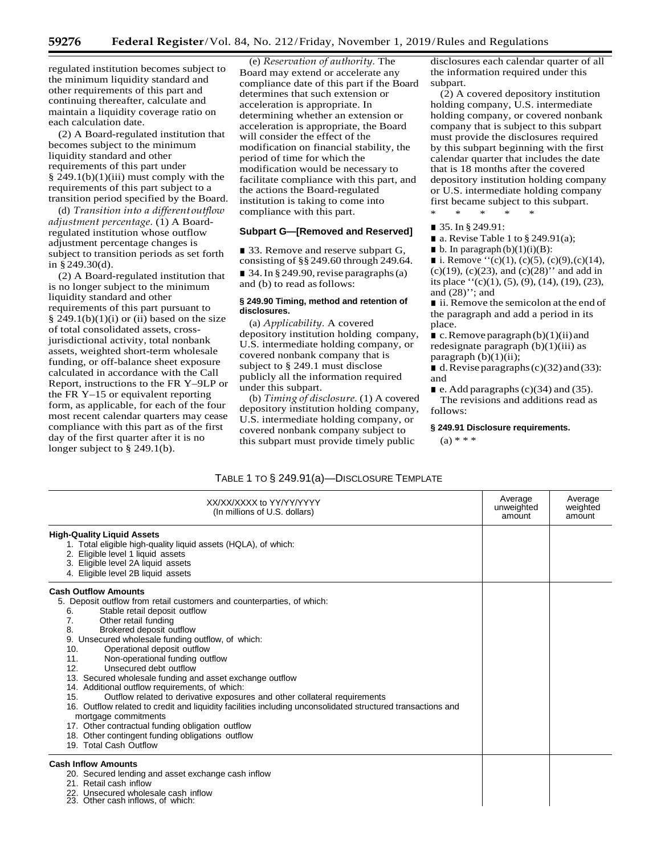regulated institution becomes subject to the minimum liquidity standard and other requirements of this part and continuing thereafter, calculate and maintain a liquidity coverage ratio on each calculation date.

(2) A Board-regulated institution that becomes subject to the minimum liquidity standard and other requirements of this part under  $§$  249.1(b)(1)(iii) must comply with the requirements of this part subject to a transition period specified by the Board.

(d) *Transition into a different outflow adjustment percentage.* (1) A Boardregulated institution whose outflow adjustment percentage changes is subject to transition periods as set forth in §249.30(d).

(2) A Board-regulated institution that is no longer subject to the minimum liquidity standard and other requirements of this part pursuant to  $§$  249.1(b)(1)(i) or (ii) based on the size of total consolidated assets, crossjurisdictional activity, total nonbank assets, weighted short-term wholesale funding, or off-balance sheet exposure calculated in accordance with the Call Report, instructions to the FR Y–9LP or the FR Y–15 or equivalent reporting form, as applicable, for each of the four most recent calendar quarters may cease compliance with this part as of the first day of the first quarter after it is no longer subject to § 249.1(b).

(e) *Reservation of authority.* The Board may extend or accelerate any compliance date of this part if the Board determines that such extension or acceleration is appropriate. In determining whether an extension or acceleration is appropriate, the Board will consider the effect of the modification on financial stability, the period of time for which the modification would be necessary to facilitate compliance with this part, and the actions the Board-regulated institution is taking to come into compliance with this part.

## **Subpart G—[Removed and Reserved]**

■ 33. Remove and reserve subpart G, consisting of §§249.60 through 249.64.  $\blacksquare$  34. In § 249.90, revise paragraphs (a) and (b) to read asfollows:

## **§ 249.90 Timing, method and retention of disclosures.**

(a) *Applicability.* A covered depository institution holding company, U.S. intermediate holding company, or covered nonbank company that is subject to § 249.1 must disclose publicly all the information required under this subpart.

(b) *Timing of disclosure.* (1) A covered depository institution holding company, U.S. intermediate holding company, or covered nonbank company subject to this subpart must provide timely public

disclosures each calendar quarter of all the information required under this subpart.

(2) A covered depository institution holding company, U.S. intermediate holding company, or covered nonbank company that is subject to this subpart must provide the disclosures required by this subpart beginning with the first calendar quarter that includes the date that is 18 months after the covered depository institution holding company or U.S. intermediate holding company first became subject to this subpart. \* \* \* \* \*

■ 35. In § 249.91:

 $\blacksquare$  a. Revise Table 1 to § 249.91(a);

 $\blacksquare$  b. In paragraph (b)(1)(i)(B):

■ i. Remove  $\cdot \cdot (c)(1)$ , (c)(5), (c)(9),(c)(14), (c)(19), (c)(23), and (c)(28)'' and add in its place ''(c)(1), (5), (9), (14), (19), (23), and  $(28)$ "; and

■ ii. Remove the semicolon at the end of the paragraph and add a period in its place.

 $\blacksquare$  c. Remove paragraph(b)(1)(ii) and redesignate paragraph  $(b)(1)(iii)$  as paragraph  $(b)(1)(ii)$ ;

 $\blacksquare$  d. Revise paragraphs (c)(32) and (33): and

 $\blacksquare$  e. Add paragraphs (c)(34) and (35). The revisions and additions read as follows:

## **§ 249.91 Disclosure requirements.**

 $(a) * * *$ 

# TABLE 1 TO § 249.91(a)—DISCLOSURE TEMPLATE

| XX/XX/XXXX to YY/YY/YYYY<br>(In millions of U.S. dollars)                                                                                                                                                                                                                                                                                                                                                                                                                                                                                                                                                                                                                                                                                                                                                                                                     | Average<br>unweighted<br>amount | Average<br>weighted<br>amount |
|---------------------------------------------------------------------------------------------------------------------------------------------------------------------------------------------------------------------------------------------------------------------------------------------------------------------------------------------------------------------------------------------------------------------------------------------------------------------------------------------------------------------------------------------------------------------------------------------------------------------------------------------------------------------------------------------------------------------------------------------------------------------------------------------------------------------------------------------------------------|---------------------------------|-------------------------------|
| <b>High-Quality Liguid Assets</b><br>1. Total eligible high-quality liquid assets (HQLA), of which:<br>2. Eligible level 1 liquid assets<br>3. Eligible level 2A liquid assets<br>4. Eligible level 2B liquid assets                                                                                                                                                                                                                                                                                                                                                                                                                                                                                                                                                                                                                                          |                                 |                               |
| <b>Cash Outflow Amounts</b><br>5. Deposit outflow from retail customers and counterparties, of which:<br>Stable retail deposit outflow<br>6.<br>7.<br>Other retail funding<br>Brokered deposit outflow<br>8.<br>9. Unsecured wholesale funding outflow, of which:<br>Operational deposit outflow<br>10.<br>11.<br>Non-operational funding outflow<br>Unsecured debt outflow<br>12.<br>13. Secured wholesale funding and asset exchange outflow<br>14. Additional outflow requirements, of which:<br>Outflow related to derivative exposures and other collateral requirements<br>15.<br>16. Outflow related to credit and liquidity facilities including unconsolidated structured transactions and<br>mortgage commitments<br>17. Other contractual funding obligation outflow<br>18. Other contingent funding obligations outflow<br>19. Total Cash Outflow |                                 |                               |
| <b>Cash Inflow Amounts</b><br>20. Secured lending and asset exchange cash inflow<br>21. Retail cash inflow<br>22. Unsecured wholesale cash inflow<br>23. Other cash inflows, of which:                                                                                                                                                                                                                                                                                                                                                                                                                                                                                                                                                                                                                                                                        |                                 |                               |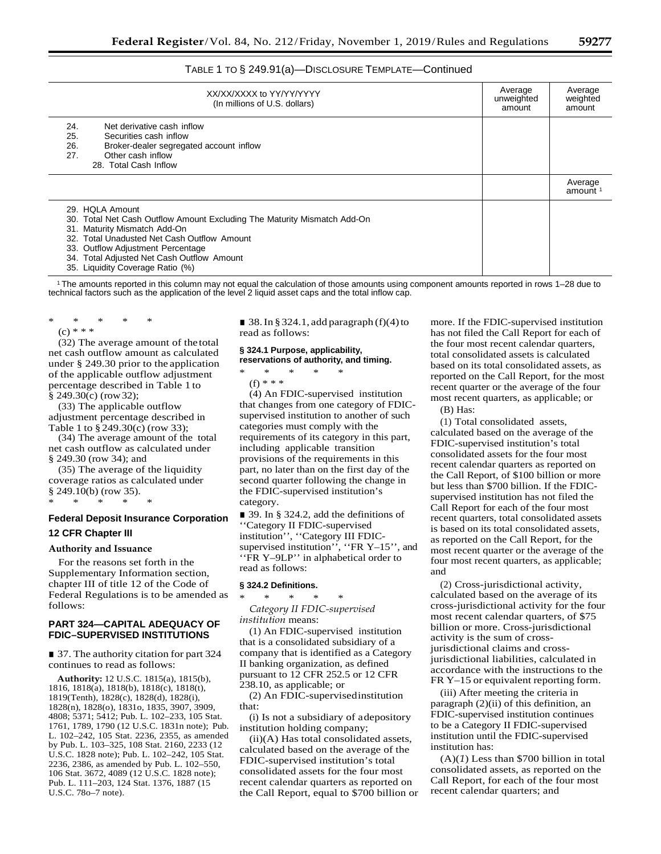## TABLE 1 TO § 249.91(a)—DISCLOSURE TEMPLATE—Continued

| XX/XX/XXXX to YY/YY/YYYY<br>(In millions of U.S. dollars)                                                                                                                                                                                                                                         | Average<br>unweighted<br>amount | Average<br>weighted<br>amount  |
|---------------------------------------------------------------------------------------------------------------------------------------------------------------------------------------------------------------------------------------------------------------------------------------------------|---------------------------------|--------------------------------|
| 24.<br>Net derivative cash inflow<br>25.<br>Securities cash inflow<br>26.<br>Broker-dealer segregated account inflow<br>Other cash inflow<br>27.<br>28. Total Cash Inflow                                                                                                                         |                                 |                                |
|                                                                                                                                                                                                                                                                                                   |                                 | Average<br>amount <sup>1</sup> |
| 29. HOLA Amount<br>30. Total Net Cash Outflow Amount Excluding The Maturity Mismatch Add-On<br>31. Maturity Mismatch Add-On<br>32. Total Unadusted Net Cash Outflow Amount<br>33. Outflow Adjustment Percentage<br>34. Total Adjusted Net Cash Outflow Amount<br>35. Liquidity Coverage Ratio (%) |                                 |                                |

1 The amounts reported in this column may not equal the calculation of those amounts using component amounts reported in rows 1–28 due to technical factors such as the application of the level 2 liquid asset caps and the total inflow cap.

\* \* \* \* \* (c) \* \* \*

(32) The average amount of thetotal net cash outflow amount as calculated under § 249.30 prior to the application of the applicable outflow adjustment percentage described in Table 1 to § 249.30(c) (row32);

(33) The applicable outflow adjustment percentage described in Table 1 to § 249.30(c) (row 33);

(34) The average amount of the total net cash outflow as calculated under § 249.30 (row 34); and

(35) The average of the liquidity coverage ratios as calculated under § 249.10(b) (row 35). \* \* \* \* \*

# **Federal Deposit Insurance Corporation 12 CFR Chapter III**

## **Authority and Issuance**

For the reasons set forth in the Supplementary Information section, chapter III of title 12 of the Code of Federal Regulations is to be amended as follows:

## **PART 324—CAPITAL ADEQUACY OF FDIC–SUPERVISED INSTITUTIONS**

■ 37. The authority citation for part 324 continues to read as follows:

**Authority:** 12 U.S.C. 1815(a), 1815(b), 1816, 1818(a), 1818(b), 1818(c), 1818(t), 1819(Tenth), 1828(c), 1828(d), 1828(i), 1828(n), 1828(o), 1831o, 1835, 3907, 3909, 4808; 5371; 5412; Pub. L. 102–233, 105 Stat. 1761, 1789, 1790 (12 U.S.C. 1831n note); Pub. L. 102–242, 105 Stat. 2236, 2355, as amended by Pub. L. 103–325, 108 Stat. 2160, 2233 (12 U.S.C. 1828 note); Pub. L. 102–242, 105 Stat. 2236, 2386, as amended by Pub. L. 102–550, 106 Stat. 3672, 4089 (12 U.S.C. 1828 note); Pub. L. 111–203, 124 Stat. 1376, 1887 (15 U.S.C. 78o–7 note).

■ 38. In § 324.1, add paragraph  $(f)(4)$  to read as follows:

#### **§ 324.1 Purpose, applicability, reservations of authority, and timing.**

## \* \* \* \* \*

(f) \* \* \*

(4) An FDIC-supervised institution that changes from one category of FDICsupervised institution to another of such categories must comply with the requirements of its category in this part, including applicable transition provisions of the requirements in this part, no later than on the first day of the second quarter following the change in the FDIC-supervised institution's category.

■ 39. In § 324.2, add the definitions of ''Category II FDIC-supervised institution'', ''Category III FDICsupervised institution'', "FR Y-15", and ''FR Y–9LP'' in alphabetical order to read as follows:

#### **§ 324.2 Definitions.**

\* \* \* \* \* *Category II FDIC-supervised institution* means:

(1) An FDIC-supervised institution that is a consolidated subsidiary of a company that is identified as a Category II banking organization, as defined pursuant to 12 CFR 252.5 or 12 CFR 238.10, as applicable; or

(2) An FDIC-supervisedinstitution that:

(i) Is not a subsidiary of adepository institution holding company;

(ii)(A) Has total consolidated assets, calculated based on the average of the FDIC-supervised institution's total consolidated assets for the four most recent calendar quarters as reported on the Call Report, equal to \$700 billion or more. If the FDIC-supervised institution has not filed the Call Report for each of the four most recent calendar quarters, total consolidated assets is calculated based on its total consolidated assets, as reported on the Call Report, for the most recent quarter or the average of the four most recent quarters, as applicable; or

(B) Has:

(1) Total consolidated assets, calculated based on the average of the FDIC-supervised institution's total consolidated assets for the four most recent calendar quarters as reported on the Call Report, of \$100 billion or more but less than \$700 billion. If the FDICsupervised institution has not filed the Call Report for each of the four most recent quarters, total consolidated assets is based on its total consolidated assets, as reported on the Call Report, for the most recent quarter or the average of the four most recent quarters, as applicable; and

(2) Cross-jurisdictional activity, calculated based on the average of its cross-jurisdictional activity for the four most recent calendar quarters, of \$75 billion or more. Cross-jurisdictional activity is the sum of crossjurisdictional claims and crossjurisdictional liabilities, calculated in accordance with the instructions to the FR Y–15 or equivalent reporting form.

(iii) After meeting the criteria in paragraph (2)(ii) of this definition, an FDIC-supervised institution continues to be a Category II FDIC-supervised institution until the FDIC-supervised institution has:

(A)(*1*) Less than \$700 billion in total consolidated assets, as reported on the Call Report, for each of the four most recent calendar quarters; and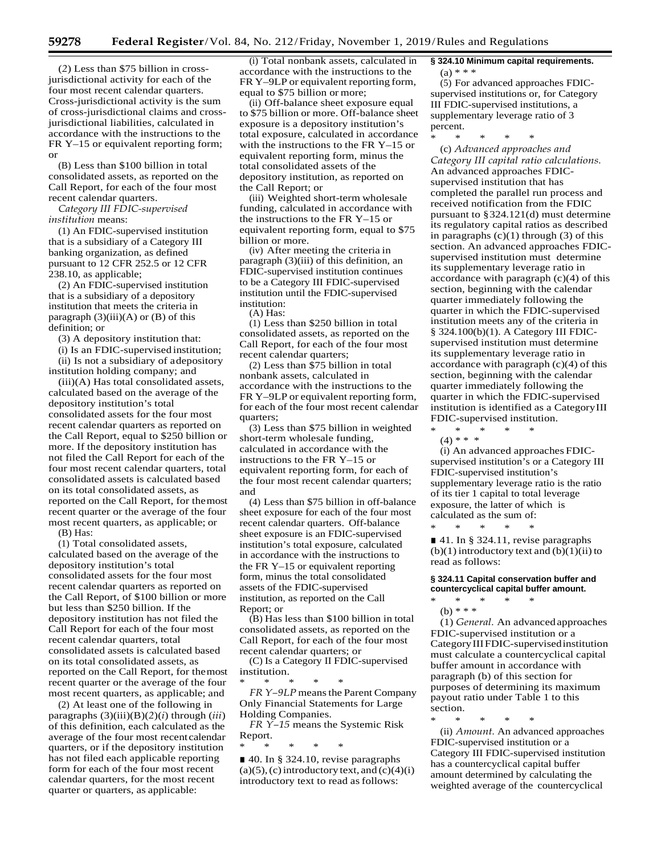(*2*) Less than \$75 billion in crossjurisdictional activity for each of the four most recent calendar quarters. Cross-jurisdictional activity is the sum of cross-jurisdictional claims and crossjurisdictional liabilities, calculated in accordance with the instructions to the FR Y–15 or equivalent reporting form; or

(B) Less than \$100 billion in total consolidated assets, as reported on the Call Report, for each of the four most recent calendar quarters.

*Category III FDIC-supervised institution* means:

(1) An FDIC-supervised institution that is a subsidiary of a Category III banking organization, as defined pursuant to 12 CFR 252.5 or 12 CFR 238.10, as applicable;

(2) An FDIC-supervised institution that is a subsidiary of a depository institution that meets the criteria in paragraph  $(3)(iii)(A)$  or  $(B)$  of this definition; or

(3) A depository institution that:

(i) Is an FDIC-supervised institution; (ii) Is not a subsidiary of adepository

institution holding company; and (iii)(A) Has total consolidated assets, calculated based on the average of the

depository institution's total consolidated assets for the four most recent calendar quarters as reported on the Call Report, equal to \$250 billion or more. If the depository institution has not filed the Call Report for each of the four most recent calendar quarters, total consolidated assets is calculated based on its total consolidated assets, as reported on the Call Report, for themost recent quarter or the average of the four most recent quarters, as applicable; or

(B) Has:

(1) Total consolidated assets, calculated based on the average of the depository institution's total consolidated assets for the four most recent calendar quarters as reported on the Call Report, of \$100 billion or more but less than \$250 billion. If the depository institution has not filed the Call Report for each of the four most recent calendar quarters, total consolidated assets is calculated based on its total consolidated assets, as reported on the Call Report, for themost recent quarter or the average of the four most recent quarters, as applicable; and

(2) At least one of the following in paragraphs (3)(iii)(B)(*2*)(*i*) through (*iii*) of this definition, each calculated as the average of the four most recentcalendar quarters, or if the depository institution has not filed each applicable reporting form for each of the four most recent calendar quarters, for the most recent quarter or quarters, as applicable:

(i) Total nonbank assets, calculated in accordance with the instructions to the FR Y–9LP or equivalent reporting form, equal to \$75 billion or more;

(ii) Off-balance sheet exposure equal to \$75 billion or more. Off-balance sheet exposure is a depository institution's total exposure, calculated in accordance with the instructions to the FR Y–15 or equivalent reporting form, minus the total consolidated assets of the depository institution, as reported on the Call Report; or

(iii) Weighted short-term wholesale funding, calculated in accordance with the instructions to the FR Y–15 or equivalent reporting form, equal to \$75 billion or more.

(iv) After meeting the criteria in paragraph (3)(iii) of this definition, an FDIC-supervised institution continues to be a Category III FDIC-supervised institution until the FDIC-supervised institution:

(A) Has:

(1) Less than \$250 billion in total consolidated assets, as reported on the Call Report, for each of the four most recent calendar quarters;

(2) Less than \$75 billion in total nonbank assets, calculated in accordance with the instructions to the FR Y–9LP or equivalent reporting form, for each of the four most recent calendar quarters;

(3) Less than \$75 billion in weighted short-term wholesale funding, calculated in accordance with the instructions to the FR Y–15 or equivalent reporting form, for each of the four most recent calendar quarters; and

(4) Less than \$75 billion in off-balance sheet exposure for each of the four most recent calendar quarters. Off-balance sheet exposure is an FDIC-supervised institution's total exposure, calculated in accordance with the instructions to the FR Y–15 or equivalent reporting form, minus the total consolidated assets of the FDIC-supervised institution, as reported on the Call Report; or

(B) Has less than \$100 billion in total consolidated assets, as reported on the Call Report, for each of the four most recent calendar quarters; or (C) Is a Category II FDIC-supervised

institution. \* \* \* \* \*

*FR Y*-9LP means the Parent Company Only Financial Statements for Large Holding Companies.

*FR Y–15* means the Systemic Risk Report.

\* \* \* \* \*

■ 40. In § 324.10, revise paragraphs  $(a)(5)$ ,  $(c)$  introductory text, and  $(c)(4)(i)$ introductory text to read as follows:

**§ 324.10 Minimum capital requirements.**

(a) \* \* \*

(5) For advanced approaches FDICsupervised institutions or, for Category III FDIC-supervised institutions, a supplementary leverage ratio of 3 percent.

\* \* \* \* \*

(c) *Advanced approaches and Category III capital ratio calculations.*  An advanced approaches FDICsupervised institution that has completed the parallel run process and received notification from the FDIC pursuant to §324.121(d) must determine its regulatory capital ratios as described in paragraphs  $(c)(1)$  through  $(3)$  of this section. An advanced approaches FDICsupervised institution must determine its supplementary leverage ratio in accordance with paragraph  $(c)(4)$  of this section, beginning with the calendar quarter immediately following the quarter in which the FDIC-supervised institution meets any of the criteria in § 324.100(b)(1). A Category III FDICsupervised institution must determine its supplementary leverage ratio in accordance with paragraph (c)(4) of this section, beginning with the calendar quarter immediately following the quarter in which the FDIC-supervised institution is identified as a CategoryIII FDIC-supervised institution. \* \* \* \* \*

(4) \* \* \*

(i) An advanced approaches FDICsupervised institution's or a Category III FDIC-supervised institution's supplementary leverage ratio is the ratio of its tier 1 capital to total leverage exposure, the latter of which is calculated as the sum of:

■ 41. In § 324.11, revise paragraphs  $(b)(1)$  introductory text and  $(b)(1)(ii)$  to read as follows:

#### **§ 324.11 Capital conservation buffer and countercyclical capital buffer amount.**

\* \* \* \* \* (b) \* \* \*

\* \* \* \* \*

(1) *General.* An advancedapproaches FDIC-supervised institution or a CategoryIIIFDIC-supervisedinstitution must calculate a countercyclical capital buffer amount in accordance with paragraph (b) of this section for purposes of determining its maximum payout ratio under Table 1 to this section.

\* \* \* \* \* (ii) *Amount.* An advanced approaches FDIC-supervised institution or a Category III FDIC-supervised institution has a countercyclical capital buffer amount determined by calculating the weighted average of the countercyclical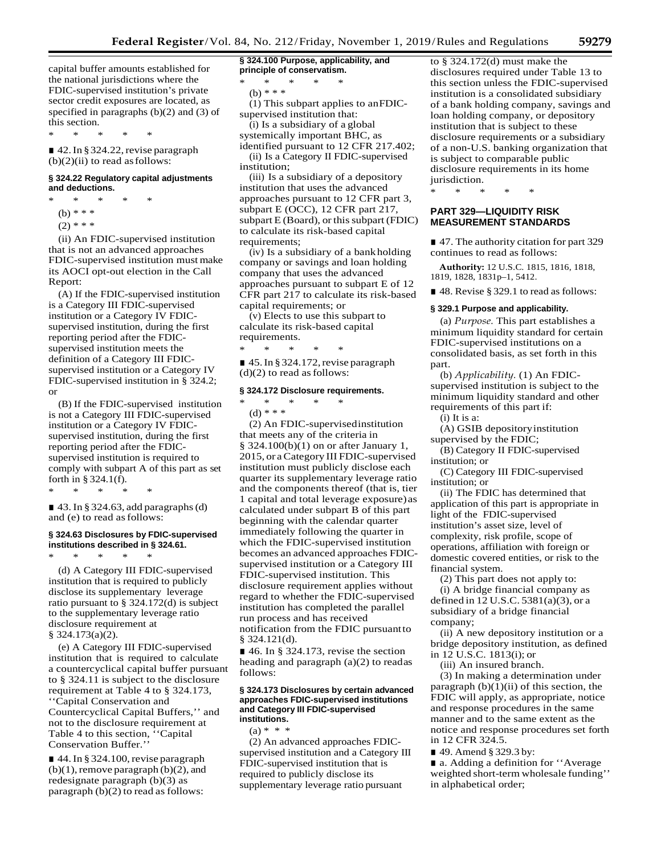capital buffer amounts established for the national jurisdictions where the FDIC-supervised institution's private sector credit exposures are located, as specified in paragraphs (b)(2) and (3) of this section.

\* \* \* \* \*

■ 42. In § 324.22, revise paragraph  $(b)(2)(ii)$  to read as follows:

## **§ 324.22 Regulatory capital adjustments and deductions.**

- \* \* \* \* \* (b) \* \* \*
	- $(2)$  \* \* \*

(ii) An FDIC-supervised institution that is not an advanced approaches FDIC-supervised institution must make its AOCI opt-out election in the Call Report:

(A) If the FDIC-supervised institution is a Category III FDIC-supervised institution or a Category IV FDICsupervised institution, during the first reporting period after the FDICsupervised institution meets the definition of a Category III FDICsupervised institution or a Category IV FDIC-supervised institution in § 324.2; or

(B) If the FDIC-supervised institution is not a Category III FDIC-supervised institution or a Category IV FDICsupervised institution, during the first reporting period after the FDICsupervised institution is required to comply with subpart A of this part as set forth in § 324.1(f).

\* \* \* \* \*

 $\blacksquare$  43. In § 324.63, add paragraphs (d) and (e) to read asfollows:

## **§ 324.63 Disclosures by FDIC-supervised institutions described in § 324.61.**

\* \* \* \* \* (d) A Category III FDIC-supervised institution that is required to publicly disclose its supplementary leverage ratio pursuant to § 324.172(d) is subject to the supplementary leverage ratio disclosure requirement at § 324.173(a)(2).

(e) A Category III FDIC-supervised institution that is required to calculate a countercyclical capital buffer pursuant to § 324.11 is subject to the disclosure requirement at Table 4 to § 324.173, ''Capital Conservation and Countercyclical Capital Buffers,'' and not to the disclosure requirement at Table 4 to this section, ''Capital Conservation Buffer.''

■ 44. In § 324.100, revise paragraph  $(b)(1)$ , remove paragraph  $(b)(2)$ , and redesignate paragraph (b)(3) as paragraph (b)(2) to read as follows:

**§ 324.100 Purpose, applicability, and principle of conservatism.**

\* \* \* \* \*

(b) \* \* \*

(1) This subpart applies to anFDICsupervised institution that:

(i) Is a subsidiary of a global systemically important BHC, as identified pursuant to 12 CFR 217.402;

(ii) Is a Category II FDIC-supervised institution;

(iii) Is a subsidiary of a depository institution that uses the advanced approaches pursuant to 12 CFR part 3, subpart E (OCC), 12 CFR part 217, subpart  $E$  (Board), or this subpart (FDIC) to calculate its risk-based capital requirements;

(iv) Is a subsidiary of a bankholding company or savings and loan holding company that uses the advanced approaches pursuant to subpart E of 12 CFR part 217 to calculate its risk-based capital requirements; or

(v) Elects to use this subpart to calculate its risk-based capital requirements.

\* \* \* \* \* ■ 45. In § 324.172, revise paragraph  $(d)(2)$  to read as follows:

## **§ 324.172 Disclosure requirements.**

\* \* \* \* \* (d) \* \* \*

(2) An FDIC-supervisedinstitution that meets any of the criteria in § 324.100(b)(1) on or after January 1, 2015, or aCategory III FDIC-supervised institution must publicly disclose each quarter its supplementary leverage ratio and the components thereof (that is, tier 1 capital and total leverage exposure) as calculated under subpart B of this part beginning with the calendar quarter immediately following the quarter in which the FDIC-supervised institution becomes an advanced approaches FDICsupervised institution or a Category III FDIC-supervised institution. This disclosure requirement applies without regard to whether the FDIC-supervised institution has completed the parallel run process and has received notification from the FDIC pursuantto § 324.121(d).

 $\blacksquare$  46. In § 324.173, revise the section heading and paragraph (a)(2) to readas follows:

#### **§ 324.173 Disclosures by certain advanced approaches FDIC-supervised institutions and Category III FDIC-supervised institutions.**

 $(a) * * * *$ 

(2) An advanced approaches FDICsupervised institution and a Category III FDIC-supervised institution that is required to publicly disclose its supplementary leverage ratio pursuant

to § 324.172(d) must make the disclosures required under Table 13 to this section unless the FDIC-supervised institution is a consolidated subsidiary of a bank holding company, savings and loan holding company, or depository institution that is subject to these disclosure requirements or a subsidiary of a non-U.S. banking organization that is subject to comparable public disclosure requirements in its home jurisdiction.

\* \* \* \* \*

## **PART 329—LIQUIDITY RISK MEASUREMENT STANDARDS**

■ 47. The authority citation for part 329 continues to read as follows:

**Authority:** 12 U.S.C. 1815, 1816, 1818, 1819, 1828, 1831p–1, 5412.

■ 48. Revise § 329.1 to read as follows:

#### **§ 329.1 Purpose and applicability.**

(a) *Purpose.* This part establishes a minimum liquidity standard for certain FDIC-supervised institutions on a consolidated basis, as set forth in this part.

(b) *Applicability.* (1) An FDICsupervised institution is subject to the minimum liquidity standard and other requirements of this part if:

(i) It is a:

(A) GSIB depositoryinstitution supervised by the FDIC;

(B) Category II FDIC-supervised institution; or

(C) Category III FDIC-supervised institution; or

(ii) The FDIC has determined that application of this part is appropriate in light of the FDIC-supervised institution's asset size, level of complexity, risk profile, scope of operations, affiliation with foreign or domestic covered entities, or risk to the financial system.

(2) This part does not apply to: (i) A bridge financial company as defined in 12 U.S.C. 5381(a)(3), or a subsidiary of a bridge financial company;

(ii) A new depository institution or a bridge depository institution, as defined in 12 U.S.C. 1813(i); or

(iii) An insured branch.

(3) In making a determination under paragraph  $(b)(1)(ii)$  of this section, the FDIC will apply, as appropriate, notice and response procedures in the same manner and to the same extent as the notice and response procedures set forth in 12 CFR 324.5.

■ 49. Amend § 329.3 by:

■ a. Adding a definition for "Average" weighted short-term wholesale funding'' in alphabetical order;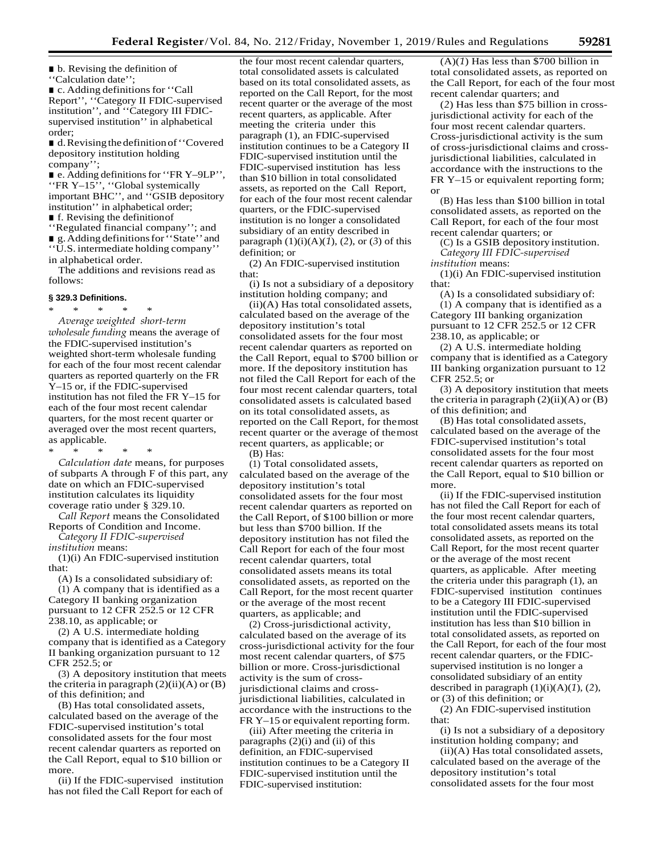■ b. Revising the definition of ''Calculation date'';

■ c. Adding definitions for "Call Report'', ''Category II FDIC-supervised institution'', and ''Category III FDICsupervised institution'' in alphabetical order;

■ d. Revising the definition of "Covered depository institution holding company'';

■ e. Adding definitions for "FR Y-9LP", ''FR Y–15'', ''Global systemically important BHC'', and ''GSIB depository institution'' in alphabetical order; ■ f. Revising the definition of

''Regulated financial company''; and ■ g. Adding definitions for "State" and ''U.S. intermediate holding company'' in alphabetical order.

The additions and revisions read as follows:

#### **§ 329.3 Definitions.**

\* \* \* \* \* *Average weighted short-term wholesale funding* means the average of the FDIC-supervised institution's weighted short-term wholesale funding for each of the four most recent calendar quarters as reported quarterly on the FR Y–15 or, if the FDIC-supervised institution has not filed the FR Y–15 for each of the four most recent calendar quarters, for the most recent quarter or averaged over the most recent quarters, as applicable.

\* \* \* \* \*

*Calculation date* means, for purposes of subparts A through F of this part, any date on which an FDIC-supervised institution calculates its liquidity coverage ratio under § 329.10.

*Call Report* means the Consolidated Reports of Condition and Income.

*Category II FDIC-supervised institution* means:

(1)(i) An FDIC-supervised institution that:

(A) Is a consolidated subsidiary of:

(1) A company that is identified as a Category II banking organization pursuant to 12 CFR 252.5 or 12 CFR 238.10, as applicable; or

(2) A U.S. intermediate holding company that is identified as a Category II banking organization pursuant to 12 CFR 252.5; or

(3) A depository institution that meets the criteria in paragraph  $(2)(ii)(A)$  or  $(B)$ of this definition; and

(B) Has total consolidated assets, calculated based on the average of the FDIC-supervised institution's total consolidated assets for the four most recent calendar quarters as reported on the Call Report, equal to \$10 billion or more.

(ii) If the FDIC-supervised institution has not filed the Call Report for each of

the four most recent calendar quarters, total consolidated assets is calculated based on its total consolidated assets, as reported on the Call Report, for the most recent quarter or the average of the most recent quarters, as applicable. After meeting the criteria under this paragraph (1), an FDIC-supervised institution continues to be a Category II FDIC-supervised institution until the FDIC-supervised institution has less than \$10 billion in total consolidated assets, as reported on the Call Report, for each of the four most recent calendar quarters, or the FDIC-supervised institution is no longer a consolidated subsidiary of an entity described in paragraph (1)(i)(A)(*1*), (*2*), or (*3*) of this definition; or

(2) An FDIC-supervised institution that:

(i) Is not a subsidiary of a depository institution holding company; and

(ii)(A) Has total consolidated assets, calculated based on the average of the depository institution's total consolidated assets for the four most recent calendar quarters as reported on the Call Report, equal to \$700 billion or more. If the depository institution has not filed the Call Report for each of the four most recent calendar quarters, total consolidated assets is calculated based on its total consolidated assets, as reported on the Call Report, for themost recent quarter or the average of themost recent quarters, as applicable; or (B) Has:

(1) Total consolidated assets, calculated based on the average of the depository institution's total consolidated assets for the four most recent calendar quarters as reported on the Call Report, of \$100 billion or more but less than \$700 billion. If the depository institution has not filed the Call Report for each of the four most recent calendar quarters, total consolidated assets means its total consolidated assets, as reported on the Call Report, for the most recent quarter or the average of the most recent quarters, as applicable; and

(2) Cross-jurisdictional activity, calculated based on the average of its cross-jurisdictional activity for the four most recent calendar quarters, of \$75 billion or more. Cross-jurisdictional activity is the sum of crossjurisdictional claims and crossjurisdictional liabilities, calculated in accordance with the instructions to the FR Y–15 or equivalent reporting form.

(iii) After meeting the criteria in paragraphs (2)(i) and (ii) of this definition, an FDIC-supervised institution continues to be a Category II FDIC-supervised institution until the FDIC-supervised institution:

(A)(*1*) Has less than \$700 billion in total consolidated assets, as reported on the Call Report, for each of the four most recent calendar quarters; and

(*2*) Has less than \$75 billion in crossjurisdictional activity for each of the four most recent calendar quarters. Cross-jurisdictional activity is the sum of cross-jurisdictional claims and crossjurisdictional liabilities, calculated in accordance with the instructions to the FR Y–15 or equivalent reporting form; or

(B) Has less than \$100 billion in total consolidated assets, as reported on the Call Report, for each of the four most recent calendar quarters; or

(C) Is a GSIB depository institution. *Category III FDIC-supervised institution* means:

(1)(i) An FDIC-supervised institution that:

(A) Is a consolidated subsidiary of: (1) A company that is identified as a Category III banking organization pursuant to 12 CFR 252.5 or 12 CFR 238.10, as applicable; or

(2) A U.S. intermediate holding company that is identified as a Category III banking organization pursuant to 12 CFR 252.5; or

(3) A depository institution that meets the criteria in paragraph  $(2)(ii)(A)$  or  $(B)$ of this definition; and

(B) Has total consolidated assets, calculated based on the average of the FDIC-supervised institution's total consolidated assets for the four most recent calendar quarters as reported on the Call Report, equal to \$10 billion or more.

(ii) If the FDIC-supervised institution has not filed the Call Report for each of the four most recent calendar quarters, total consolidated assets means its total consolidated assets, as reported on the Call Report, for the most recent quarter or the average of the most recent quarters, as applicable. After meeting the criteria under this paragraph (1), an FDIC-supervised institution continues to be a Category III FDIC-supervised institution until the FDIC-supervised institution has less than \$10 billion in total consolidated assets, as reported on the Call Report, for each of the four most recent calendar quarters, or the FDICsupervised institution is no longer a consolidated subsidiary of an entity described in paragraph (1)(i)(A)(*1*), (*2*), or (3) of this definition; or

(2) An FDIC-supervised institution that:

(i) Is not a subsidiary of a depository institution holding company; and

(ii)(A) Has total consolidated assets, calculated based on the average of the depository institution's total consolidated assets for the four most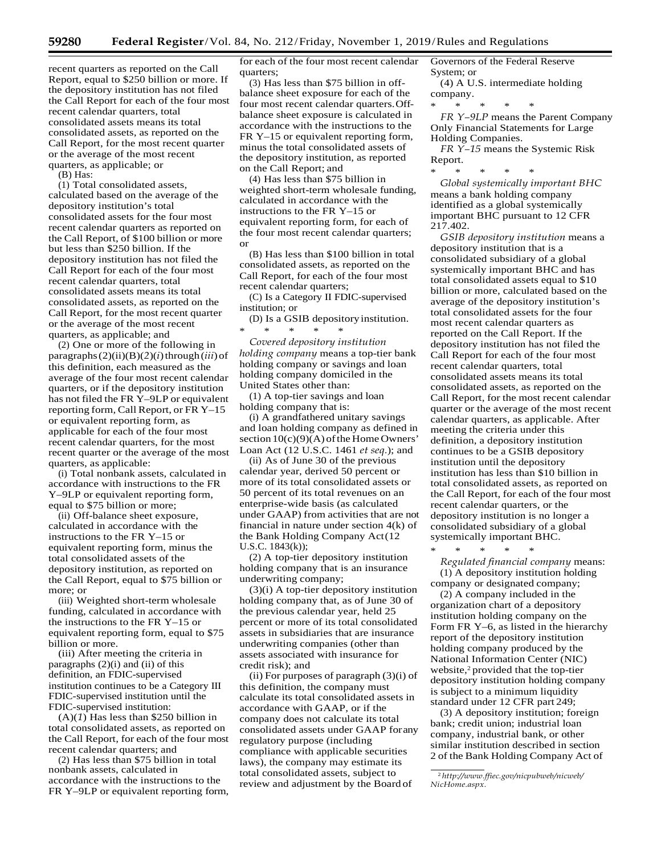recent quarters as reported on the Call Report, equal to \$250 billion or more. If the depository institution has not filed the Call Report for each of the four most recent calendar quarters, total consolidated assets means its total consolidated assets, as reported on the Call Report, for the most recent quarter or the average of the most recent quarters, as applicable; or

(B) Has:

(1) Total consolidated assets, calculated based on the average of the depository institution's total consolidated assets for the four most recent calendar quarters as reported on the Call Report, of \$100 billion or more but less than \$250 billion. If the depository institution has not filed the Call Report for each of the four most recent calendar quarters, total consolidated assets means its total consolidated assets, as reported on the Call Report, for the most recent quarter or the average of the most recent quarters, as applicable; and

(2) One or more of the following in paragraphs $(2)(ii)(B)(2)(i)$ through $(iii)$ of this definition, each measured as the average of the four most recent calendar quarters, or if the depository institution has not filed the FR Y–9LP or equivalent reporting form, Call Report, or FR Y–15 or equivalent reporting form, as applicable for each of the four most recent calendar quarters, for the most recent quarter or the average of the most quarters, as applicable:

(i) Total nonbank assets, calculated in accordance with instructions to the FR Y–9LP or equivalent reporting form, equal to \$75 billion or more;

(ii) Off-balance sheet exposure, calculated in accordance with the instructions to the FR Y–15 or equivalent reporting form, minus the total consolidated assets of the depository institution, as reported on the Call Report, equal to \$75 billion or more; or

(iii) Weighted short-term wholesale funding, calculated in accordance with the instructions to the FR Y–15 or equivalent reporting form, equal to \$75 billion or more.

(iii) After meeting the criteria in paragraphs (2)(i) and (ii) of this definition, an FDIC-supervised institution continues to be a Category III FDIC-supervised institution until the FDIC-supervised institution:

(A)(*1*) Has less than \$250 billion in total consolidated assets, as reported on the Call Report, for each of the four most recent calendar quarters; and

(2) Has less than \$75 billion in total nonbank assets, calculated in accordance with the instructions to the FR Y–9LP or equivalent reporting form, for each of the four most recent calendar quarters;

(3) Has less than \$75 billion in offbalance sheet exposure for each of the four most recent calendar quarters.Offbalance sheet exposure is calculated in accordance with the instructions to the FR Y–15 or equivalent reporting form, minus the total consolidated assets of the depository institution, as reported on the Call Report; and

(4) Has less than \$75 billion in weighted short-term wholesale funding, calculated in accordance with the instructions to the FR Y–15 or equivalent reporting form, for each of the four most recent calendar quarters; or

(B) Has less than \$100 billion in total consolidated assets, as reported on the Call Report, for each of the four most recent calendar quarters;

(C) Is a Category II FDIC-supervised institution; or

(D) Is a GSIB depositoryinstitution. \* \* \* \* \*

*Covered depository institution holding company* means a top-tier bank holding company or savings and loan holding company domiciled in the United States other than:

(1) A top-tier savings and loan holding company that is:

(i) A grandfathered unitary savings and loan holding company as defined in section  $10(c)(9)(A)$  of the Home Owners' Loan Act (12 U.S.C. 1461 *et seq.*); and

(ii) As of June 30 of the previous calendar year, derived 50 percent or more of its total consolidated assets or 50 percent of its total revenues on an enterprise-wide basis (as calculated under GAAP) from activities that are not financial in nature under section 4(k) of the Bank Holding Company Act(12 U.S.C. 1843(k));

(2) A top-tier depository institution holding company that is an insurance underwriting company;

(3)(i) A top-tier depository institution holding company that, as of June 30 of the previous calendar year, held 25 percent or more of its total consolidated assets in subsidiaries that are insurance underwriting companies (other than assets associated with insurance for credit risk); and

(ii) For purposes of paragraph (3)(i) of this definition, the company must calculate its total consolidated assets in accordance with GAAP, or if the company does not calculate its total consolidated assets under GAAP forany regulatory purpose (including compliance with applicable securities laws), the company may estimate its total consolidated assets, subject to review and adjustment by the Board of

Governors of the Federal Reserve System; or

(4) A U.S. intermediate holding company.

\* \* \* \* \*

*FR Y–9LP* means the Parent Company Only Financial Statements for Large Holding Companies.

*FR Y–15* means the Systemic Risk Report.

\* \* \* \* \* *Global systemically important BHC*  means a bank holding company identified as a global systemically important BHC pursuant to 12 CFR 217.402.

*GSIB depository institution* means a depository institution that is a consolidated subsidiary of a global systemically important BHC and has total consolidated assets equal to \$10 billion or more, calculated based on the average of the depository institution's total consolidated assets for the four most recent calendar quarters as reported on the Call Report. If the depository institution has not filed the Call Report for each of the four most recent calendar quarters, total consolidated assets means its total consolidated assets, as reported on the Call Report, for the most recent calendar quarter or the average of the most recent calendar quarters, as applicable. After meeting the criteria under this definition, a depository institution continues to be a GSIB depository institution until the depository institution has less than \$10 billion in total consolidated assets, as reported on the Call Report, for each of the four most recent calendar quarters, or the depository institution is no longer a consolidated subsidiary of a global systemically important BHC.

\* \* \* \* \*

*Regulated financial company* means: (1) A depository institution holding

company or designated company; (2) A company included in the organization chart of a depository institution holding company on the

Form FR Y–6, as listed in the hierarchy report of the depository institution holding company produced by the National Information Center (NIC) website,<sup>2</sup> provided that the top-tier depository institution holding company is subject to a minimum liquidity standard under 12 CFR part 249;

(3) A depository institution; foreign bank; credit union; industrial loan company, industrial bank, or other similar institution described in section 2 of the Bank Holding Company Act of

<sup>2</sup>*[http://www.ffiec.gov/nicpubweb/nicweb/](http://www.ffiec.gov/nicpubweb/nicweb/NicHome.aspx) [NicHome.aspx.](http://www.ffiec.gov/nicpubweb/nicweb/NicHome.aspx)*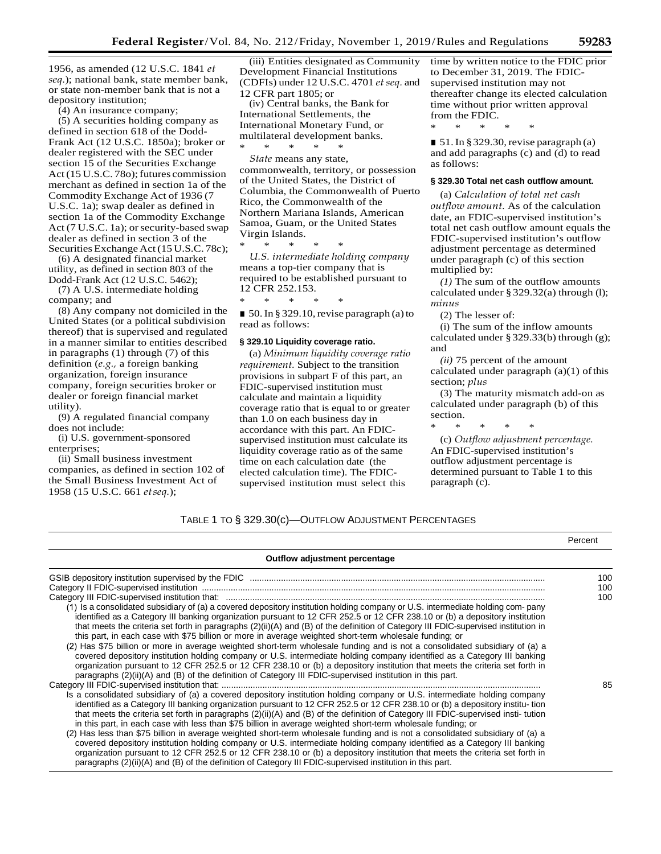1956, as amended (12 U.S.C. 1841 *et seq.*); national bank, state member bank, or state non-member bank that is not a depository institution;

(4) An insurance company;

(5) A securities holding company as defined in section 618 of the Dodd-Frank Act (12 U.S.C. 1850a); broker or dealer registered with the SEC under section 15 of the Securities Exchange Act (15 U.S.C. 780); futures commission merchant as defined in section 1a of the Commodity Exchange Act of 1936 (7 U.S.C. 1a); swap dealer as defined in section 1a of the Commodity Exchange Act (7 U.S.C. 1a); or security-based swap dealer as defined in section 3 of the Securities Exchange Act (15 U.S.C. 78c);

(6) A designated financial market utility, as defined in section 803 of the Dodd-Frank Act (12 U.S.C. 5462);

(7) A U.S. intermediate holding company; and

(8) Any company not domiciled in the United States (or a political subdivision thereof) that is supervised and regulated in a manner similar to entities described in paragraphs (1) through (7) of this definition (*e.g.,* a foreign banking organization, foreign insurance company, foreign securities broker or dealer or foreign financial market utility).

(9) A regulated financial company does not include:

(i) U.S. government-sponsored enterprises;

(ii) Small business investment companies, as defined in section 102 of the Small Business Investment Act of 1958 (15 U.S.C. 661 *etseq.*);

(iii) Entities designated as Community Development Financial Institutions (CDFIs) under 12 U.S.C. 4701 *etseq.* and 12 CFR part 1805; or

(iv) Central banks, the Bank for International Settlements, the International Monetary Fund, or multilateral development banks. \* \* \* \* \*

*State* means any state, commonwealth, territory, or possession of the United States, the District of Columbia, the Commonwealth of Puerto Rico, the Commonwealth of the Northern Mariana Islands, American Samoa, Guam, or the United States Virgin Islands.

\* \* \* \* \* *U.S. intermediate holding company*  means a top-tier company that is required to be established pursuant to 12 CFR 252.153. \* \* \* \* \*

■ 50. In § 329.10, revise paragraph (a) to read as follows:

#### **§ 329.10 Liquidity coverage ratio.**

(a) *Minimum liquidity coverage ratio requirement.* Subject to the transition provisions in subpart F of this part, an FDIC-supervised institution must calculate and maintain a liquidity coverage ratio that is equal to or greater than 1.0 on each business day in accordance with this part. An FDICsupervised institution must calculate its liquidity coverage ratio as of the same time on each calculation date (the elected calculation time). The FDICsupervised institution must select this

time by written notice to the FDIC prior to December 31, 2019. The FDICsupervised institution may not thereafter change its elected calculation time without prior written approval from the FDIC. \* \* \* \* \*

■ 51. In § 329.30, revise paragraph (a) and add paragraphs (c) and (d) to read as follows:

#### **§ 329.30 Total net cash outflow amount.**

(a) *Calculation of total net cash outflow amount.* As of the calculation date, an FDIC-supervised institution's total net cash outflow amount equals the FDIC-supervised institution's outflow adjustment percentage as determined under paragraph (c) of this section multiplied by:

*(1)* The sum of the outflow amounts calculated under § 329.32(a) through (l); *minus*

(2) The lesser of:

(i) The sum of the inflow amounts calculated under §329.33(b) through (g); and

*(ii)* 75 percent of the amount calculated under paragraph  $(a)(1)$  of this section; *plus*

(3) The maturity mismatch add-on as calculated under paragraph (b) of this section.

\* \* \* \* \*

(c) *Outflow adjustment percentage.*  An FDIC-supervised institution's outflow adjustment percentage is determined pursuant to Table 1 to this paragraph (c).

## TABLE 1 TO § 329.30(c)—OUTFLOW ADJUSTMENT PERCENTAGES

|                                                                                                                                                                                                                                                                                                                                                                                                                                                                                                                                                                                                                                                                                                                                                                                                                                                                                                                                                                                                                           | Percent |
|---------------------------------------------------------------------------------------------------------------------------------------------------------------------------------------------------------------------------------------------------------------------------------------------------------------------------------------------------------------------------------------------------------------------------------------------------------------------------------------------------------------------------------------------------------------------------------------------------------------------------------------------------------------------------------------------------------------------------------------------------------------------------------------------------------------------------------------------------------------------------------------------------------------------------------------------------------------------------------------------------------------------------|---------|
| Outflow adjustment percentage                                                                                                                                                                                                                                                                                                                                                                                                                                                                                                                                                                                                                                                                                                                                                                                                                                                                                                                                                                                             |         |
|                                                                                                                                                                                                                                                                                                                                                                                                                                                                                                                                                                                                                                                                                                                                                                                                                                                                                                                                                                                                                           | 100     |
|                                                                                                                                                                                                                                                                                                                                                                                                                                                                                                                                                                                                                                                                                                                                                                                                                                                                                                                                                                                                                           | 100     |
| (1) Is a consolidated subsidiary of (a) a covered depository institution holding company or U.S. intermediate holding com-pany<br>identified as a Category III banking organization pursuant to 12 CFR 252.5 or 12 CFR 238.10 or (b) a depository institution<br>that meets the criteria set forth in paragraphs (2)(ii)(A) and (B) of the definition of Category III FDIC-supervised institution in<br>this part, in each case with \$75 billion or more in average weighted short-term wholesale funding; or<br>(2) Has \$75 billion or more in average weighted short-term wholesale funding and is not a consolidated subsidiary of (a) a<br>covered depository institution holding company or U.S. intermediate holding company identified as a Category III banking<br>organization pursuant to 12 CFR 252.5 or 12 CFR 238.10 or (b) a depository institution that meets the criteria set forth in<br>paragraphs $(2)(ii)(A)$ and $(B)$ of the definition of Category III FDIC-supervised institution in this part. | 100     |
| Is a consolidated subsidiary of (a) a covered depository institution holding company or U.S. intermediate holding company<br>identified as a Category III banking organization pursuant to 12 CFR 252.5 or 12 CFR 238.10 or (b) a depository institu-tion<br>that meets the criteria set forth in paragraphs (2)(ii)(A) and (B) of the definition of Category III FDIC-supervised insti-tution<br>in this part, in each case with less than \$75 billion in average weighted short-term wholesale funding; or<br>(2) Has less than \$75 billion in average weighted short-term wholesale funding and is not a consolidated subsidiary of (a) a<br>covered depository institution holding company or U.S. intermediate holding company identified as a Category III banking<br>organization pursuant to 12 CFR 252.5 or 12 CFR 238.10 or (b) a depository institution that meets the criteria set forth in<br>paragraphs (2)(ii)(A) and (B) of the definition of Category III FDIC-supervised institution in this part.    | 85      |